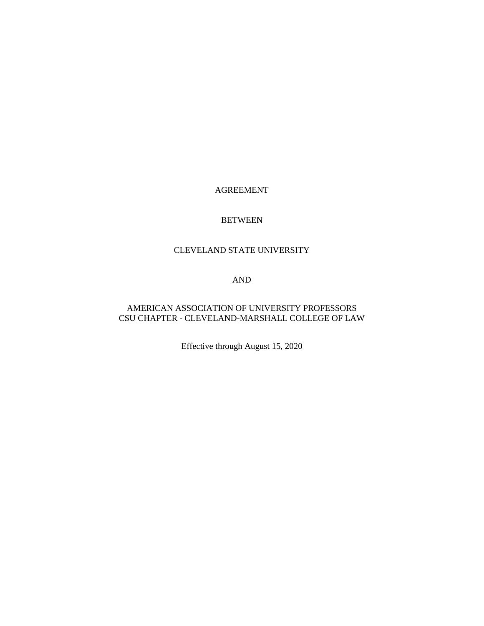## AGREEMENT

#### BETWEEN

# CLEVELAND STATE UNIVERSITY

#### AND

## AMERICAN ASSOCIATION OF UNIVERSITY PROFESSORS CSU CHAPTER - CLEVELAND-MARSHALL COLLEGE OF LAW

Effective through August 15, 2020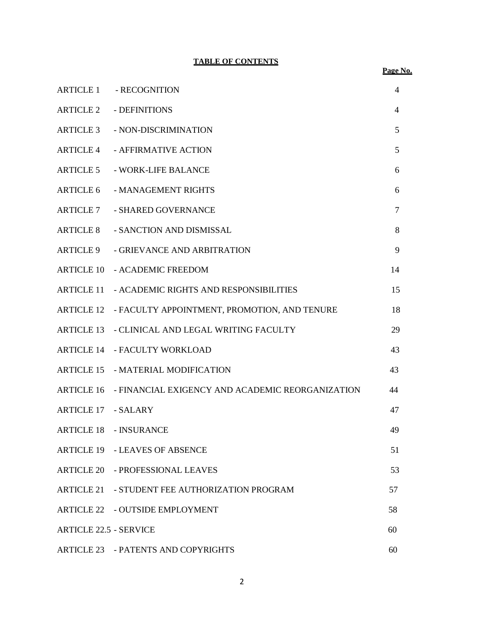## **TABLE OF CONTENTS**

| <b>ARTICLE 1</b>              | - RECOGNITION                                    | $\overline{4}$ |  |
|-------------------------------|--------------------------------------------------|----------------|--|
| <b>ARTICLE 2</b>              | - DEFINITIONS                                    | $\overline{4}$ |  |
| <b>ARTICLE 3</b>              | - NON-DISCRIMINATION                             | 5              |  |
| <b>ARTICLE 4</b>              | - AFFIRMATIVE ACTION                             | 5              |  |
| <b>ARTICLE 5</b>              | - WORK-LIFE BALANCE                              | 6              |  |
| <b>ARTICLE 6</b>              | - MANAGEMENT RIGHTS                              | 6              |  |
| <b>ARTICLE 7</b>              | - SHARED GOVERNANCE                              | $\tau$         |  |
| <b>ARTICLE 8</b>              | - SANCTION AND DISMISSAL                         | 8              |  |
| <b>ARTICLE 9</b>              | - GRIEVANCE AND ARBITRATION                      | 9              |  |
| <b>ARTICLE 10</b>             | - ACADEMIC FREEDOM                               | 14             |  |
| <b>ARTICLE 11</b>             | - ACADEMIC RIGHTS AND RESPONSIBILITIES           | 15             |  |
| <b>ARTICLE 12</b>             | - FACULTY APPOINTMENT, PROMOTION, AND TENURE     | 18             |  |
| <b>ARTICLE 13</b>             | - CLINICAL AND LEGAL WRITING FACULTY             | 29             |  |
| <b>ARTICLE 14</b>             | - FACULTY WORKLOAD                               | 43             |  |
| <b>ARTICLE 15</b>             | - MATERIAL MODIFICATION                          | 43             |  |
| <b>ARTICLE 16</b>             | - FINANCIAL EXIGENCY AND ACADEMIC REORGANIZATION | 44             |  |
| <b>ARTICLE 17</b>             | - SALARY                                         | 47             |  |
|                               | <b>ARTICLE 18 - INSURANCE</b>                    | 49             |  |
|                               | ARTICLE 19 - LEAVES OF ABSENCE                   | 51             |  |
|                               | ARTICLE 20 - PROFESSIONAL LEAVES                 | 53             |  |
| <b>ARTICLE 21</b>             | - STUDENT FEE AUTHORIZATION PROGRAM              | 57             |  |
|                               | ARTICLE 22 - OUTSIDE EMPLOYMENT                  | 58             |  |
| <b>ARTICLE 22.5 - SERVICE</b> |                                                  |                |  |
|                               | ARTICLE 23 - PATENTS AND COPYRIGHTS              | 60             |  |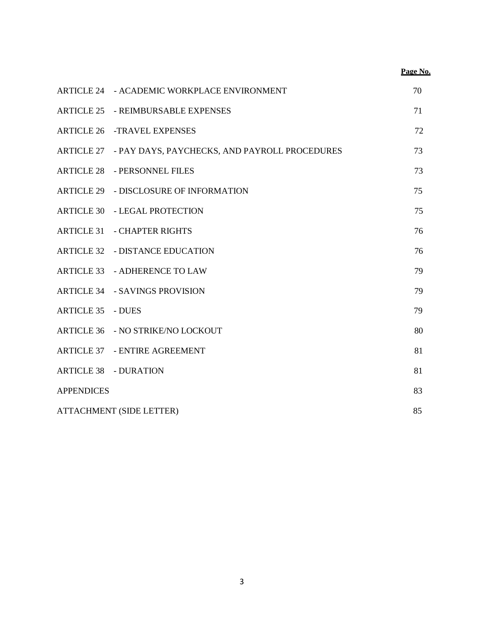|                          |                                                          | Page No. |
|--------------------------|----------------------------------------------------------|----------|
|                          | ARTICLE 24 - ACADEMIC WORKPLACE ENVIRONMENT              | 70       |
|                          | <b>ARTICLE 25 - REIMBURSABLE EXPENSES</b>                | 71       |
|                          | <b>ARTICLE 26 -TRAVEL EXPENSES</b>                       | 72       |
|                          | ARTICLE 27 - PAY DAYS, PAYCHECKS, AND PAYROLL PROCEDURES | 73       |
|                          | <b>ARTICLE 28 - PERSONNEL FILES</b>                      | 73       |
|                          | ARTICLE 29 - DISCLOSURE OF INFORMATION                   | 75       |
|                          | <b>ARTICLE 30 - LEGAL PROTECTION</b>                     | 75       |
|                          | <b>ARTICLE 31 - CHAPTER RIGHTS</b>                       | 76       |
|                          | <b>ARTICLE 32 - DISTANCE EDUCATION</b>                   | 76       |
|                          | ARTICLE 33 - ADHERENCE TO LAW                            | 79       |
|                          | ARTICLE 34 - SAVINGS PROVISION                           | 79       |
| <b>ARTICLE 35 - DUES</b> |                                                          | 79       |
|                          | ARTICLE 36 - NO STRIKE/NO LOCKOUT                        | 80       |
|                          | <b>ARTICLE 37 - ENTIRE AGREEMENT</b>                     | 81       |
|                          | <b>ARTICLE 38 - DURATION</b>                             | 81       |
| <b>APPENDICES</b>        |                                                          | 83       |
| ATTACHMENT (SIDE LETTER) |                                                          |          |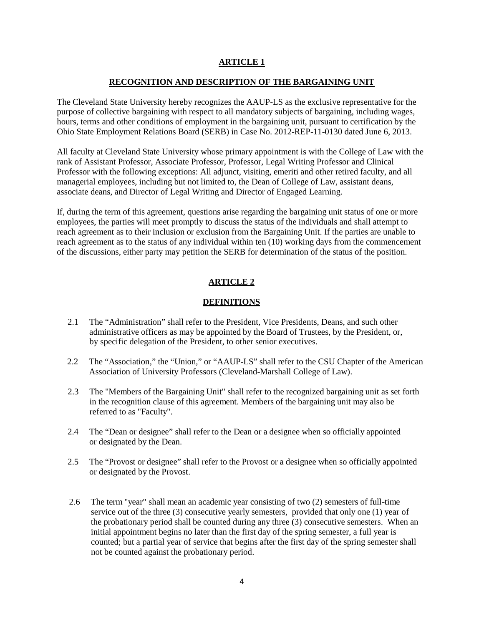#### **RECOGNITION AND DESCRIPTION OF THE BARGAINING UNIT**

The Cleveland State University hereby recognizes the AAUP-LS as the exclusive representative for the purpose of collective bargaining with respect to all mandatory subjects of bargaining, including wages, hours, terms and other conditions of employment in the bargaining unit, pursuant to certification by the Ohio State Employment Relations Board (SERB) in Case No. 2012-REP-11-0130 dated June 6, 2013.

All faculty at Cleveland State University whose primary appointment is with the College of Law with the rank of Assistant Professor, Associate Professor, Professor, Legal Writing Professor and Clinical Professor with the following exceptions: All adjunct, visiting, emeriti and other retired faculty, and all managerial employees, including but not limited to, the Dean of College of Law, assistant deans, associate deans, and Director of Legal Writing and Director of Engaged Learning.

If, during the term of this agreement, questions arise regarding the bargaining unit status of one or more employees, the parties will meet promptly to discuss the status of the individuals and shall attempt to reach agreement as to their inclusion or exclusion from the Bargaining Unit. If the parties are unable to reach agreement as to the status of any individual within ten (10) working days from the commencement of the discussions, either party may petition the SERB for determination of the status of the position.

### **ARTICLE 2**

### **DEFINITIONS**

- 2.1 The "Administration" shall refer to the President, Vice Presidents, Deans, and such other administrative officers as may be appointed by the Board of Trustees, by the President, or, by specific delegation of the President, to other senior executives.
- 2.2 The "Association," the "Union," or "AAUP-LS" shall refer to the CSU Chapter of the American Association of University Professors (Cleveland-Marshall College of Law).
- 2.3 The "Members of the Bargaining Unit" shall refer to the recognized bargaining unit as set forth in the recognition clause of this agreement. Members of the bargaining unit may also be referred to as "Faculty".
- 2.4 The "Dean or designee" shall refer to the Dean or a designee when so officially appointed or designated by the Dean.
- 2.5 The "Provost or designee" shall refer to the Provost or a designee when so officially appointed or designated by the Provost.
- 2.6 The term "year" shall mean an academic year consisting of two (2) semesters of full-time service out of the three (3) consecutive yearly semesters, provided that only one (1) year of the probationary period shall be counted during any three (3) consecutive semesters. When an initial appointment begins no later than the first day of the spring semester, a full year is counted; but a partial year of service that begins after the first day of the spring semester shall not be counted against the probationary period.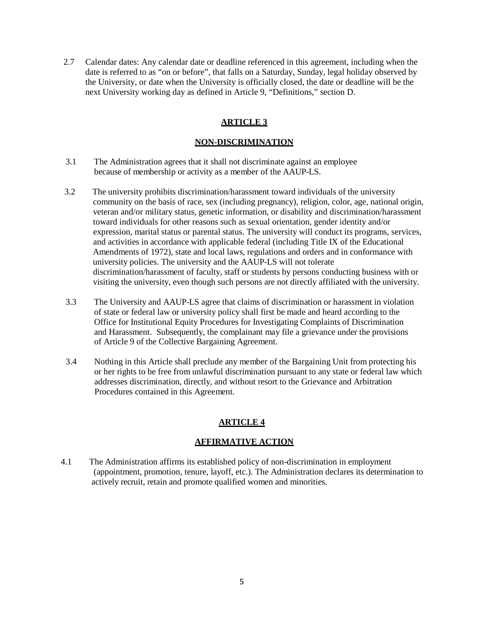2.7 Calendar dates: Any calendar date or deadline referenced in this agreement, including when the date is referred to as "on or before", that falls on a Saturday, Sunday, legal holiday observed by the University, or date when the University is officially closed, the date or deadline will be the next University working day as defined in Article 9, "Definitions," section D.

# **ARTICLE 3**

### **NON-DISCRIMINATION**

- 3.1 The Administration agrees that it shall not discriminate against an employee because of membership or activity as a member of the AAUP-LS.
- 3.2 The university prohibits discrimination/harassment toward individuals of the university community on the basis of race, sex (including pregnancy), religion, color, age, national origin, veteran and/or military status, genetic information, or disability and discrimination/harassment toward individuals for other reasons such as sexual orientation, gender identity and/or expression, marital status or parental status. The university will conduct its programs, services, and activities in accordance with applicable federal (including Title IX of the Educational Amendments of 1972), state and local laws, regulations and orders and in conformance with university policies. The university and the AAUP-LS will not tolerate discrimination/harassment of faculty, staff or students by persons conducting business with or visiting the university, even though such persons are not directly affiliated with the university.
- 3.3 The University and AAUP-LS agree that claims of discrimination or harassment in violation of state or federal law or university policy shall first be made and heard according to the Office for Institutional Equity Procedures for Investigating Complaints of Discrimination and Harassment. Subsequently, the complainant may file a grievance under the provisions of Article 9 of the Collective Bargaining Agreement.
- 3.4 Nothing in this Article shall preclude any member of the Bargaining Unit from protecting his or her rights to be free from unlawful discrimination pursuant to any state or federal law which addresses discrimination, directly, and without resort to the Grievance and Arbitration Procedures contained in this Agreement.

# **ARTICLE 4**

### **AFFIRMATIVE ACTION**

4.1 The Administration affirms its established policy of non-discrimination in employment (appointment, promotion, tenure, layoff, etc.). The Administration declares its determination to actively recruit, retain and promote qualified women and minorities.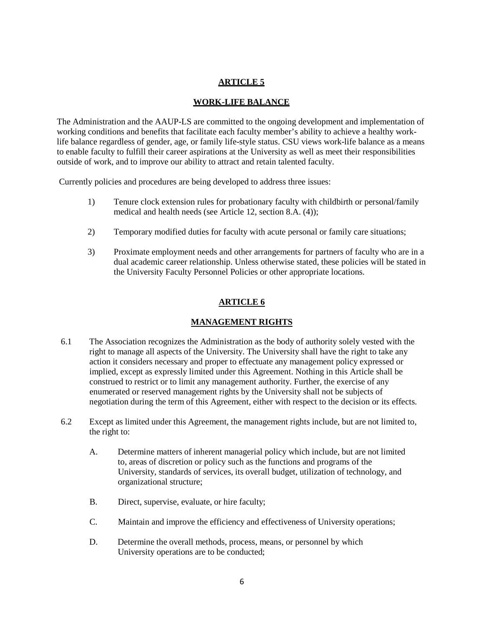## **WORK-LIFE BALANCE**

The Administration and the AAUP-LS are committed to the ongoing development and implementation of working conditions and benefits that facilitate each faculty member's ability to achieve a healthy worklife balance regardless of gender, age, or family life-style status. CSU views work-life balance as a means to enable faculty to fulfill their career aspirations at the University as well as meet their responsibilities outside of work, and to improve our ability to attract and retain talented faculty.

Currently policies and procedures are being developed to address three issues:

- 1) Tenure clock extension rules for probationary faculty with childbirth or personal/family medical and health needs (see Article 12, section 8.A. (4));
- 2) Temporary modified duties for faculty with acute personal or family care situations;
- 3) Proximate employment needs and other arrangements for partners of faculty who are in a dual academic career relationship. Unless otherwise stated, these policies will be stated in the University Faculty Personnel Policies or other appropriate locations.

# **ARTICLE 6**

### **MANAGEMENT RIGHTS**

- 6.1 The Association recognizes the Administration as the body of authority solely vested with the right to manage all aspects of the University. The University shall have the right to take any action it considers necessary and proper to effectuate any management policy expressed or implied, except as expressly limited under this Agreement. Nothing in this Article shall be construed to restrict or to limit any management authority. Further, the exercise of any enumerated or reserved management rights by the University shall not be subjects of negotiation during the term of this Agreement, either with respect to the decision or its effects.
- 6.2 Except as limited under this Agreement, the management rights include, but are not limited to, the right to:
	- A. Determine matters of inherent managerial policy which include, but are not limited to, areas of discretion or policy such as the functions and programs of the University, standards of services, its overall budget, utilization of technology, and organizational structure;
	- B. Direct, supervise, evaluate, or hire faculty;
	- C. Maintain and improve the efficiency and effectiveness of University operations;
	- D. Determine the overall methods, process, means, or personnel by which University operations are to be conducted;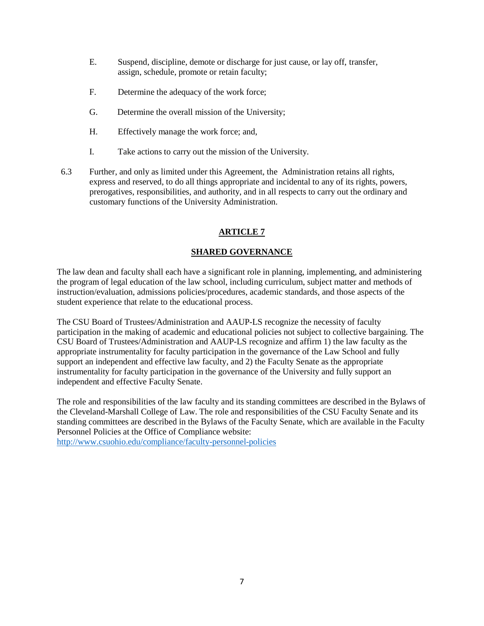- E. Suspend, discipline, demote or discharge for just cause, or lay off, transfer, assign, schedule, promote or retain faculty;
- F. Determine the adequacy of the work force;
- G. Determine the overall mission of the University;
- H. Effectively manage the work force; and,
- I. Take actions to carry out the mission of the University.
- 6.3 Further, and only as limited under this Agreement, the Administration retains all rights, express and reserved, to do all things appropriate and incidental to any of its rights, powers, prerogatives, responsibilities, and authority, and in all respects to carry out the ordinary and customary functions of the University Administration.

# **SHARED GOVERNANCE**

The law dean and faculty shall each have a significant role in planning, implementing, and administering the program of legal education of the law school, including curriculum, subject matter and methods of instruction/evaluation, admissions policies/procedures, academic standards, and those aspects of the student experience that relate to the educational process.

The CSU Board of Trustees/Administration and AAUP-LS recognize the necessity of faculty participation in the making of academic and educational policies not subject to collective bargaining. The CSU Board of Trustees/Administration and AAUP-LS recognize and affirm 1) the law faculty as the appropriate instrumentality for faculty participation in the governance of the Law School and fully support an independent and effective law faculty, and 2) the Faculty Senate as the appropriate instrumentality for faculty participation in the governance of the University and fully support an independent and effective Faculty Senate.

The role and responsibilities of the law faculty and its standing committees are described in the Bylaws of the Cleveland-Marshall College of Law. The role and responsibilities of the CSU Faculty Senate and its standing committees are described in the Bylaws of the Faculty Senate, which are available in the Faculty Personnel Policies at the Office of Compliance website:

<http://www.csuohio.edu/compliance/faculty-personnel-policies>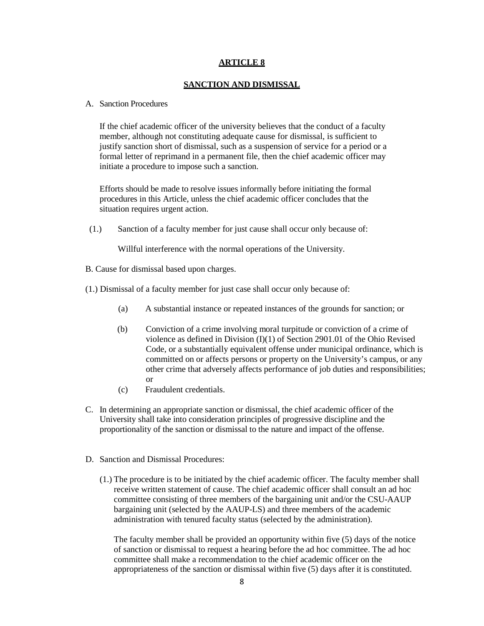#### **SANCTION AND DISMISSAL**

#### A. Sanction Procedures

If the chief academic officer of the university believes that the conduct of a faculty member, although not constituting adequate cause for dismissal, is sufficient to justify sanction short of dismissal, such as a suspension of service for a period or a formal letter of reprimand in a permanent file, then the chief academic officer may initiate a procedure to impose such a sanction.

Efforts should be made to resolve issues informally before initiating the formal procedures in this Article, unless the chief academic officer concludes that the situation requires urgent action.

(1.) Sanction of a faculty member for just cause shall occur only because of:

Willful interference with the normal operations of the University.

- B. Cause for dismissal based upon charges.
- (1.) Dismissal of a faculty member for just case shall occur only because of:
	- (a) A substantial instance or repeated instances of the grounds for sanction; or
	- (b) Conviction of a crime involving moral turpitude or conviction of a crime of violence as defined in Division (I)(1) of Section 2901.01 of the Ohio Revised Code, or a substantially equivalent offense under municipal ordinance, which is committed on or affects persons or property on the University's campus, or any other crime that adversely affects performance of job duties and responsibilities; or
	- (c) Fraudulent credentials.
- C. In determining an appropriate sanction or dismissal, the chief academic officer of the University shall take into consideration principles of progressive discipline and the proportionality of the sanction or dismissal to the nature and impact of the offense.
- D. Sanction and Dismissal Procedures:
	- (1.) The procedure is to be initiated by the chief academic officer. The faculty member shall receive written statement of cause. The chief academic officer shall consult an ad hoc committee consisting of three members of the bargaining unit and/or the CSU-AAUP bargaining unit (selected by the AAUP-LS) and three members of the academic administration with tenured faculty status (selected by the administration).

The faculty member shall be provided an opportunity within five (5) days of the notice of sanction or dismissal to request a hearing before the ad hoc committee. The ad hoc committee shall make a recommendation to the chief academic officer on the appropriateness of the sanction or dismissal within five (5) days after it is constituted.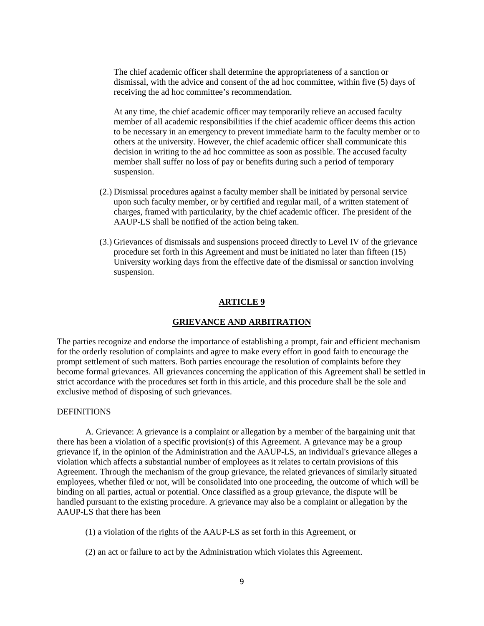The chief academic officer shall determine the appropriateness of a sanction or dismissal, with the advice and consent of the ad hoc committee, within five (5) days of receiving the ad hoc committee's recommendation.

At any time, the chief academic officer may temporarily relieve an accused faculty member of all academic responsibilities if the chief academic officer deems this action to be necessary in an emergency to prevent immediate harm to the faculty member or to others at the university. However, the chief academic officer shall communicate this decision in writing to the ad hoc committee as soon as possible. The accused faculty member shall suffer no loss of pay or benefits during such a period of temporary suspension.

- (2.) Dismissal procedures against a faculty member shall be initiated by personal service upon such faculty member, or by certified and regular mail, of a written statement of charges, framed with particularity, by the chief academic officer. The president of the AAUP-LS shall be notified of the action being taken.
- (3.) Grievances of dismissals and suspensions proceed directly to Level IV of the grievance procedure set forth in this Agreement and must be initiated no later than fifteen (15) University working days from the effective date of the dismissal or sanction involving suspension.

### **ARTICLE 9**

#### **GRIEVANCE AND ARBITRATION**

The parties recognize and endorse the importance of establishing a prompt, fair and efficient mechanism for the orderly resolution of complaints and agree to make every effort in good faith to encourage the prompt settlement of such matters. Both parties encourage the resolution of complaints before they become formal grievances. All grievances concerning the application of this Agreement shall be settled in strict accordance with the procedures set forth in this article, and this procedure shall be the sole and exclusive method of disposing of such grievances.

#### **DEFINITIONS**

A. Grievance: A grievance is a complaint or allegation by a member of the bargaining unit that there has been a violation of a specific provision(s) of this Agreement. A grievance may be a group grievance if, in the opinion of the Administration and the AAUP-LS, an individual's grievance alleges a violation which affects a substantial number of employees as it relates to certain provisions of this Agreement. Through the mechanism of the group grievance, the related grievances of similarly situated employees, whether filed or not, will be consolidated into one proceeding, the outcome of which will be binding on all parties, actual or potential. Once classified as a group grievance, the dispute will be handled pursuant to the existing procedure. A grievance may also be a complaint or allegation by the AAUP-LS that there has been

- (1) a violation of the rights of the AAUP-LS as set forth in this Agreement, or
- (2) an act or failure to act by the Administration which violates this Agreement.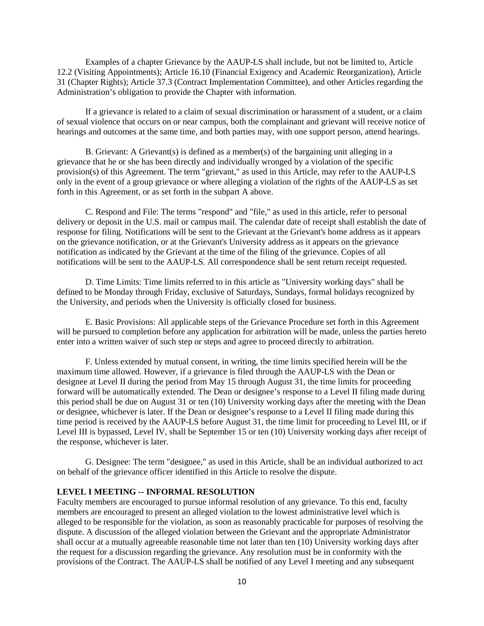Examples of a chapter Grievance by the AAUP-LS shall include, but not be limited to, Article 12.2 (Visiting Appointments); Article 16.10 (Financial Exigency and Academic Reorganization), Article 31 (Chapter Rights); Article 37.3 (Contract Implementation Committee), and other Articles regarding the Administration's obligation to provide the Chapter with information.

If a grievance is related to a claim of sexual discrimination or harassment of a student, or a claim of sexual violence that occurs on or near campus, both the complainant and grievant will receive notice of hearings and outcomes at the same time, and both parties may, with one support person, attend hearings.

B. Grievant: A Grievant(s) is defined as a member(s) of the bargaining unit alleging in a grievance that he or she has been directly and individually wronged by a violation of the specific provision(s) of this Agreement. The term "grievant," as used in this Article, may refer to the AAUP-LS only in the event of a group grievance or where alleging a violation of the rights of the AAUP-LS as set forth in this Agreement, or as set forth in the subpart A above.

C. Respond and File: The terms "respond" and "file," as used in this article, refer to personal delivery or deposit in the U.S. mail or campus mail. The calendar date of receipt shall establish the date of response for filing. Notifications will be sent to the Grievant at the Grievant's home address as it appears on the grievance notification, or at the Grievant's University address as it appears on the grievance notification as indicated by the Grievant at the time of the filing of the grievance. Copies of all notifications will be sent to the AAUP-LS. All correspondence shall be sent return receipt requested.

D. Time Limits: Time limits referred to in this article as "University working days" shall be defined to be Monday through Friday, exclusive of Saturdays, Sundays, formal holidays recognized by the University, and periods when the University is officially closed for business.

E. Basic Provisions: All applicable steps of the Grievance Procedure set forth in this Agreement will be pursued to completion before any application for arbitration will be made, unless the parties hereto enter into a written waiver of such step or steps and agree to proceed directly to arbitration.

F. Unless extended by mutual consent, in writing, the time limits specified herein will be the maximum time allowed. However, if a grievance is filed through the AAUP-LS with the Dean or designee at Level II during the period from May 15 through August 31, the time limits for proceeding forward will be automatically extended. The Dean or designee's response to a Level II filing made during this period shall be due on August 31 or ten (10) University working days after the meeting with the Dean or designee, whichever is later. If the Dean or designee's response to a Level II filing made during this time period is received by the AAUP-LS before August 31, the time limit for proceeding to Level III, or if Level III is bypassed, Level IV, shall be September 15 or ten (10) University working days after receipt of the response, whichever is later.

G. Designee: The term "designee," as used in this Article, shall be an individual authorized to act on behalf of the grievance officer identified in this Article to resolve the dispute.

#### **LEVEL I MEETING -- INFORMAL RESOLUTION**

Faculty members are encouraged to pursue informal resolution of any grievance. To this end, faculty members are encouraged to present an alleged violation to the lowest administrative level which is alleged to be responsible for the violation, as soon as reasonably practicable for purposes of resolving the dispute. A discussion of the alleged violation between the Grievant and the appropriate Administrator shall occur at a mutually agreeable reasonable time not later than ten (10) University working days after the request for a discussion regarding the grievance. Any resolution must be in conformity with the provisions of the Contract. The AAUP-LS shall be notified of any Level I meeting and any subsequent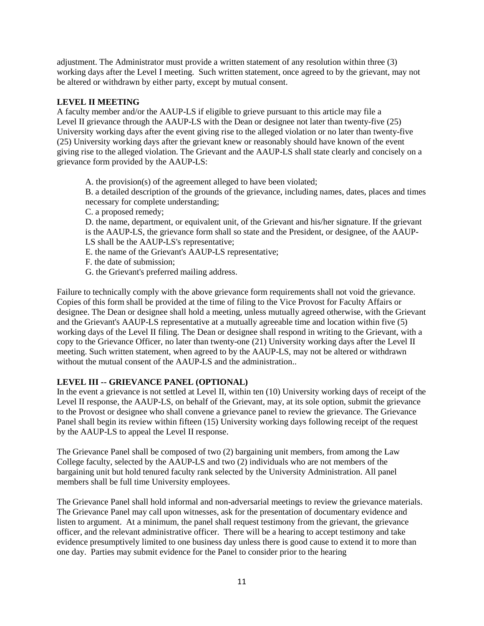adjustment. The Administrator must provide a written statement of any resolution within three (3) working days after the Level I meeting. Such written statement, once agreed to by the grievant, may not be altered or withdrawn by either party, except by mutual consent.

## **LEVEL II MEETING**

A faculty member and/or the AAUP-LS if eligible to grieve pursuant to this article may file a Level II grievance through the AAUP-LS with the Dean or designee not later than twenty-five (25) University working days after the event giving rise to the alleged violation or no later than twenty-five (25) University working days after the grievant knew or reasonably should have known of the event giving rise to the alleged violation. The Grievant and the AAUP-LS shall state clearly and concisely on a grievance form provided by the AAUP-LS:

A. the provision(s) of the agreement alleged to have been violated;

B. a detailed description of the grounds of the grievance, including names, dates, places and times necessary for complete understanding;

C. a proposed remedy;

D. the name, department, or equivalent unit, of the Grievant and his/her signature. If the grievant is the AAUP-LS, the grievance form shall so state and the President, or designee, of the AAUP-LS shall be the AAUP-LS's representative;

- E. the name of the Grievant's AAUP-LS representative;
- F. the date of submission;
- G. the Grievant's preferred mailing address.

Failure to technically comply with the above grievance form requirements shall not void the grievance. Copies of this form shall be provided at the time of filing to the Vice Provost for Faculty Affairs or designee. The Dean or designee shall hold a meeting, unless mutually agreed otherwise, with the Grievant and the Grievant's AAUP-LS representative at a mutually agreeable time and location within five (5) working days of the Level II filing. The Dean or designee shall respond in writing to the Grievant, with a copy to the Grievance Officer, no later than twenty-one (21) University working days after the Level II meeting. Such written statement, when agreed to by the AAUP-LS, may not be altered or withdrawn without the mutual consent of the AAUP-LS and the administration..

### **LEVEL III -- GRIEVANCE PANEL (OPTIONAL)**

In the event a grievance is not settled at Level II, within ten (10) University working days of receipt of the Level II response, the AAUP-LS, on behalf of the Grievant, may, at its sole option, submit the grievance to the Provost or designee who shall convene a grievance panel to review the grievance. The Grievance Panel shall begin its review within fifteen (15) University working days following receipt of the request by the AAUP-LS to appeal the Level II response.

The Grievance Panel shall be composed of two (2) bargaining unit members, from among the Law College faculty, selected by the AAUP-LS and two (2) individuals who are not members of the bargaining unit but hold tenured faculty rank selected by the University Administration. All panel members shall be full time University employees.

The Grievance Panel shall hold informal and non-adversarial meetings to review the grievance materials. The Grievance Panel may call upon witnesses, ask for the presentation of documentary evidence and listen to argument. At a minimum, the panel shall request testimony from the grievant, the grievance officer, and the relevant administrative officer. There will be a hearing to accept testimony and take evidence presumptively limited to one business day unless there is good cause to extend it to more than one day. Parties may submit evidence for the Panel to consider prior to the hearing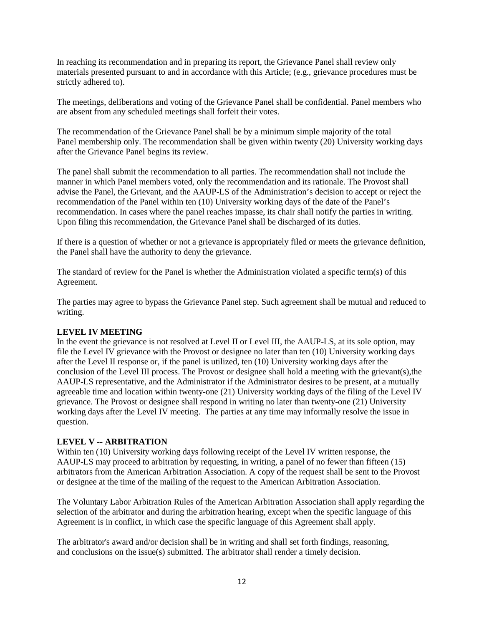In reaching its recommendation and in preparing its report, the Grievance Panel shall review only materials presented pursuant to and in accordance with this Article; (e.g., grievance procedures must be strictly adhered to).

The meetings, deliberations and voting of the Grievance Panel shall be confidential. Panel members who are absent from any scheduled meetings shall forfeit their votes.

The recommendation of the Grievance Panel shall be by a minimum simple majority of the total Panel membership only. The recommendation shall be given within twenty (20) University working days after the Grievance Panel begins its review.

The panel shall submit the recommendation to all parties. The recommendation shall not include the manner in which Panel members voted, only the recommendation and its rationale. The Provost shall advise the Panel, the Grievant, and the AAUP-LS of the Administration's decision to accept or reject the recommendation of the Panel within ten (10) University working days of the date of the Panel's recommendation. In cases where the panel reaches impasse, its chair shall notify the parties in writing. Upon filing this recommendation, the Grievance Panel shall be discharged of its duties.

If there is a question of whether or not a grievance is appropriately filed or meets the grievance definition, the Panel shall have the authority to deny the grievance.

The standard of review for the Panel is whether the Administration violated a specific term(s) of this Agreement.

The parties may agree to bypass the Grievance Panel step. Such agreement shall be mutual and reduced to writing.

### **LEVEL IV MEETING**

In the event the grievance is not resolved at Level II or Level III, the AAUP-LS, at its sole option, may file the Level IV grievance with the Provost or designee no later than ten (10) University working days after the Level II response or, if the panel is utilized, ten (10) University working days after the conclusion of the Level III process. The Provost or designee shall hold a meeting with the grievant(s),the AAUP-LS representative, and the Administrator if the Administrator desires to be present, at a mutually agreeable time and location within twenty-one (21) University working days of the filing of the Level IV grievance. The Provost or designee shall respond in writing no later than twenty-one (21) University working days after the Level IV meeting. The parties at any time may informally resolve the issue in question.

### **LEVEL V -- ARBITRATION**

Within ten (10) University working days following receipt of the Level IV written response, the AAUP-LS may proceed to arbitration by requesting, in writing, a panel of no fewer than fifteen (15) arbitrators from the American Arbitration Association. A copy of the request shall be sent to the Provost or designee at the time of the mailing of the request to the American Arbitration Association.

The Voluntary Labor Arbitration Rules of the American Arbitration Association shall apply regarding the selection of the arbitrator and during the arbitration hearing, except when the specific language of this Agreement is in conflict, in which case the specific language of this Agreement shall apply.

The arbitrator's award and/or decision shall be in writing and shall set forth findings, reasoning, and conclusions on the issue(s) submitted. The arbitrator shall render a timely decision.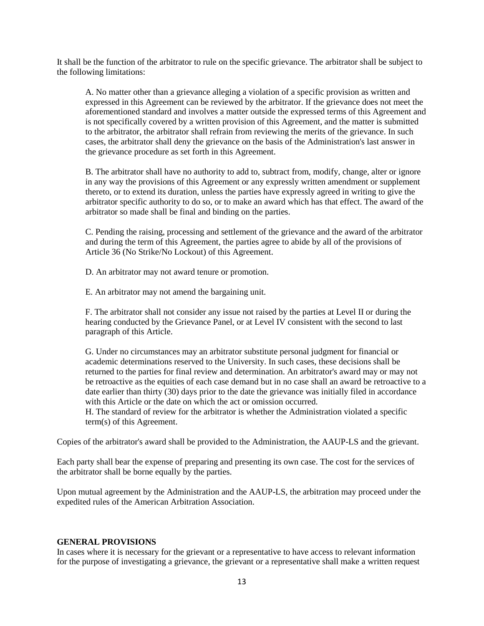It shall be the function of the arbitrator to rule on the specific grievance. The arbitrator shall be subject to the following limitations:

A. No matter other than a grievance alleging a violation of a specific provision as written and expressed in this Agreement can be reviewed by the arbitrator. If the grievance does not meet the aforementioned standard and involves a matter outside the expressed terms of this Agreement and is not specifically covered by a written provision of this Agreement, and the matter is submitted to the arbitrator, the arbitrator shall refrain from reviewing the merits of the grievance. In such cases, the arbitrator shall deny the grievance on the basis of the Administration's last answer in the grievance procedure as set forth in this Agreement.

B. The arbitrator shall have no authority to add to, subtract from, modify, change, alter or ignore in any way the provisions of this Agreement or any expressly written amendment or supplement thereto, or to extend its duration, unless the parties have expressly agreed in writing to give the arbitrator specific authority to do so, or to make an award which has that effect. The award of the arbitrator so made shall be final and binding on the parties.

C. Pending the raising, processing and settlement of the grievance and the award of the arbitrator and during the term of this Agreement, the parties agree to abide by all of the provisions of Article 36 (No Strike/No Lockout) of this Agreement.

D. An arbitrator may not award tenure or promotion.

E. An arbitrator may not amend the bargaining unit.

F. The arbitrator shall not consider any issue not raised by the parties at Level II or during the hearing conducted by the Grievance Panel, or at Level IV consistent with the second to last paragraph of this Article.

G. Under no circumstances may an arbitrator substitute personal judgment for financial or academic determinations reserved to the University. In such cases, these decisions shall be returned to the parties for final review and determination. An arbitrator's award may or may not be retroactive as the equities of each case demand but in no case shall an award be retroactive to a date earlier than thirty (30) days prior to the date the grievance was initially filed in accordance with this Article or the date on which the act or omission occurred.

H. The standard of review for the arbitrator is whether the Administration violated a specific term(s) of this Agreement.

Copies of the arbitrator's award shall be provided to the Administration, the AAUP-LS and the grievant.

Each party shall bear the expense of preparing and presenting its own case. The cost for the services of the arbitrator shall be borne equally by the parties.

Upon mutual agreement by the Administration and the AAUP-LS, the arbitration may proceed under the expedited rules of the American Arbitration Association.

#### **GENERAL PROVISIONS**

In cases where it is necessary for the grievant or a representative to have access to relevant information for the purpose of investigating a grievance, the grievant or a representative shall make a written request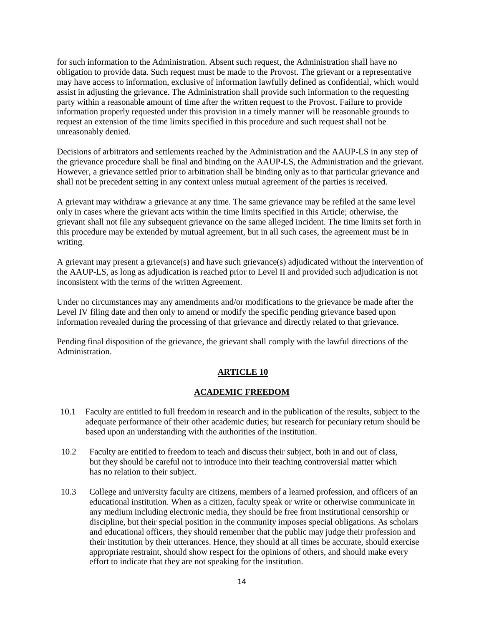for such information to the Administration. Absent such request, the Administration shall have no obligation to provide data. Such request must be made to the Provost. The grievant or a representative may have access to information, exclusive of information lawfully defined as confidential, which would assist in adjusting the grievance. The Administration shall provide such information to the requesting party within a reasonable amount of time after the written request to the Provost. Failure to provide information properly requested under this provision in a timely manner will be reasonable grounds to request an extension of the time limits specified in this procedure and such request shall not be unreasonably denied.

Decisions of arbitrators and settlements reached by the Administration and the AAUP-LS in any step of the grievance procedure shall be final and binding on the AAUP-LS, the Administration and the grievant. However, a grievance settled prior to arbitration shall be binding only as to that particular grievance and shall not be precedent setting in any context unless mutual agreement of the parties is received.

A grievant may withdraw a grievance at any time. The same grievance may be refiled at the same level only in cases where the grievant acts within the time limits specified in this Article; otherwise, the grievant shall not file any subsequent grievance on the same alleged incident. The time limits set forth in this procedure may be extended by mutual agreement, but in all such cases, the agreement must be in writing.

A grievant may present a grievance(s) and have such grievance(s) adjudicated without the intervention of the AAUP-LS, as long as adjudication is reached prior to Level II and provided such adjudication is not inconsistent with the terms of the written Agreement.

Under no circumstances may any amendments and/or modifications to the grievance be made after the Level IV filing date and then only to amend or modify the specific pending grievance based upon information revealed during the processing of that grievance and directly related to that grievance.

Pending final disposition of the grievance, the grievant shall comply with the lawful directions of the Administration.

# **ARTICLE 10**

### **ACADEMIC FREEDOM**

- 10.1 Faculty are entitled to full freedom in research and in the publication of the results, subject to the adequate performance of their other academic duties; but research for pecuniary return should be based upon an understanding with the authorities of the institution.
- 10.2 Faculty are entitled to freedom to teach and discuss their subject, both in and out of class, but they should be careful not to introduce into their teaching controversial matter which has no relation to their subject.
- 10.3 College and university faculty are citizens, members of a learned profession, and officers of an educational institution. When as a citizen, faculty speak or write or otherwise communicate in any medium including electronic media, they should be free from institutional censorship or discipline, but their special position in the community imposes special obligations. As scholars and educational officers, they should remember that the public may judge their profession and their institution by their utterances. Hence, they should at all times be accurate, should exercise appropriate restraint, should show respect for the opinions of others, and should make every effort to indicate that they are not speaking for the institution.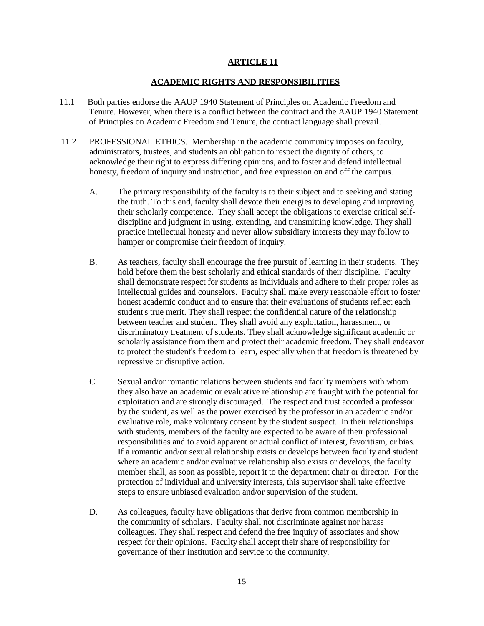#### **ACADEMIC RIGHTS AND RESPONSIBILITIES**

- 11.1 Both parties endorse the AAUP 1940 Statement of Principles on Academic Freedom and Tenure. However, when there is a conflict between the contract and the AAUP 1940 Statement of Principles on Academic Freedom and Tenure, the contract language shall prevail.
- 11.2 PROFESSIONAL ETHICS. Membership in the academic community imposes on faculty, administrators, trustees, and students an obligation to respect the dignity of others, to acknowledge their right to express differing opinions, and to foster and defend intellectual honesty, freedom of inquiry and instruction, and free expression on and off the campus.
	- A. The primary responsibility of the faculty is to their subject and to seeking and stating the truth. To this end, faculty shall devote their energies to developing and improving their scholarly competence. They shall accept the obligations to exercise critical selfdiscipline and judgment in using, extending, and transmitting knowledge. They shall practice intellectual honesty and never allow subsidiary interests they may follow to hamper or compromise their freedom of inquiry.
	- B. As teachers, faculty shall encourage the free pursuit of learning in their students. They hold before them the best scholarly and ethical standards of their discipline. Faculty shall demonstrate respect for students as individuals and adhere to their proper roles as intellectual guides and counselors. Faculty shall make every reasonable effort to foster honest academic conduct and to ensure that their evaluations of students reflect each student's true merit. They shall respect the confidential nature of the relationship between teacher and student. They shall avoid any exploitation, harassment, or discriminatory treatment of students. They shall acknowledge significant academic or scholarly assistance from them and protect their academic freedom. They shall endeavor to protect the student's freedom to learn, especially when that freedom is threatened by repressive or disruptive action.
	- C. Sexual and/or romantic relations between students and faculty members with whom they also have an academic or evaluative relationship are fraught with the potential for exploitation and are strongly discouraged. The respect and trust accorded a professor by the student, as well as the power exercised by the professor in an academic and/or evaluative role, make voluntary consent by the student suspect. In their relationships with students, members of the faculty are expected to be aware of their professional responsibilities and to avoid apparent or actual conflict of interest, favoritism, or bias. If a romantic and/or sexual relationship exists or develops between faculty and student where an academic and/or evaluative relationship also exists or develops, the faculty member shall, as soon as possible, report it to the department chair or director. For the protection of individual and university interests, this supervisor shall take effective steps to ensure unbiased evaluation and/or supervision of the student.
	- D. As colleagues, faculty have obligations that derive from common membership in the community of scholars. Faculty shall not discriminate against nor harass colleagues. They shall respect and defend the free inquiry of associates and show respect for their opinions. Faculty shall accept their share of responsibility for governance of their institution and service to the community.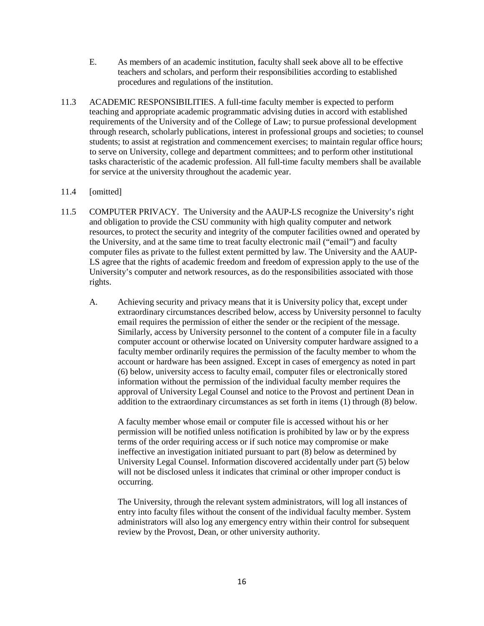- E. As members of an academic institution, faculty shall seek above all to be effective teachers and scholars, and perform their responsibilities according to established procedures and regulations of the institution.
- 11.3 ACADEMIC RESPONSIBILITIES. A full-time faculty member is expected to perform teaching and appropriate academic programmatic advising duties in accord with established requirements of the University and of the College of Law; to pursue professional development through research, scholarly publications, interest in professional groups and societies; to counsel students; to assist at registration and commencement exercises; to maintain regular office hours; to serve on University, college and department committees; and to perform other institutional tasks characteristic of the academic profession. All full-time faculty members shall be available for service at the university throughout the academic year.

### 11.4 [omitted]

- 11.5 COMPUTER PRIVACY. The University and the AAUP-LS recognize the University's right and obligation to provide the CSU community with high quality computer and network resources, to protect the security and integrity of the computer facilities owned and operated by the University, and at the same time to treat faculty electronic mail ("email") and faculty computer files as private to the fullest extent permitted by law. The University and the AAUP-LS agree that the rights of academic freedom and freedom of expression apply to the use of the University's computer and network resources, as do the responsibilities associated with those rights.
	- A. Achieving security and privacy means that it is University policy that, except under extraordinary circumstances described below, access by University personnel to faculty email requires the permission of either the sender or the recipient of the message. Similarly, access by University personnel to the content of a computer file in a faculty computer account or otherwise located on University computer hardware assigned to a faculty member ordinarily requires the permission of the faculty member to whom the account or hardware has been assigned. Except in cases of emergency as noted in part (6) below, university access to faculty email, computer files or electronically stored information without the permission of the individual faculty member requires the approval of University Legal Counsel and notice to the Provost and pertinent Dean in addition to the extraordinary circumstances as set forth in items (1) through (8) below.

A faculty member whose email or computer file is accessed without his or her permission will be notified unless notification is prohibited by law or by the express terms of the order requiring access or if such notice may compromise or make ineffective an investigation initiated pursuant to part (8) below as determined by University Legal Counsel. Information discovered accidentally under part (5) below will not be disclosed unless it indicates that criminal or other improper conduct is occurring.

The University, through the relevant system administrators, will log all instances of entry into faculty files without the consent of the individual faculty member. System administrators will also log any emergency entry within their control for subsequent review by the Provost, Dean, or other university authority.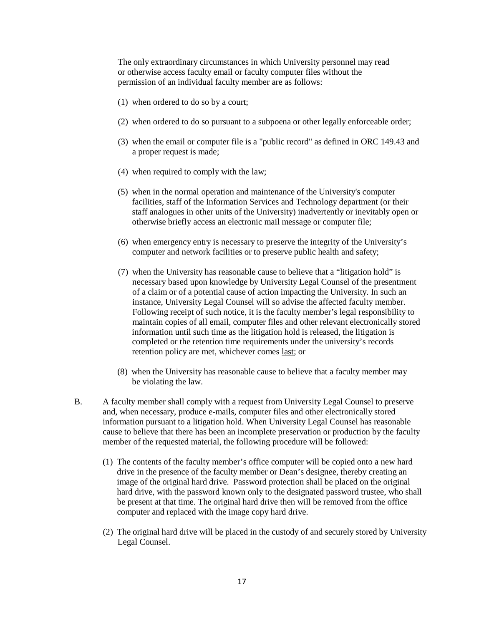The only extraordinary circumstances in which University personnel may read or otherwise access faculty email or faculty computer files without the permission of an individual faculty member are as follows:

- (1) when ordered to do so by a court;
- (2) when ordered to do so pursuant to a subpoena or other legally enforceable order;
- (3) when the email or computer file is a "public record" as defined in ORC 149.43 and a proper request is made;
- (4) when required to comply with the law;
- (5) when in the normal operation and maintenance of the University's computer facilities, staff of the Information Services and Technology department (or their staff analogues in other units of the University) inadvertently or inevitably open or otherwise briefly access an electronic mail message or computer file;
- (6) when emergency entry is necessary to preserve the integrity of the University's computer and network facilities or to preserve public health and safety;
- (7) when the University has reasonable cause to believe that a "litigation hold" is necessary based upon knowledge by University Legal Counsel of the presentment of a claim or of a potential cause of action impacting the University. In such an instance, University Legal Counsel will so advise the affected faculty member. Following receipt of such notice, it is the faculty member's legal responsibility to maintain copies of all email, computer files and other relevant electronically stored information until such time as the litigation hold is released, the litigation is completed or the retention time requirements under the university's records retention policy are met, whichever comes last; or
- (8) when the University has reasonable cause to believe that a faculty member may be violating the law.
- B. A faculty member shall comply with a request from University Legal Counsel to preserve and, when necessary, produce e-mails, computer files and other electronically stored information pursuant to a litigation hold. When University Legal Counsel has reasonable cause to believe that there has been an incomplete preservation or production by the faculty member of the requested material, the following procedure will be followed:
	- (1) The contents of the faculty member's office computer will be copied onto a new hard drive in the presence of the faculty member or Dean's designee, thereby creating an image of the original hard drive. Password protection shall be placed on the original hard drive, with the password known only to the designated password trustee, who shall be present at that time. The original hard drive then will be removed from the office computer and replaced with the image copy hard drive.
	- (2) The original hard drive will be placed in the custody of and securely stored by University Legal Counsel.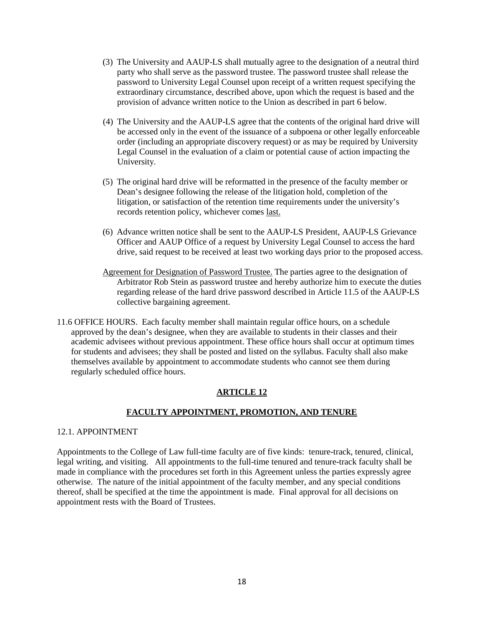- (3) The University and AAUP-LS shall mutually agree to the designation of a neutral third party who shall serve as the password trustee. The password trustee shall release the password to University Legal Counsel upon receipt of a written request specifying the extraordinary circumstance, described above, upon which the request is based and the provision of advance written notice to the Union as described in part 6 below.
- (4) The University and the AAUP-LS agree that the contents of the original hard drive will be accessed only in the event of the issuance of a subpoena or other legally enforceable order (including an appropriate discovery request) or as may be required by University Legal Counsel in the evaluation of a claim or potential cause of action impacting the University.
- (5) The original hard drive will be reformatted in the presence of the faculty member or Dean's designee following the release of the litigation hold, completion of the litigation, or satisfaction of the retention time requirements under the university's records retention policy, whichever comes last.
- (6) Advance written notice shall be sent to the AAUP-LS President, AAUP-LS Grievance Officer and AAUP Office of a request by University Legal Counsel to access the hard drive, said request to be received at least two working days prior to the proposed access.
- Agreement for Designation of Password Trustee. The parties agree to the designation of Arbitrator Rob Stein as password trustee and hereby authorize him to execute the duties regarding release of the hard drive password described in Article 11.5 of the AAUP-LS collective bargaining agreement.
- 11.6 OFFICE HOURS. Each faculty member shall maintain regular office hours, on a schedule approved by the dean's designee, when they are available to students in their classes and their academic advisees without previous appointment. These office hours shall occur at optimum times for students and advisees; they shall be posted and listed on the syllabus. Faculty shall also make themselves available by appointment to accommodate students who cannot see them during regularly scheduled office hours.

### **FACULTY APPOINTMENT, PROMOTION, AND TENURE**

### 12.1. APPOINTMENT

Appointments to the College of Law full-time faculty are of five kinds: tenure-track, tenured, clinical, legal writing, and visiting. All appointments to the full-time tenured and tenure-track faculty shall be made in compliance with the procedures set forth in this Agreement unless the parties expressly agree otherwise. The nature of the initial appointment of the faculty member, and any special conditions thereof, shall be specified at the time the appointment is made. Final approval for all decisions on appointment rests with the Board of Trustees.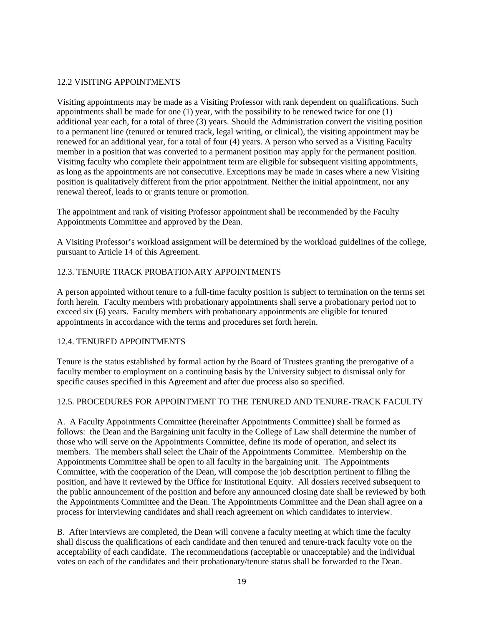### 12.2 VISITING APPOINTMENTS

Visiting appointments may be made as a Visiting Professor with rank dependent on qualifications. Such appointments shall be made for one  $(1)$  year, with the possibility to be renewed twice for one  $(1)$ additional year each, for a total of three (3) years. Should the Administration convert the visiting position to a permanent line (tenured or tenured track, legal writing, or clinical), the visiting appointment may be renewed for an additional year, for a total of four (4) years. A person who served as a Visiting Faculty member in a position that was converted to a permanent position may apply for the permanent position. Visiting faculty who complete their appointment term are eligible for subsequent visiting appointments, as long as the appointments are not consecutive. Exceptions may be made in cases where a new Visiting position is qualitatively different from the prior appointment. Neither the initial appointment, nor any renewal thereof, leads to or grants tenure or promotion.

The appointment and rank of visiting Professor appointment shall be recommended by the Faculty Appointments Committee and approved by the Dean.

A Visiting Professor's workload assignment will be determined by the workload guidelines of the college, pursuant to Article 14 of this Agreement.

# 12.3. TENURE TRACK PROBATIONARY APPOINTMENTS

A person appointed without tenure to a full-time faculty position is subject to termination on the terms set forth herein. Faculty members with probationary appointments shall serve a probationary period not to exceed six (6) years. Faculty members with probationary appointments are eligible for tenured appointments in accordance with the terms and procedures set forth herein.

### 12.4. TENURED APPOINTMENTS

Tenure is the status established by formal action by the Board of Trustees granting the prerogative of a faculty member to employment on a continuing basis by the University subject to dismissal only for specific causes specified in this Agreement and after due process also so specified.

### 12.5. PROCEDURES FOR APPOINTMENT TO THE TENURED AND TENURE-TRACK FACULTY

A. A Faculty Appointments Committee (hereinafter Appointments Committee) shall be formed as follows: the Dean and the Bargaining unit faculty in the College of Law shall determine the number of those who will serve on the Appointments Committee, define its mode of operation, and select its members. The members shall select the Chair of the Appointments Committee. Membership on the Appointments Committee shall be open to all faculty in the bargaining unit. The Appointments Committee, with the cooperation of the Dean, will compose the job description pertinent to filling the position, and have it reviewed by the Office for Institutional Equity. All dossiers received subsequent to the public announcement of the position and before any announced closing date shall be reviewed by both the Appointments Committee and the Dean. The Appointments Committee and the Dean shall agree on a process for interviewing candidates and shall reach agreement on which candidates to interview.

B. After interviews are completed, the Dean will convene a faculty meeting at which time the faculty shall discuss the qualifications of each candidate and then tenured and tenure-track faculty vote on the acceptability of each candidate. The recommendations (acceptable or unacceptable) and the individual votes on each of the candidates and their probationary/tenure status shall be forwarded to the Dean.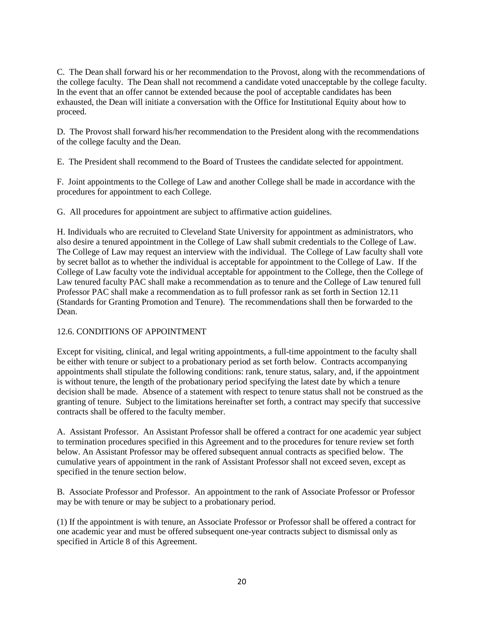C. The Dean shall forward his or her recommendation to the Provost, along with the recommendations of the college faculty. The Dean shall not recommend a candidate voted unacceptable by the college faculty. In the event that an offer cannot be extended because the pool of acceptable candidates has been exhausted, the Dean will initiate a conversation with the Office for Institutional Equity about how to proceed.

D. The Provost shall forward his/her recommendation to the President along with the recommendations of the college faculty and the Dean.

E. The President shall recommend to the Board of Trustees the candidate selected for appointment.

F. Joint appointments to the College of Law and another College shall be made in accordance with the procedures for appointment to each College.

G. All procedures for appointment are subject to affirmative action guidelines.

H. Individuals who are recruited to Cleveland State University for appointment as administrators, who also desire a tenured appointment in the College of Law shall submit credentials to the College of Law. The College of Law may request an interview with the individual. The College of Law faculty shall vote by secret ballot as to whether the individual is acceptable for appointment to the College of Law. If the College of Law faculty vote the individual acceptable for appointment to the College, then the College of Law tenured faculty PAC shall make a recommendation as to tenure and the College of Law tenured full Professor PAC shall make a recommendation as to full professor rank as set forth in Section 12.11 (Standards for Granting Promotion and Tenure). The recommendations shall then be forwarded to the Dean.

# 12.6. CONDITIONS OF APPOINTMENT

Except for visiting, clinical, and legal writing appointments, a full-time appointment to the faculty shall be either with tenure or subject to a probationary period as set forth below. Contracts accompanying appointments shall stipulate the following conditions: rank, tenure status, salary, and, if the appointment is without tenure, the length of the probationary period specifying the latest date by which a tenure decision shall be made. Absence of a statement with respect to tenure status shall not be construed as the granting of tenure. Subject to the limitations hereinafter set forth, a contract may specify that successive contracts shall be offered to the faculty member.

A. Assistant Professor. An Assistant Professor shall be offered a contract for one academic year subject to termination procedures specified in this Agreement and to the procedures for tenure review set forth below. An Assistant Professor may be offered subsequent annual contracts as specified below. The cumulative years of appointment in the rank of Assistant Professor shall not exceed seven, except as specified in the tenure section below.

B. Associate Professor and Professor. An appointment to the rank of Associate Professor or Professor may be with tenure or may be subject to a probationary period.

(1) If the appointment is with tenure, an Associate Professor or Professor shall be offered a contract for one academic year and must be offered subsequent one-year contracts subject to dismissal only as specified in Article 8 of this Agreement.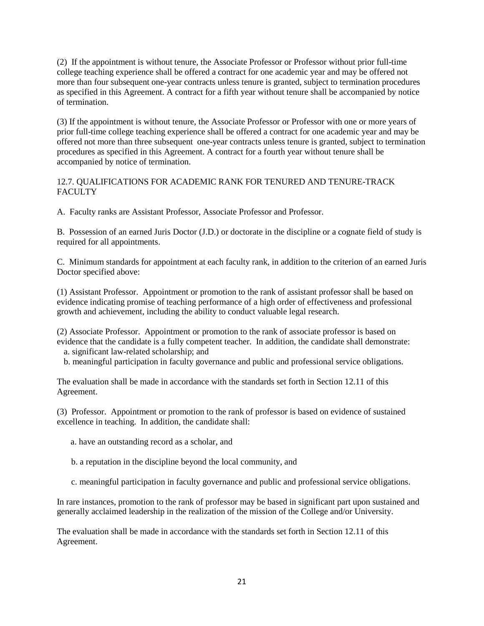(2) If the appointment is without tenure, the Associate Professor or Professor without prior full-time college teaching experience shall be offered a contract for one academic year and may be offered not more than four subsequent one-year contracts unless tenure is granted, subject to termination procedures as specified in this Agreement. A contract for a fifth year without tenure shall be accompanied by notice of termination.

(3) If the appointment is without tenure, the Associate Professor or Professor with one or more years of prior full-time college teaching experience shall be offered a contract for one academic year and may be offered not more than three subsequent one-year contracts unless tenure is granted, subject to termination procedures as specified in this Agreement. A contract for a fourth year without tenure shall be accompanied by notice of termination.

## 12.7. QUALIFICATIONS FOR ACADEMIC RANK FOR TENURED AND TENURE-TRACK **FACULTY**

A. Faculty ranks are Assistant Professor, Associate Professor and Professor.

B. Possession of an earned Juris Doctor (J.D.) or doctorate in the discipline or a cognate field of study is required for all appointments.

C. Minimum standards for appointment at each faculty rank, in addition to the criterion of an earned Juris Doctor specified above:

(1) Assistant Professor. Appointment or promotion to the rank of assistant professor shall be based on evidence indicating promise of teaching performance of a high order of effectiveness and professional growth and achievement, including the ability to conduct valuable legal research.

(2) Associate Professor. Appointment or promotion to the rank of associate professor is based on evidence that the candidate is a fully competent teacher. In addition, the candidate shall demonstrate:

a. significant law-related scholarship; and

b. meaningful participation in faculty governance and public and professional service obligations.

The evaluation shall be made in accordance with the standards set forth in Section 12.11 of this Agreement.

(3) Professor. Appointment or promotion to the rank of professor is based on evidence of sustained excellence in teaching. In addition, the candidate shall:

a. have an outstanding record as a scholar, and

- b. a reputation in the discipline beyond the local community, and
- c. meaningful participation in faculty governance and public and professional service obligations.

In rare instances, promotion to the rank of professor may be based in significant part upon sustained and generally acclaimed leadership in the realization of the mission of the College and/or University.

The evaluation shall be made in accordance with the standards set forth in Section 12.11 of this Agreement.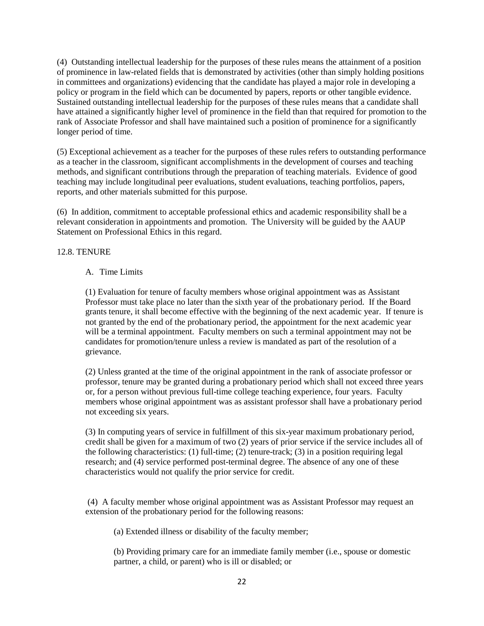(4) Outstanding intellectual leadership for the purposes of these rules means the attainment of a position of prominence in law-related fields that is demonstrated by activities (other than simply holding positions in committees and organizations) evidencing that the candidate has played a major role in developing a policy or program in the field which can be documented by papers, reports or other tangible evidence. Sustained outstanding intellectual leadership for the purposes of these rules means that a candidate shall have attained a significantly higher level of prominence in the field than that required for promotion to the rank of Associate Professor and shall have maintained such a position of prominence for a significantly longer period of time.

(5) Exceptional achievement as a teacher for the purposes of these rules refers to outstanding performance as a teacher in the classroom, significant accomplishments in the development of courses and teaching methods, and significant contributions through the preparation of teaching materials. Evidence of good teaching may include longitudinal peer evaluations, student evaluations, teaching portfolios, papers, reports, and other materials submitted for this purpose.

(6) In addition, commitment to acceptable professional ethics and academic responsibility shall be a relevant consideration in appointments and promotion. The University will be guided by the AAUP Statement on Professional Ethics in this regard.

## 12.8. TENURE

### A. Time Limits

(1) Evaluation for tenure of faculty members whose original appointment was as Assistant Professor must take place no later than the sixth year of the probationary period. If the Board grants tenure, it shall become effective with the beginning of the next academic year. If tenure is not granted by the end of the probationary period, the appointment for the next academic year will be a terminal appointment. Faculty members on such a terminal appointment may not be candidates for promotion/tenure unless a review is mandated as part of the resolution of a grievance.

(2) Unless granted at the time of the original appointment in the rank of associate professor or professor, tenure may be granted during a probationary period which shall not exceed three years or, for a person without previous full-time college teaching experience, four years. Faculty members whose original appointment was as assistant professor shall have a probationary period not exceeding six years.

(3) In computing years of service in fulfillment of this six-year maximum probationary period, credit shall be given for a maximum of two (2) years of prior service if the service includes all of the following characteristics: (1) full-time; (2) tenure-track; (3) in a position requiring legal research; and (4) service performed post-terminal degree. The absence of any one of these characteristics would not qualify the prior service for credit.

(4) A faculty member whose original appointment was as Assistant Professor may request an extension of the probationary period for the following reasons:

(a) Extended illness or disability of the faculty member;

(b) Providing primary care for an immediate family member (i.e., spouse or domestic partner, a child, or parent) who is ill or disabled; or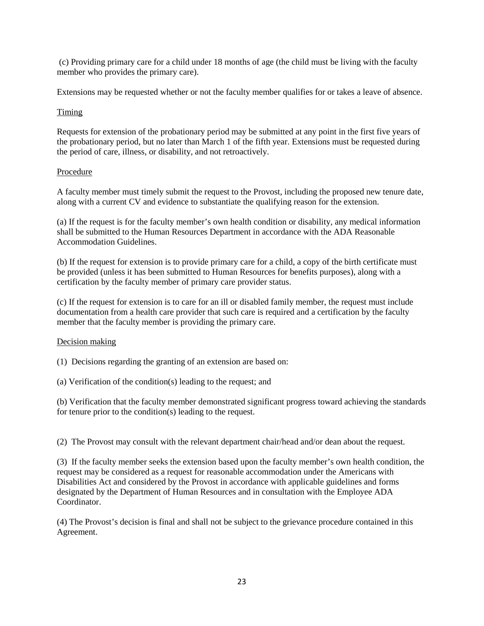(c) Providing primary care for a child under 18 months of age (the child must be living with the faculty member who provides the primary care).

Extensions may be requested whether or not the faculty member qualifies for or takes a leave of absence.

### Timing

Requests for extension of the probationary period may be submitted at any point in the first five years of the probationary period, but no later than March 1 of the fifth year. Extensions must be requested during the period of care, illness, or disability, and not retroactively.

## Procedure

A faculty member must timely submit the request to the Provost, including the proposed new tenure date, along with a current CV and evidence to substantiate the qualifying reason for the extension.

(a) If the request is for the faculty member's own health condition or disability, any medical information shall be submitted to the Human Resources Department in accordance with the ADA Reasonable Accommodation Guidelines.

(b) If the request for extension is to provide primary care for a child, a copy of the birth certificate must be provided (unless it has been submitted to Human Resources for benefits purposes), along with a certification by the faculty member of primary care provider status.

(c) If the request for extension is to care for an ill or disabled family member, the request must include documentation from a health care provider that such care is required and a certification by the faculty member that the faculty member is providing the primary care.

### Decision making

(1) Decisions regarding the granting of an extension are based on:

(a) Verification of the condition(s) leading to the request; and

(b) Verification that the faculty member demonstrated significant progress toward achieving the standards for tenure prior to the condition(s) leading to the request.

(2) The Provost may consult with the relevant department chair/head and/or dean about the request.

(3) If the faculty member seeks the extension based upon the faculty member's own health condition, the request may be considered as a request for reasonable accommodation under the Americans with Disabilities Act and considered by the Provost in accordance with applicable guidelines and forms designated by the Department of Human Resources and in consultation with the Employee ADA Coordinator.

(4) The Provost's decision is final and shall not be subject to the grievance procedure contained in this Agreement.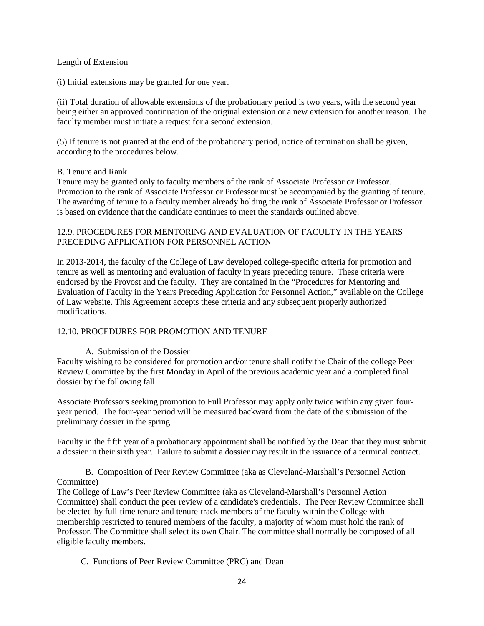#### Length of Extension

(i) Initial extensions may be granted for one year.

(ii) Total duration of allowable extensions of the probationary period is two years, with the second year being either an approved continuation of the original extension or a new extension for another reason. The faculty member must initiate a request for a second extension.

(5) If tenure is not granted at the end of the probationary period, notice of termination shall be given, according to the procedures below.

### B. Tenure and Rank

Tenure may be granted only to faculty members of the rank of Associate Professor or Professor. Promotion to the rank of Associate Professor or Professor must be accompanied by the granting of tenure. The awarding of tenure to a faculty member already holding the rank of Associate Professor or Professor is based on evidence that the candidate continues to meet the standards outlined above.

### 12.9. PROCEDURES FOR MENTORING AND EVALUATION OF FACULTY IN THE YEARS PRECEDING APPLICATION FOR PERSONNEL ACTION

In 2013-2014, the faculty of the College of Law developed college-specific criteria for promotion and tenure as well as mentoring and evaluation of faculty in years preceding tenure. These criteria were endorsed by the Provost and the faculty. They are contained in the "Procedures for Mentoring and Evaluation of Faculty in the Years Preceding Application for Personnel Action," available on the College of Law website. This Agreement accepts these criteria and any subsequent properly authorized modifications.

### 12.10. PROCEDURES FOR PROMOTION AND TENURE

### A. Submission of the Dossier

Faculty wishing to be considered for promotion and/or tenure shall notify the Chair of the college Peer Review Committee by the first Monday in April of the previous academic year and a completed final dossier by the following fall.

Associate Professors seeking promotion to Full Professor may apply only twice within any given fouryear period. The four-year period will be measured backward from the date of the submission of the preliminary dossier in the spring.

Faculty in the fifth year of a probationary appointment shall be notified by the Dean that they must submit a dossier in their sixth year. Failure to submit a dossier may result in the issuance of a terminal contract.

B. Composition of Peer Review Committee (aka as Cleveland-Marshall's Personnel Action Committee)

The College of Law's Peer Review Committee (aka as Cleveland-Marshall's Personnel Action Committee) shall conduct the peer review of a candidate's credentials. The Peer Review Committee shall be elected by full-time tenure and tenure-track members of the faculty within the College with membership restricted to tenured members of the faculty, a majority of whom must hold the rank of Professor. The Committee shall select its own Chair. The committee shall normally be composed of all eligible faculty members.

C. Functions of Peer Review Committee (PRC) and Dean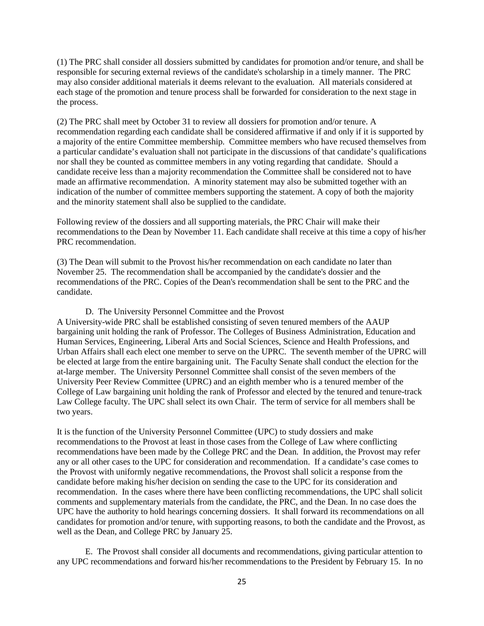(1) The PRC shall consider all dossiers submitted by candidates for promotion and/or tenure, and shall be responsible for securing external reviews of the candidate's scholarship in a timely manner. The PRC may also consider additional materials it deems relevant to the evaluation. All materials considered at each stage of the promotion and tenure process shall be forwarded for consideration to the next stage in the process.

(2) The PRC shall meet by October 31 to review all dossiers for promotion and/or tenure. A recommendation regarding each candidate shall be considered affirmative if and only if it is supported by a majority of the entire Committee membership. Committee members who have recused themselves from a particular candidate's evaluation shall not participate in the discussions of that candidate's qualifications nor shall they be counted as committee members in any voting regarding that candidate. Should a candidate receive less than a majority recommendation the Committee shall be considered not to have made an affirmative recommendation. A minority statement may also be submitted together with an indication of the number of committee members supporting the statement. A copy of both the majority and the minority statement shall also be supplied to the candidate.

Following review of the dossiers and all supporting materials, the PRC Chair will make their recommendations to the Dean by November 11. Each candidate shall receive at this time a copy of his/her PRC recommendation.

(3) The Dean will submit to the Provost his/her recommendation on each candidate no later than November 25. The recommendation shall be accompanied by the candidate's dossier and the recommendations of the PRC. Copies of the Dean's recommendation shall be sent to the PRC and the candidate.

#### D. The University Personnel Committee and the Provost

A University-wide PRC shall be established consisting of seven tenured members of the AAUP bargaining unit holding the rank of Professor. The Colleges of Business Administration, Education and Human Services, Engineering, Liberal Arts and Social Sciences, Science and Health Professions, and Urban Affairs shall each elect one member to serve on the UPRC. The seventh member of the UPRC will be elected at large from the entire bargaining unit. The Faculty Senate shall conduct the election for the at-large member. The University Personnel Committee shall consist of the seven members of the University Peer Review Committee (UPRC) and an eighth member who is a tenured member of the College of Law bargaining unit holding the rank of Professor and elected by the tenured and tenure-track Law College faculty. The UPC shall select its own Chair. The term of service for all members shall be two years.

It is the function of the University Personnel Committee (UPC) to study dossiers and make recommendations to the Provost at least in those cases from the College of Law where conflicting recommendations have been made by the College PRC and the Dean. In addition, the Provost may refer any or all other cases to the UPC for consideration and recommendation. If a candidate's case comes to the Provost with uniformly negative recommendations, the Provost shall solicit a response from the candidate before making his/her decision on sending the case to the UPC for its consideration and recommendation. In the cases where there have been conflicting recommendations, the UPC shall solicit comments and supplementary materials from the candidate, the PRC, and the Dean. In no case does the UPC have the authority to hold hearings concerning dossiers. It shall forward its recommendations on all candidates for promotion and/or tenure, with supporting reasons, to both the candidate and the Provost, as well as the Dean, and College PRC by January 25.

 E. The Provost shall consider all documents and recommendations, giving particular attention to any UPC recommendations and forward his/her recommendations to the President by February 15. In no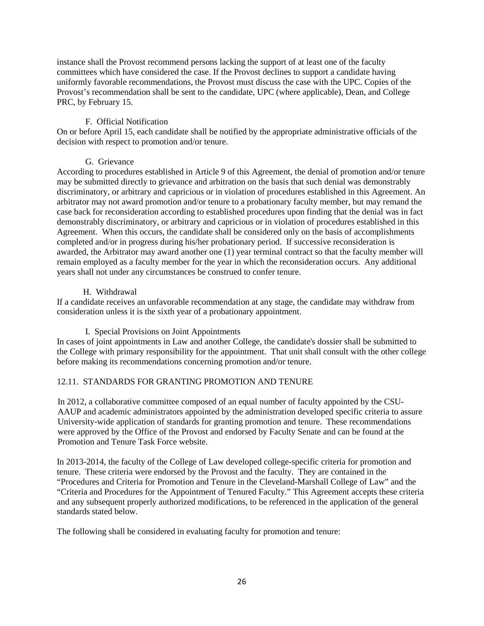instance shall the Provost recommend persons lacking the support of at least one of the faculty committees which have considered the case. If the Provost declines to support a candidate having uniformly favorable recommendations, the Provost must discuss the case with the UPC. Copies of the Provost's recommendation shall be sent to the candidate, UPC (where applicable), Dean, and College PRC, by February 15.

## F. Official Notification

On or before April 15, each candidate shall be notified by the appropriate administrative officials of the decision with respect to promotion and/or tenure.

## G. Grievance

According to procedures established in Article 9 of this Agreement, the denial of promotion and/or tenure may be submitted directly to grievance and arbitration on the basis that such denial was demonstrably discriminatory, or arbitrary and capricious or in violation of procedures established in this Agreement. An arbitrator may not award promotion and/or tenure to a probationary faculty member, but may remand the case back for reconsideration according to established procedures upon finding that the denial was in fact demonstrably discriminatory, or arbitrary and capricious or in violation of procedures established in this Agreement. When this occurs, the candidate shall be considered only on the basis of accomplishments completed and/or in progress during his/her probationary period. If successive reconsideration is awarded, the Arbitrator may award another one (1) year terminal contract so that the faculty member will remain employed as a faculty member for the year in which the reconsideration occurs. Any additional years shall not under any circumstances be construed to confer tenure.

## H. Withdrawal

If a candidate receives an unfavorable recommendation at any stage, the candidate may withdraw from consideration unless it is the sixth year of a probationary appointment.

I. Special Provisions on Joint Appointments

In cases of joint appointments in Law and another College, the candidate's dossier shall be submitted to the College with primary responsibility for the appointment. That unit shall consult with the other college before making its recommendations concerning promotion and/or tenure.

# 12.11. STANDARDS FOR GRANTING PROMOTION AND TENURE

In 2012, a collaborative committee composed of an equal number of faculty appointed by the CSU-AAUP and academic administrators appointed by the administration developed specific criteria to assure University-wide application of standards for granting promotion and tenure. These recommendations were approved by the Office of the Provost and endorsed by Faculty Senate and can be found at the Promotion and Tenure Task Force website.

In 2013-2014, the faculty of the College of Law developed college-specific criteria for promotion and tenure. These criteria were endorsed by the Provost and the faculty. They are contained in the "Procedures and Criteria for Promotion and Tenure in the Cleveland-Marshall College of Law" and the "Criteria and Procedures for the Appointment of Tenured Faculty." This Agreement accepts these criteria and any subsequent properly authorized modifications, to be referenced in the application of the general standards stated below.

The following shall be considered in evaluating faculty for promotion and tenure: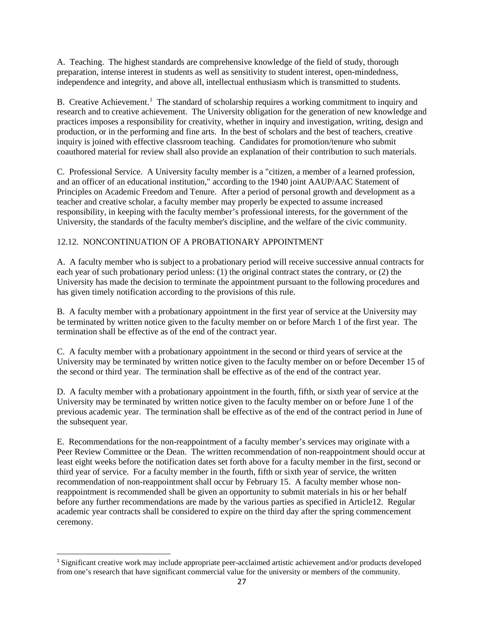A. Teaching. The highest standards are comprehensive knowledge of the field of study, thorough preparation, intense interest in students as well as sensitivity to student interest, open-mindedness, independence and integrity, and above all, intellectual enthusiasm which is transmitted to students.

B. Creative Achievement.<sup>1</sup> The standard of scholarship requires a working commitment to inquiry and research and to creative achievement. The University obligation for the generation of new knowledge and practices imposes a responsibility for creativity, whether in inquiry and investigation, writing, design and production, or in the performing and fine arts. In the best of scholars and the best of teachers, creative inquiry is joined with effective classroom teaching. Candidates for promotion/tenure who submit coauthored material for review shall also provide an explanation of their contribution to such materials.

C. Professional Service. A University faculty member is a "citizen, a member of a learned profession, and an officer of an educational institution," according to the 1940 joint AAUP/AAC Statement of Principles on Academic Freedom and Tenure. After a period of personal growth and development as a teacher and creative scholar, a faculty member may properly be expected to assume increased responsibility, in keeping with the faculty member's professional interests, for the government of the University, the standards of the faculty member's discipline, and the welfare of the civic community.

## 12.12. NONCONTINUATION OF A PROBATIONARY APPOINTMENT

A. A faculty member who is subject to a probationary period will receive successive annual contracts for each year of such probationary period unless: (1) the original contract states the contrary, or (2) the University has made the decision to terminate the appointment pursuant to the following procedures and has given timely notification according to the provisions of this rule.

B. A faculty member with a probationary appointment in the first year of service at the University may be terminated by written notice given to the faculty member on or before March 1 of the first year. The termination shall be effective as of the end of the contract year.

C. A faculty member with a probationary appointment in the second or third years of service at the University may be terminated by written notice given to the faculty member on or before December 15 of the second or third year. The termination shall be effective as of the end of the contract year.

D. A faculty member with a probationary appointment in the fourth, fifth, or sixth year of service at the University may be terminated by written notice given to the faculty member on or before June 1 of the previous academic year. The termination shall be effective as of the end of the contract period in June of the subsequent year.

E. Recommendations for the non-reappointment of a faculty member's services may originate with a Peer Review Committee or the Dean. The written recommendation of non-reappointment should occur at least eight weeks before the notification dates set forth above for a faculty member in the first, second or third year of service. For a faculty member in the fourth, fifth or sixth year of service, the written recommendation of non-reappointment shall occur by February 15. A faculty member whose nonreappointment is recommended shall be given an opportunity to submit materials in his or her behalf before any further recommendations are made by the various parties as specified in Article12. Regular academic year contracts shall be considered to expire on the third day after the spring commencement ceremony.

 $\overline{a}$ 

<sup>&</sup>lt;sup>1</sup> Significant creative work may include appropriate peer-acclaimed artistic achievement and/or products developed from one's research that have significant commercial value for the university or members of the community.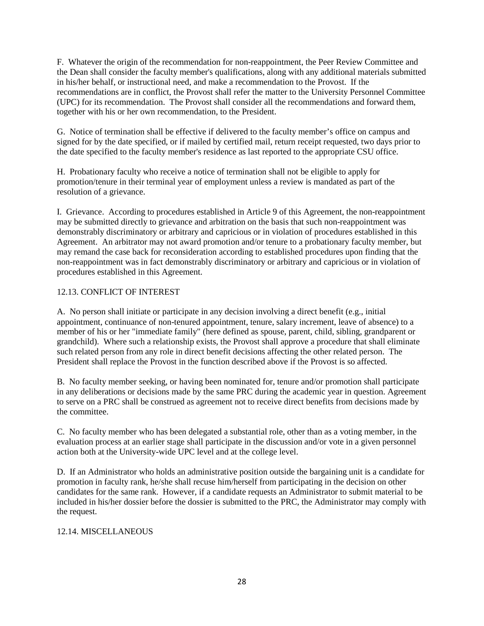F. Whatever the origin of the recommendation for non-reappointment, the Peer Review Committee and the Dean shall consider the faculty member's qualifications, along with any additional materials submitted in his/her behalf, or instructional need, and make a recommendation to the Provost. If the recommendations are in conflict, the Provost shall refer the matter to the University Personnel Committee (UPC) for its recommendation. The Provost shall consider all the recommendations and forward them, together with his or her own recommendation, to the President.

G. Notice of termination shall be effective if delivered to the faculty member's office on campus and signed for by the date specified, or if mailed by certified mail, return receipt requested, two days prior to the date specified to the faculty member's residence as last reported to the appropriate CSU office.

H. Probationary faculty who receive a notice of termination shall not be eligible to apply for promotion/tenure in their terminal year of employment unless a review is mandated as part of the resolution of a grievance.

I. Grievance. According to procedures established in Article 9 of this Agreement, the non-reappointment may be submitted directly to grievance and arbitration on the basis that such non-reappointment was demonstrably discriminatory or arbitrary and capricious or in violation of procedures established in this Agreement. An arbitrator may not award promotion and/or tenure to a probationary faculty member, but may remand the case back for reconsideration according to established procedures upon finding that the non-reappointment was in fact demonstrably discriminatory or arbitrary and capricious or in violation of procedures established in this Agreement.

# 12.13. CONFLICT OF INTEREST

A. No person shall initiate or participate in any decision involving a direct benefit (e.g., initial appointment, continuance of non-tenured appointment, tenure, salary increment, leave of absence) to a member of his or her "immediate family" (here defined as spouse, parent, child, sibling, grandparent or grandchild). Where such a relationship exists, the Provost shall approve a procedure that shall eliminate such related person from any role in direct benefit decisions affecting the other related person. The President shall replace the Provost in the function described above if the Provost is so affected.

B. No faculty member seeking, or having been nominated for, tenure and/or promotion shall participate in any deliberations or decisions made by the same PRC during the academic year in question. Agreement to serve on a PRC shall be construed as agreement not to receive direct benefits from decisions made by the committee.

C. No faculty member who has been delegated a substantial role, other than as a voting member, in the evaluation process at an earlier stage shall participate in the discussion and/or vote in a given personnel action both at the University-wide UPC level and at the college level.

D. If an Administrator who holds an administrative position outside the bargaining unit is a candidate for promotion in faculty rank, he/she shall recuse him/herself from participating in the decision on other candidates for the same rank. However, if a candidate requests an Administrator to submit material to be included in his/her dossier before the dossier is submitted to the PRC, the Administrator may comply with the request.

# 12.14. MISCELLANEOUS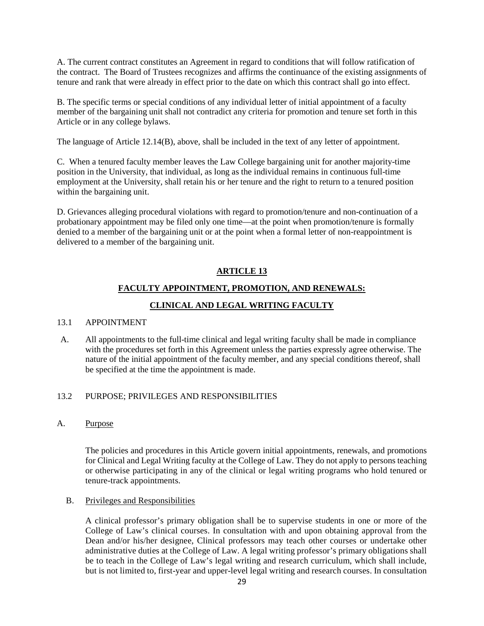A. The current contract constitutes an Agreement in regard to conditions that will follow ratification of the contract. The Board of Trustees recognizes and affirms the continuance of the existing assignments of tenure and rank that were already in effect prior to the date on which this contract shall go into effect.

B. The specific terms or special conditions of any individual letter of initial appointment of a faculty member of the bargaining unit shall not contradict any criteria for promotion and tenure set forth in this Article or in any college bylaws.

The language of Article 12.14(B), above, shall be included in the text of any letter of appointment.

C. When a tenured faculty member leaves the Law College bargaining unit for another majority-time position in the University, that individual, as long as the individual remains in continuous full-time employment at the University, shall retain his or her tenure and the right to return to a tenured position within the bargaining unit.

D. Grievances alleging procedural violations with regard to promotion/tenure and non-continuation of a probationary appointment may be filed only one time—at the point when promotion/tenure is formally denied to a member of the bargaining unit or at the point when a formal letter of non-reappointment is delivered to a member of the bargaining unit.

# **ARTICLE 13**

# **FACULTY APPOINTMENT, PROMOTION, AND RENEWALS:**

# **CLINICAL AND LEGAL WRITING FACULTY**

# 13.1 APPOINTMENT

A. All appointments to the full-time clinical and legal writing faculty shall be made in compliance with the procedures set forth in this Agreement unless the parties expressly agree otherwise. The nature of the initial appointment of the faculty member, and any special conditions thereof, shall be specified at the time the appointment is made.

### 13.2 PURPOSE; PRIVILEGES AND RESPONSIBILITIES

A. Purpose

The policies and procedures in this Article govern initial appointments, renewals, and promotions for Clinical and Legal Writing faculty at the College of Law. They do not apply to persons teaching or otherwise participating in any of the clinical or legal writing programs who hold tenured or tenure-track appointments.

### <span id="page-28-0"></span>B. Privileges and Responsibilities

A clinical professor's primary obligation shall be to supervise students in one or more of the College of Law's clinical courses. In consultation with and upon obtaining approval from the Dean and/or his/her designee, Clinical professors may teach other courses or undertake other administrative duties at the College of Law. A legal writing professor's primary obligations shall be to teach in the College of Law's legal writing and research curriculum, which shall include, but is not limited to, first-year and upper-level legal writing and research courses. In consultation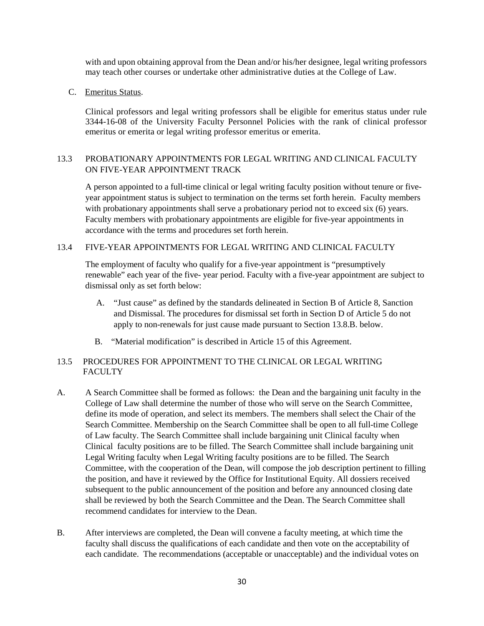with and upon obtaining approval from the Dean and/or his/her designee, legal writing professors may teach other courses or undertake other administrative duties at the College of Law.

C. Emeritus Status.

Clinical professors and legal writing professors shall be eligible for emeritus status under rule 3344-16-08 of the University Faculty Personnel Policies with the rank of clinical professor emeritus or emerita or legal writing professor emeritus or emerita.

## 13.3 PROBATIONARY APPOINTMENTS FOR LEGAL WRITING AND CLINICAL FACULTY ON FIVE-YEAR APPOINTMENT TRACK

A person appointed to a full-time clinical or legal writing faculty position without tenure or fiveyear appointment status is subject to termination on the terms set forth herein. Faculty members with probationary appointments shall serve a probationary period not to exceed six (6) years. Faculty members with probationary appointments are eligible for five-year appointments in accordance with the terms and procedures set forth herein.

### 13.4 FIVE-YEAR APPOINTMENTS FOR LEGAL WRITING AND CLINICAL FACULTY

The employment of faculty who qualify for a five-year appointment is "presumptively renewable" each year of the five- year period. Faculty with a five-year appointment are subject to dismissal only as set forth below:

- A. "Just cause" as defined by the standards delineated in Section B of Article 8, Sanction and Dismissal. The procedures for dismissal set forth in Section D of Article 5 do not apply to non-renewals for just cause made pursuant to Section 13.8.B. below.
- B. "Material modification" is described in Article 15 of this Agreement.

## 13.5 PROCEDURES FOR APPOINTMENT TO THE CLINICAL OR LEGAL WRITING **FACULTY**

- A. A Search Committee shall be formed as follows: the Dean and the bargaining unit faculty in the College of Law shall determine the number of those who will serve on the Search Committee, define its mode of operation, and select its members. The members shall select the Chair of the Search Committee. Membership on the Search Committee shall be open to all full-time College of Law faculty. The Search Committee shall include bargaining unit Clinical faculty when Clinical faculty positions are to be filled. The Search Committee shall include bargaining unit Legal Writing faculty when Legal Writing faculty positions are to be filled. The Search Committee, with the cooperation of the Dean, will compose the job description pertinent to filling the position, and have it reviewed by the Office for Institutional Equity. All dossiers received subsequent to the public announcement of the position and before any announced closing date shall be reviewed by both the Search Committee and the Dean. The Search Committee shall recommend candidates for interview to the Dean.
- B. After interviews are completed, the Dean will convene a faculty meeting, at which time the faculty shall discuss the qualifications of each candidate and then vote on the acceptability of each candidate. The recommendations (acceptable or unacceptable) and the individual votes on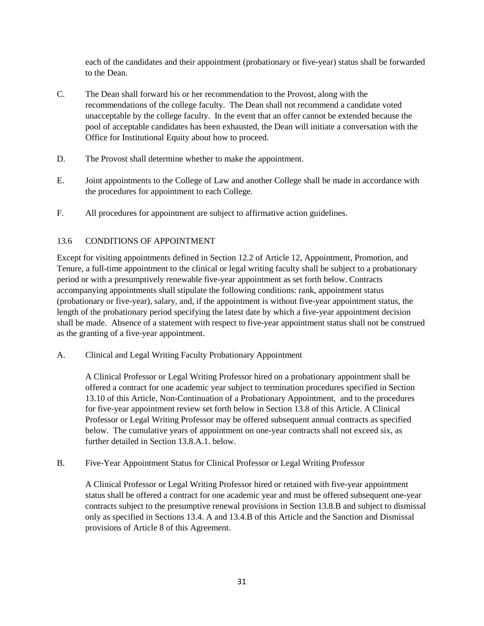each of the candidates and their appointment (probationary or five-year) status shall be forwarded to the Dean.

- C. The Dean shall forward his or her recommendation to the Provost, along with the recommendations of the college faculty. The Dean shall not recommend a candidate voted unacceptable by the college faculty. In the event that an offer cannot be extended because the pool of acceptable candidates has been exhausted, the Dean will initiate a conversation with the Office for Institutional Equity about how to proceed.
- D. The Provost shall determine whether to make the appointment.
- E. Joint appointments to the College of Law and another College shall be made in accordance with the procedures for appointment to each College.
- F. All procedures for appointment are subject to affirmative action guidelines.

## 13.6 CONDITIONS OF APPOINTMENT

Except for visiting appointments defined in Section 12.2 of Article 12, Appointment, Promotion, and Tenure, a full-time appointment to the clinical or legal writing faculty shall be subject to a probationary period or with a presumptively renewable five-year appointment as set forth below. Contracts accompanying appointments shall stipulate the following conditions: rank, appointment status (probationary or five-year), salary, and, if the appointment is without five-year appointment status, the length of the probationary period specifying the latest date by which a five-year appointment decision shall be made. Absence of a statement with respect to five-year appointment status shall not be construed as the granting of a five-year appointment.

A. Clinical and Legal Writing Faculty Probationary Appointment

A Clinical Professor or Legal Writing Professor hired on a probationary appointment shall be offered a contract for one academic year subject to termination procedures specified in Section 13.10 of this Article, Non-Continuation of a Probationary Appointment, and to the procedures for five-year appointment review set forth below in Section 13.8 of this Article. A Clinical Professor or Legal Writing Professor may be offered subsequent annual contracts as specified below. The cumulative years of appointment on one-year contracts shall not exceed six, as further detailed in Section 13.8.A.1. below.

B. Five-Year Appointment Status for Clinical Professor or Legal Writing Professor

A Clinical Professor or Legal Writing Professor hired or retained with five-year appointment status shall be offered a contract for one academic year and must be offered subsequent one-year contracts subject to the presumptive renewal provisions in Section 13.8.B and subject to dismissal only as specified in Sections 13.4. A and 13.4.B of this Article and the Sanction and Dismissal provisions of Article 8 of this Agreement.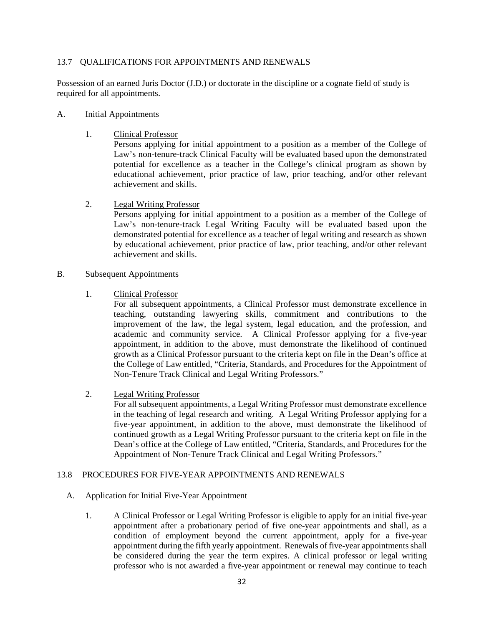### 13.7 QUALIFICATIONS FOR APPOINTMENTS AND RENEWALS

Possession of an earned Juris Doctor (J.D.) or doctorate in the discipline or a cognate field of study is required for all appointments.

- A. Initial Appointments
	- 1. Clinical Professor

Persons applying for initial appointment to a position as a member of the College of Law's non-tenure-track Clinical Faculty will be evaluated based upon the demonstrated potential for excellence as a teacher in the College's clinical program as shown by educational achievement, prior practice of law, prior teaching, and/or other relevant achievement and skills.

2. Legal Writing Professor

Persons applying for initial appointment to a position as a member of the College of Law's non-tenure-track Legal Writing Faculty will be evaluated based upon the demonstrated potential for excellence as a teacher of legal writing and research as shown by educational achievement, prior practice of law, prior teaching, and/or other relevant achievement and skills.

- B. Subsequent Appointments
	- 1. Clinical Professor

For all subsequent appointments, a Clinical Professor must demonstrate excellence in teaching, outstanding lawyering skills, commitment and contributions to the improvement of the law, the legal system, legal education, and the profession, and academic and community service. A Clinical Professor applying for a five-year appointment, in addition to the above, must demonstrate the likelihood of continued growth as a Clinical Professor pursuant to the criteria kept on file in the Dean's office at the College of Law entitled, "Criteria, Standards, and Procedures for the Appointment of Non-Tenure Track Clinical and Legal Writing Professors."

2. Legal Writing Professor

For all subsequent appointments, a Legal Writing Professor must demonstrate excellence in the teaching of legal research and writing. A Legal Writing Professor applying for a five-year appointment, in addition to the above, must demonstrate the likelihood of continued growth as a Legal Writing Professor pursuant to the criteria kept on file in the Dean's office at the College of Law entitled, "Criteria, Standards, and Procedures for the Appointment of Non-Tenure Track Clinical and Legal Writing Professors."

### 13.8 PROCEDURES FOR FIVE-YEAR APPOINTMENTS AND RENEWALS

- A. Application for Initial Five-Year Appointment
	- 1. A Clinical Professor or Legal Writing Professor is eligible to apply for an initial five-year appointment after a probationary period of five one-year appointments and shall, as a condition of employment beyond the current appointment, apply for a five-year appointment during the fifth yearly appointment. Renewals of five-year appointments shall be considered during the year the term expires. A clinical professor or legal writing professor who is not awarded a five-year appointment or renewal may continue to teach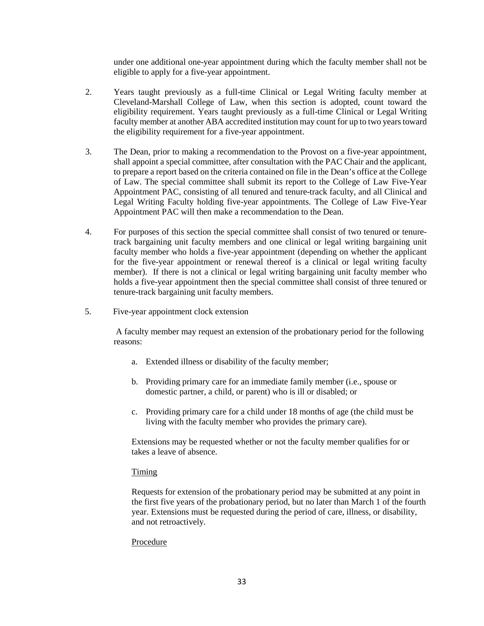under one additional one-year appointment during which the faculty member shall not be eligible to apply for a five-year appointment.

- 2. Years taught previously as a full-time Clinical or Legal Writing faculty member at Cleveland-Marshall College of Law, when this section is adopted, count toward the eligibility requirement. Years taught previously as a full-time Clinical or Legal Writing faculty member at another ABA accredited institution may count for up to two years toward the eligibility requirement for a five-year appointment.
- 3. The Dean, prior to making a recommendation to the Provost on a five-year appointment, shall appoint a special committee, after consultation with the PAC Chair and the applicant, to prepare a report based on the criteria contained on file in the Dean's office at the College of Law. The special committee shall submit its report to the College of Law Five-Year Appointment PAC, consisting of all tenured and tenure-track faculty, and all Clinical and Legal Writing Faculty holding five-year appointments. The College of Law Five-Year Appointment PAC will then make a recommendation to the Dean.
- 4. For purposes of this section the special committee shall consist of two tenured or tenuretrack bargaining unit faculty members and one clinical or legal writing bargaining unit faculty member who holds a five-year appointment (depending on whether the applicant for the five-year appointment or renewal thereof is a clinical or legal writing faculty member). If there is not a clinical or legal writing bargaining unit faculty member who holds a five-year appointment then the special committee shall consist of three tenured or tenure-track bargaining unit faculty members.
- 5. Five-year appointment clock extension

A faculty member may request an extension of the probationary period for the following reasons:

- a. Extended illness or disability of the faculty member;
- b. Providing primary care for an immediate family member (i.e., spouse or domestic partner, a child, or parent) who is ill or disabled; or
- c. Providing primary care for a child under 18 months of age (the child must be living with the faculty member who provides the primary care).

Extensions may be requested whether or not the faculty member qualifies for or takes a leave of absence.

### Timing

Requests for extension of the probationary period may be submitted at any point in the first five years of the probationary period, but no later than March 1 of the fourth year. Extensions must be requested during the period of care, illness, or disability, and not retroactively.

#### Procedure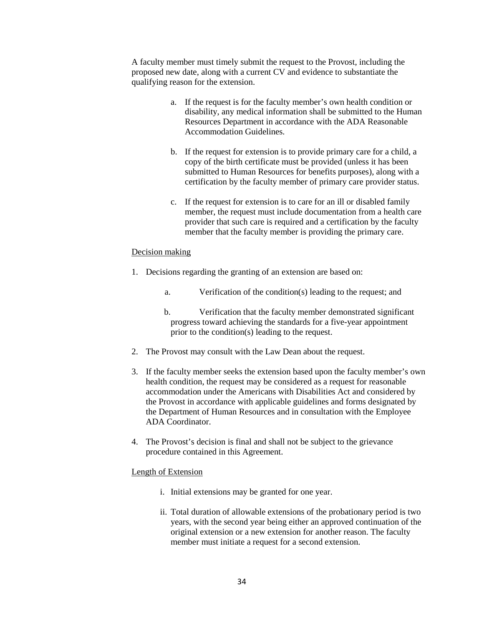A faculty member must timely submit the request to the Provost, including the proposed new date, along with a current CV and evidence to substantiate the qualifying reason for the extension.

- a. If the request is for the faculty member's own health condition or disability, any medical information shall be submitted to the Human Resources Department in accordance with the ADA Reasonable Accommodation Guidelines.
- b. If the request for extension is to provide primary care for a child, a copy of the birth certificate must be provided (unless it has been submitted to Human Resources for benefits purposes), along with a certification by the faculty member of primary care provider status.
- c. If the request for extension is to care for an ill or disabled family member, the request must include documentation from a health care provider that such care is required and a certification by the faculty member that the faculty member is providing the primary care.

#### Decision making

- 1. Decisions regarding the granting of an extension are based on:
	- a. Verification of the condition(s) leading to the request; and
	- b. Verification that the faculty member demonstrated significant progress toward achieving the standards for a five-year appointment prior to the condition(s) leading to the request.
- 2. The Provost may consult with the Law Dean about the request.
- 3. If the faculty member seeks the extension based upon the faculty member's own health condition, the request may be considered as a request for reasonable accommodation under the Americans with Disabilities Act and considered by the Provost in accordance with applicable guidelines and forms designated by the Department of Human Resources and in consultation with the Employee ADA Coordinator.
- 4. The Provost's decision is final and shall not be subject to the grievance procedure contained in this Agreement.

#### Length of Extension

- i. Initial extensions may be granted for one year.
- ii. Total duration of allowable extensions of the probationary period is two years, with the second year being either an approved continuation of the original extension or a new extension for another reason. The faculty member must initiate a request for a second extension.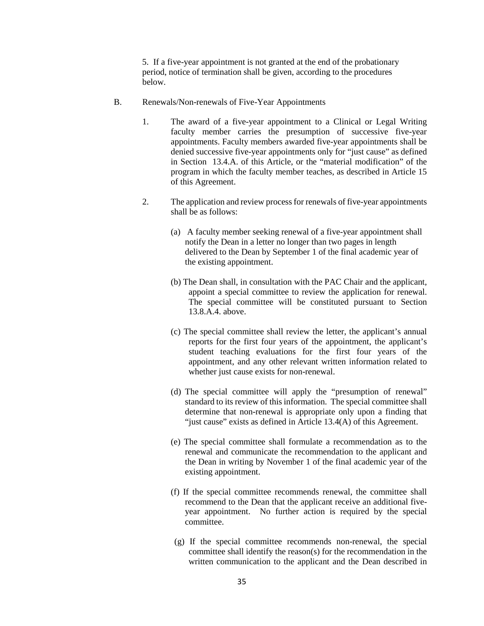5. If a five-year appointment is not granted at the end of the probationary period, notice of termination shall be given, according to the procedures below.

- B. Renewals/Non-renewals of Five-Year Appointments
	- 1. The award of a five-year appointment to a Clinical or Legal Writing faculty member carries the presumption of successive five-year appointments. Faculty members awarded five-year appointments shall be denied successive five-year appointments only for "just cause" as defined in Section 13.4.A. of this Article, or the "material modification" of the program in which the faculty member teaches, as described in Article 15 of this Agreement.
	- 2. The application and review process for renewals of five-year appointments shall be as follows:
		- (a) A faculty member seeking renewal of a five-year appointment shall notify the Dean in a letter no longer than two pages in length delivered to the Dean by September 1 of the final academic year of the existing appointment.
		- (b) The Dean shall, in consultation with the PAC Chair and the applicant, appoint a special committee to review the application for renewal. The special committee will be constituted pursuant to Section 13.8.A.4. above.
		- (c) The special committee shall review the letter, the applicant's annual reports for the first four years of the appointment, the applicant's student teaching evaluations for the first four years of the appointment, and any other relevant written information related to whether just cause exists for non-renewal.
		- (d) The special committee will apply the "presumption of renewal" standard to its review of this information. The special committee shall determine that non-renewal is appropriate only upon a finding that "just cause" exists as defined in Article 13.4(A) of this Agreement.
		- (e) The special committee shall formulate a recommendation as to the renewal and communicate the recommendation to the applicant and the Dean in writing by November 1 of the final academic year of the existing appointment.
		- (f) If the special committee recommends renewal, the committee shall recommend to the Dean that the applicant receive an additional fiveyear appointment. No further action is required by the special committee.
		- (g) If the special committee recommends non-renewal, the special committee shall identify the reason(s) for the recommendation in the written communication to the applicant and the Dean described in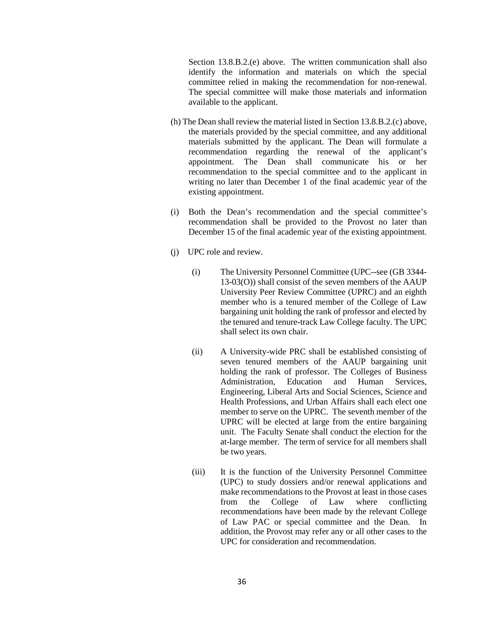Section 13.8.B.2.(e) above. The written communication shall also identify the information and materials on which the special committee relied in making the recommendation for non-renewal. The special committee will make those materials and information available to the applicant.

- (h) The Dean shall review the material listed in Section 13.8.B.2.(c) above, the materials provided by the special committee, and any additional materials submitted by the applicant. The Dean will formulate a recommendation regarding the renewal of the applicant's appointment. The Dean shall communicate his or her recommendation to the special committee and to the applicant in writing no later than December 1 of the final academic year of the existing appointment.
- (i) Both the Dean's recommendation and the special committee's recommendation shall be provided to the Provost no later than December 15 of the final academic year of the existing appointment.
- (j) UPC role and review.
	- (i) The University Personnel Committee (UPC--see (GB 3344- 13-03(O)) shall consist of the seven members of the AAUP University Peer Review Committee (UPRC) and an eighth member who is a tenured member of the College of Law bargaining unit holding the rank of professor and elected by the tenured and tenure-track Law College faculty. The UPC shall select its own chair.
	- (ii) A University-wide PRC shall be established consisting of seven tenured members of the AAUP bargaining unit holding the rank of professor. The Colleges of Business Administration, Education and Human Services, Engineering, Liberal Arts and Social Sciences, Science and Health Professions, and Urban Affairs shall each elect one member to serve on the UPRC. The seventh member of the UPRC will be elected at large from the entire bargaining unit. The Faculty Senate shall conduct the election for the at-large member. The term of service for all members shall be two years.
	- (iii) It is the function of the University Personnel Committee (UPC) to study dossiers and/or renewal applications and make recommendations to the Provost at least in those cases from the College of Law where conflicting recommendations have been made by the relevant College of Law PAC or special committee and the Dean. In addition, the Provost may refer any or all other cases to the UPC for consideration and recommendation.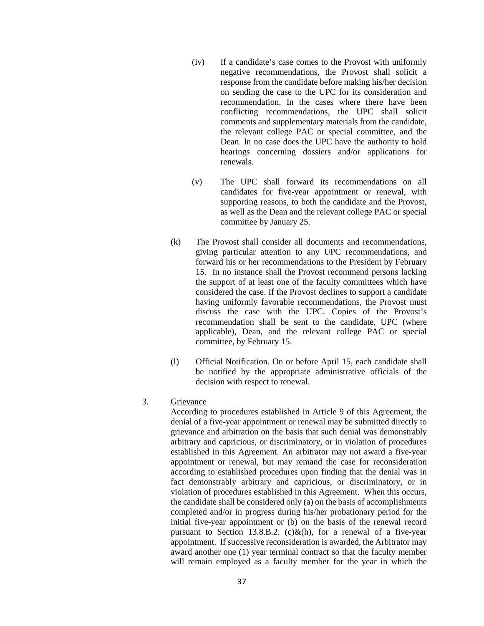- (iv) If a candidate's case comes to the Provost with uniformly negative recommendations, the Provost shall solicit a response from the candidate before making his/her decision on sending the case to the UPC for its consideration and recommendation. In the cases where there have been conflicting recommendations, the UPC shall solicit comments and supplementary materials from the candidate, the relevant college PAC or special committee, and the Dean. In no case does the UPC have the authority to hold hearings concerning dossiers and/or applications for renewals.
- (v) The UPC shall forward its recommendations on all candidates for five-year appointment or renewal, with supporting reasons, to both the candidate and the Provost, as well as the Dean and the relevant college PAC or special committee by January 25.
- (k) The Provost shall consider all documents and recommendations, giving particular attention to any UPC recommendations, and forward his or her recommendations to the President by February 15. In no instance shall the Provost recommend persons lacking the support of at least one of the faculty committees which have considered the case. If the Provost declines to support a candidate having uniformly favorable recommendations, the Provost must discuss the case with the UPC. Copies of the Provost's recommendation shall be sent to the candidate, UPC (where applicable), Dean, and the relevant college PAC or special committee, by February 15.
- (l) Official Notification. On or before April 15, each candidate shall be notified by the appropriate administrative officials of the decision with respect to renewal.

#### 3. Grievance

According to procedures established in Article 9 of this Agreement, the denial of a five-year appointment or renewal may be submitted directly to grievance and arbitration on the basis that such denial was demonstrably arbitrary and capricious, or discriminatory, or in violation of procedures established in this Agreement. An arbitrator may not award a five-year appointment or renewal, but may remand the case for reconsideration according to established procedures upon finding that the denial was in fact demonstrably arbitrary and capricious, or discriminatory, or in violation of procedures established in this Agreement. When this occurs, the candidate shall be considered only (a) on the basis of accomplishments completed and/or in progress during his/her probationary period for the initial five-year appointment or (b) on the basis of the renewal record pursuant to Section 13.8.B.2. (c) $\&$ (h), for a renewal of a five-year appointment. If successive reconsideration is awarded, the Arbitrator may award another one (1) year terminal contract so that the faculty member will remain employed as a faculty member for the year in which the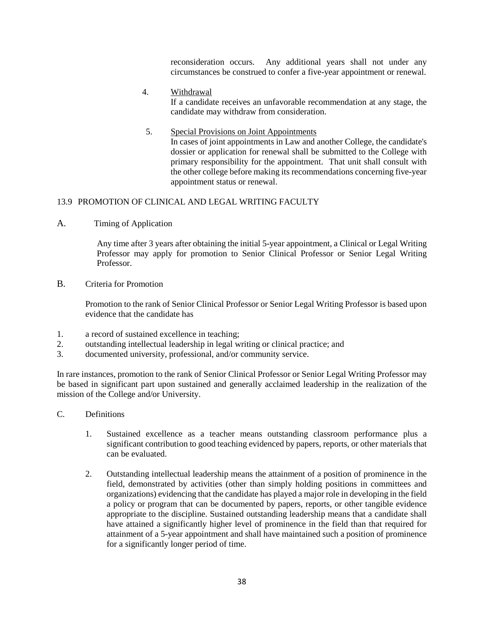reconsideration occurs. Any additional years shall not under any circumstances be construed to confer a five-year appointment or renewal.

4. Withdrawal

If a candidate receives an unfavorable recommendation at any stage, the candidate may withdraw from consideration.

5. Special Provisions on Joint Appointments

In cases of joint appointments in Law and another College, the candidate's dossier or application for renewal shall be submitted to the College with primary responsibility for the appointment. That unit shall consult with the other college before making its recommendations concerning five-year appointment status or renewal.

# 13.9 PROMOTION OF CLINICAL AND LEGAL WRITING FACULTY

A. Timing of Application

Any time after 3 years after obtaining the initial 5-year appointment, a Clinical or Legal Writing Professor may apply for promotion to Senior Clinical Professor or Senior Legal Writing Professor.

B. Criteria for Promotion

Promotion to the rank of Senior Clinical Professor or Senior Legal Writing Professor is based upon evidence that the candidate has

- 1. a record of sustained excellence in teaching;
- 2. outstanding intellectual leadership in legal writing or clinical practice; and
- 3. documented university, professional, and/or community service.

In rare instances, promotion to the rank of Senior Clinical Professor or Senior Legal Writing Professor may be based in significant part upon sustained and generally acclaimed leadership in the realization of the mission of the College and/or University.

- C. Definitions
	- 1. Sustained excellence as a teacher means outstanding classroom performance plus a significant contribution to good teaching evidenced by papers, reports, or other materials that can be evaluated.
	- 2. Outstanding intellectual leadership means the attainment of a position of prominence in the field, demonstrated by activities (other than simply holding positions in committees and organizations) evidencing that the candidate has played a major role in developing in the field a policy or program that can be documented by papers, reports, or other tangible evidence appropriate to the discipline. Sustained outstanding leadership means that a candidate shall have attained a significantly higher level of prominence in the field than that required for attainment of a 5-year appointment and shall have maintained such a position of prominence for a significantly longer period of time.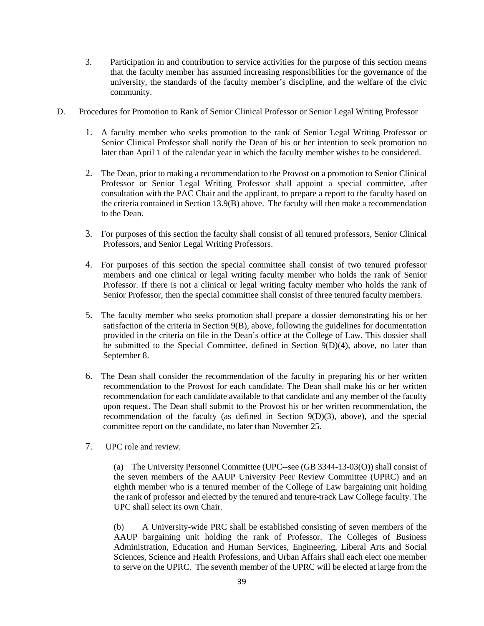- 3. Participation in and contribution to service activities for the purpose of this section means that the faculty member has assumed increasing responsibilities for the governance of the university, the standards of the faculty member's discipline, and the welfare of the civic community.
- D. Procedures for Promotion to Rank of Senior Clinical Professor or Senior Legal Writing Professor
	- 1. A faculty member who seeks promotion to the rank of Senior Legal Writing Professor or Senior Clinical Professor shall notify the Dean of his or her intention to seek promotion no later than April 1 of the calendar year in which the faculty member wishes to be considered.
	- 2. The Dean, prior to making a recommendation to the Provost on a promotion to Senior Clinical Professor or Senior Legal Writing Professor shall appoint a special committee, after consultation with the PAC Chair and the applicant, to prepare a report to the faculty based on the criteria contained in Section 13.9(B) above. The faculty will then make a recommendation to the Dean.
	- 3. For purposes of this section the faculty shall consist of all tenured professors, Senior Clinical Professors, and Senior Legal Writing Professors.
	- 4. For purposes of this section the special committee shall consist of two tenured professor members and one clinical or legal writing faculty member who holds the rank of Senior Professor. If there is not a clinical or legal writing faculty member who holds the rank of Senior Professor, then the special committee shall consist of three tenured faculty members.
	- 5. The faculty member who seeks promotion shall prepare a dossier demonstrating his or her satisfaction of the criteria in Section 9(B), above, following the guidelines for documentation provided in the criteria on file in the Dean's office at the College of Law. This dossier shall be submitted to the Special Committee, defined in Section 9(D)(4), above, no later than September 8.
	- 6. The Dean shall consider the recommendation of the faculty in preparing his or her written recommendation to the Provost for each candidate. The Dean shall make his or her written recommendation for each candidate available to that candidate and any member of the faculty upon request. The Dean shall submit to the Provost his or her written recommendation, the recommendation of the faculty (as defined in Section 9(D)(3), above), and the special committee report on the candidate, no later than November 25.
	- 7. UPC role and review.

(a) The University Personnel Committee (UPC--see (GB 3344-13-03(O)) shall consist of the seven members of the AAUP University Peer Review Committee (UPRC) and an eighth member who is a tenured member of the College of Law bargaining unit holding the rank of professor and elected by the tenured and tenure-track Law College faculty. The UPC shall select its own Chair.

(b) A University-wide PRC shall be established consisting of seven members of the AAUP bargaining unit holding the rank of Professor. The Colleges of Business Administration, Education and Human Services, Engineering, Liberal Arts and Social Sciences, Science and Health Professions, and Urban Affairs shall each elect one member to serve on the UPRC. The seventh member of the UPRC will be elected at large from the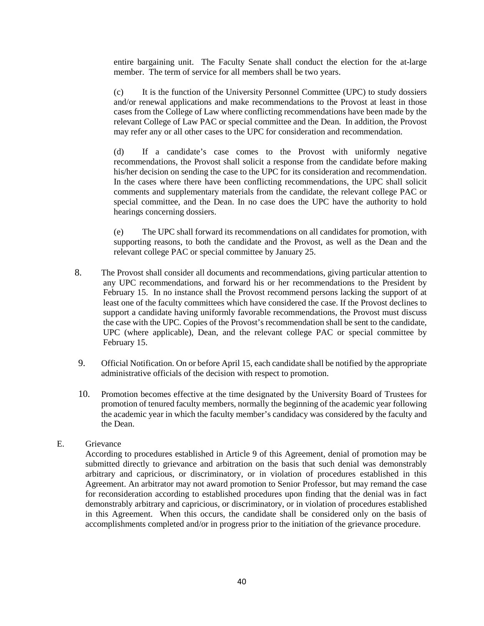entire bargaining unit. The Faculty Senate shall conduct the election for the at-large member. The term of service for all members shall be two years.

(c) It is the function of the University Personnel Committee (UPC) to study dossiers and/or renewal applications and make recommendations to the Provost at least in those cases from the College of Law where conflicting recommendations have been made by the relevant College of Law PAC or special committee and the Dean. In addition, the Provost may refer any or all other cases to the UPC for consideration and recommendation.

(d) If a candidate's case comes to the Provost with uniformly negative recommendations, the Provost shall solicit a response from the candidate before making his/her decision on sending the case to the UPC for its consideration and recommendation. In the cases where there have been conflicting recommendations, the UPC shall solicit comments and supplementary materials from the candidate, the relevant college PAC or special committee, and the Dean. In no case does the UPC have the authority to hold hearings concerning dossiers.

(e) The UPC shall forward its recommendations on all candidates for promotion, with supporting reasons, to both the candidate and the Provost, as well as the Dean and the relevant college PAC or special committee by January 25.

- 8. The Provost shall consider all documents and recommendations, giving particular attention to any UPC recommendations, and forward his or her recommendations to the President by February 15. In no instance shall the Provost recommend persons lacking the support of at least one of the faculty committees which have considered the case. If the Provost declines to support a candidate having uniformly favorable recommendations, the Provost must discuss the case with the UPC. Copies of the Provost's recommendation shall be sent to the candidate, UPC (where applicable), Dean, and the relevant college PAC or special committee by February 15.
- 9. Official Notification. On or before April 15, each candidate shall be notified by the appropriate administrative officials of the decision with respect to promotion.
- 10. Promotion becomes effective at the time designated by the University Board of Trustees for promotion of tenured faculty members, normally the beginning of the academic year following the academic year in which the faculty member's candidacy was considered by the faculty and the Dean.

### E. Grievance

According to procedures established in Article 9 of this Agreement, denial of promotion may be submitted directly to grievance and arbitration on the basis that such denial was demonstrably arbitrary and capricious, or discriminatory, or in violation of procedures established in this Agreement. An arbitrator may not award promotion to Senior Professor, but may remand the case for reconsideration according to established procedures upon finding that the denial was in fact demonstrably arbitrary and capricious, or discriminatory, or in violation of procedures established in this Agreement. When this occurs, the candidate shall be considered only on the basis of accomplishments completed and/or in progress prior to the initiation of the grievance procedure.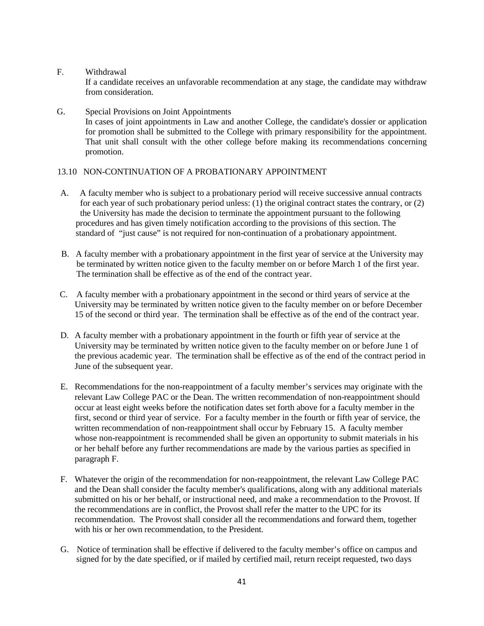### F. Withdrawal

If a candidate receives an unfavorable recommendation at any stage, the candidate may withdraw from consideration.

### G. Special Provisions on Joint Appointments In cases of joint appointments in Law and another College, the candidate's dossier or application for promotion shall be submitted to the College with primary responsibility for the appointment. That unit shall consult with the other college before making its recommendations concerning promotion.

# 13.10 NON-CONTINUATION OF A PROBATIONARY APPOINTMENT

- A. A faculty member who is subject to a probationary period will receive successive annual contracts for each year of such probationary period unless: (1) the original contract states the contrary, or (2) the University has made the decision to terminate the appointment pursuant to the following procedures and has given timely notification according to the provisions of this section. The standard of "just cause" is not required for non-continuation of a probationary appointment.
- B. A faculty member with a probationary appointment in the first year of service at the University may be terminated by written notice given to the faculty member on or before March 1 of the first year. The termination shall be effective as of the end of the contract year.
- C. A faculty member with a probationary appointment in the second or third years of service at the University may be terminated by written notice given to the faculty member on or before December 15 of the second or third year. The termination shall be effective as of the end of the contract year.
- D. A faculty member with a probationary appointment in the fourth or fifth year of service at the University may be terminated by written notice given to the faculty member on or before June 1 of the previous academic year. The termination shall be effective as of the end of the contract period in June of the subsequent year.
- E. Recommendations for the non-reappointment of a faculty member's services may originate with the relevant Law College PAC or the Dean. The written recommendation of non-reappointment should occur at least eight weeks before the notification dates set forth above for a faculty member in the first, second or third year of service. For a faculty member in the fourth or fifth year of service, the written recommendation of non-reappointment shall occur by February 15. A faculty member whose non-reappointment is recommended shall be given an opportunity to submit materials in his or her behalf before any further recommendations are made by the various parties as specified in paragraph F.
- F. Whatever the origin of the recommendation for non-reappointment, the relevant Law College PAC and the Dean shall consider the faculty member's qualifications, along with any additional materials submitted on his or her behalf, or instructional need, and make a recommendation to the Provost. If the recommendations are in conflict, the Provost shall refer the matter to the UPC for its recommendation. The Provost shall consider all the recommendations and forward them, together with his or her own recommendation, to the President.
- G. Notice of termination shall be effective if delivered to the faculty member's office on campus and signed for by the date specified, or if mailed by certified mail, return receipt requested, two days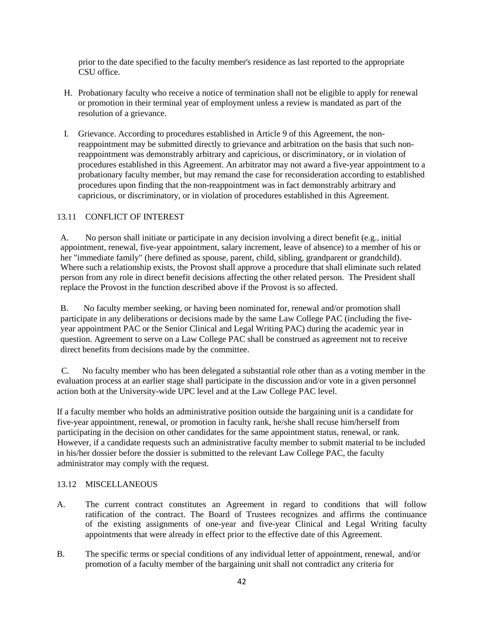prior to the date specified to the faculty member's residence as last reported to the appropriate CSU office.

- H. Probationary faculty who receive a notice of termination shall not be eligible to apply for renewal or promotion in their terminal year of employment unless a review is mandated as part of the resolution of a grievance.
- I. Grievance. According to procedures established in Article 9 of this Agreement, the nonreappointment may be submitted directly to grievance and arbitration on the basis that such nonreappointment was demonstrably arbitrary and capricious, or discriminatory, or in violation of procedures established in this Agreement. An arbitrator may not award a five-year appointment to a probationary faculty member, but may remand the case for reconsideration according to established procedures upon finding that the non-reappointment was in fact demonstrably arbitrary and capricious, or discriminatory, or in violation of procedures established in this Agreement.

# 13.11 CONFLICT OF INTEREST

A. No person shall initiate or participate in any decision involving a direct benefit (e.g., initial appointment, renewal, five-year appointment, salary increment, leave of absence) to a member of his or her "immediate family" (here defined as spouse, parent, child, sibling, grandparent or grandchild). Where such a relationship exists, the Provost shall approve a procedure that shall eliminate such related person from any role in direct benefit decisions affecting the other related person. The President shall replace the Provost in the function described above if the Provost is so affected.

B. No faculty member seeking, or having been nominated for, renewal and/or promotion shall participate in any deliberations or decisions made by the same Law College PAC (including the fiveyear appointment PAC or the Senior Clinical and Legal Writing PAC) during the academic year in question. Agreement to serve on a Law College PAC shall be construed as agreement not to receive direct benefits from decisions made by the committee.

 C. No faculty member who has been delegated a substantial role other than as a voting member in the evaluation process at an earlier stage shall participate in the discussion and/or vote in a given personnel action both at the University-wide UPC level and at the Law College PAC level.

If a faculty member who holds an administrative position outside the bargaining unit is a candidate for five-year appointment, renewal, or promotion in faculty rank, he/she shall recuse him/herself from participating in the decision on other candidates for the same appointment status, renewal, or rank. However, if a candidate requests such an administrative faculty member to submit material to be included in his/her dossier before the dossier is submitted to the relevant Law College PAC, the faculty administrator may comply with the request.

# 13.12 MISCELLANEOUS

- A. The current contract constitutes an Agreement in regard to conditions that will follow ratification of the contract. The Board of Trustees recognizes and affirms the continuance of the existing assignments of one-year and five-year Clinical and Legal Writing faculty appointments that were already in effect prior to the effective date of this Agreement.
- B. The specific terms or special conditions of any individual letter of appointment, renewal, and/or promotion of a faculty member of the bargaining unit shall not contradict any criteria for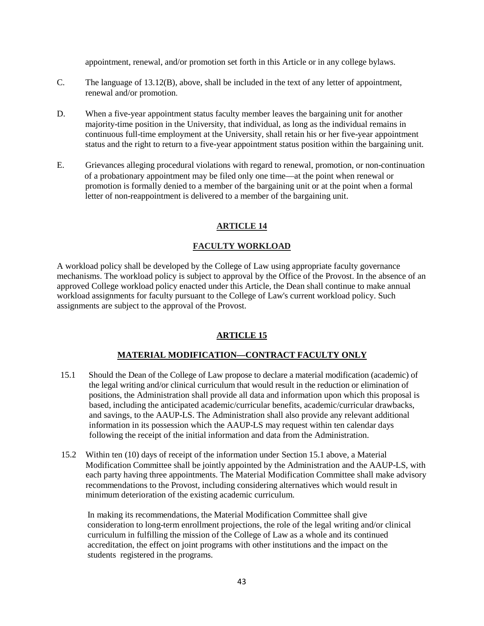appointment, renewal, and/or promotion set forth in this Article or in any college bylaws.

- C. The language of 13.12(B), above, shall be included in the text of any letter of appointment, renewal and/or promotion.
- D. When a five-year appointment status faculty member leaves the bargaining unit for another majority-time position in the University, that individual, as long as the individual remains in continuous full-time employment at the University, shall retain his or her five-year appointment status and the right to return to a five-year appointment status position within the bargaining unit.
- E. Grievances alleging procedural violations with regard to renewal, promotion, or non-continuation of a probationary appointment may be filed only one time—at the point when renewal or promotion is formally denied to a member of the bargaining unit or at the point when a formal letter of non-reappointment is delivered to a member of the bargaining unit.

# **ARTICLE 14**

# **FACULTY WORKLOAD**

A workload policy shall be developed by the College of Law using appropriate faculty governance mechanisms. The workload policy is subject to approval by the Office of the Provost. In the absence of an approved College workload policy enacted under this Article, the Dean shall continue to make annual workload assignments for faculty pursuant to the College of Law's current workload policy. Such assignments are subject to the approval of the Provost.

# **ARTICLE 15**

# **MATERIAL MODIFICATION—CONTRACT FACULTY ONLY**

- 15.1 Should the Dean of the College of Law propose to declare a material modification (academic) of the legal writing and/or clinical curriculum that would result in the reduction or elimination of positions, the Administration shall provide all data and information upon which this proposal is based, including the anticipated academic/curricular benefits, academic/curricular drawbacks, and savings, to the AAUP-LS. The Administration shall also provide any relevant additional information in its possession which the AAUP-LS may request within ten calendar days following the receipt of the initial information and data from the Administration.
- 15.2 Within ten (10) days of receipt of the information under Section 15.1 above, a Material Modification Committee shall be jointly appointed by the Administration and the AAUP-LS, with each party having three appointments. The Material Modification Committee shall make advisory recommendations to the Provost, including considering alternatives which would result in minimum deterioration of the existing academic curriculum.

In making its recommendations, the Material Modification Committee shall give consideration to long-term enrollment projections, the role of the legal writing and/or clinical curriculum in fulfilling the mission of the College of Law as a whole and its continued accreditation, the effect on joint programs with other institutions and the impact on the students registered in the programs.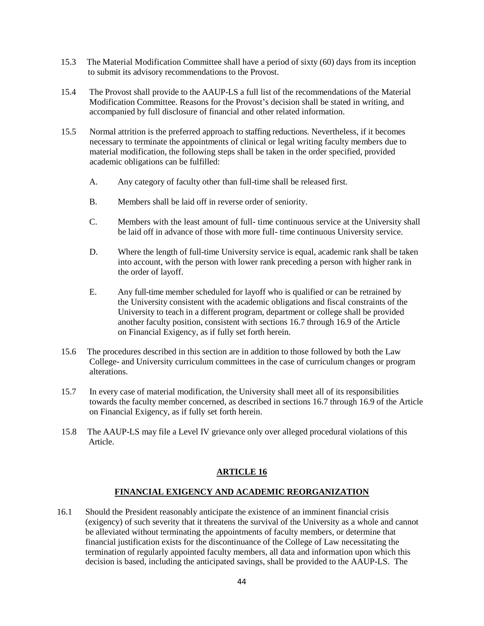- 15.3 The Material Modification Committee shall have a period of sixty (60) days from its inception to submit its advisory recommendations to the Provost.
- 15.4 The Provost shall provide to the AAUP-LS a full list of the recommendations of the Material Modification Committee. Reasons for the Provost's decision shall be stated in writing, and accompanied by full disclosure of financial and other related information.
- 15.5 Normal attrition is the preferred approach to staffing reductions. Nevertheless, if it becomes necessary to terminate the appointments of clinical or legal writing faculty members due to material modification, the following steps shall be taken in the order specified, provided academic obligations can be fulfilled:
	- A. Any category of faculty other than full-time shall be released first.
	- B. Members shall be laid off in reverse order of seniority.
	- C. Members with the least amount of full- time continuous service at the University shall be laid off in advance of those with more full- time continuous University service.
	- D. Where the length of full-time University service is equal, academic rank shall be taken into account, with the person with lower rank preceding a person with higher rank in the order of layoff.
	- E. Any full-time member scheduled for layoff who is qualified or can be retrained by the University consistent with the academic obligations and fiscal constraints of the University to teach in a different program, department or college shall be provided another faculty position, consistent with sections 16.7 through 16.9 of the Article on Financial Exigency, as if fully set forth herein.
- 15.6 The procedures described in this section are in addition to those followed by both the Law College- and University curriculum committees in the case of curriculum changes or program alterations.
- 15.7 In every case of material modification, the University shall meet all of its responsibilities towards the faculty member concerned, as described in sections 16.7 through 16.9 of the Article on Financial Exigency, as if fully set forth herein.
- 15.8 The AAUP-LS may file a Level IV grievance only over alleged procedural violations of this Article.

# **ARTICLE 16**

### **FINANCIAL EXIGENCY AND ACADEMIC REORGANIZATION**

16.1 Should the President reasonably anticipate the existence of an imminent financial crisis (exigency) of such severity that it threatens the survival of the University as a whole and cannot be alleviated without terminating the appointments of faculty members, or determine that financial justification exists for the discontinuance of the College of Law necessitating the termination of regularly appointed faculty members, all data and information upon which this decision is based, including the anticipated savings, shall be provided to the AAUP-LS. The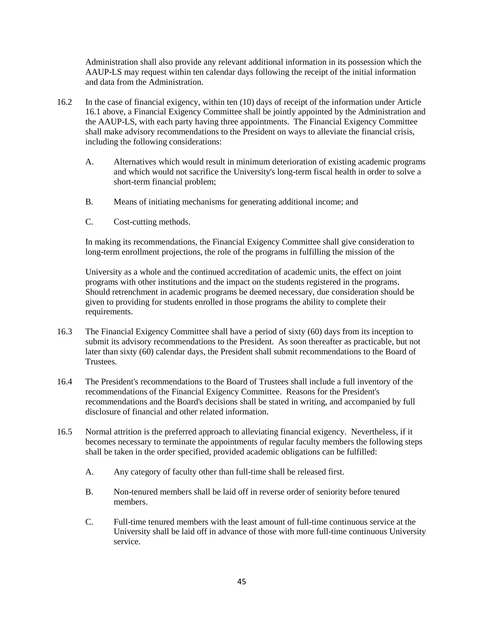Administration shall also provide any relevant additional information in its possession which the AAUP-LS may request within ten calendar days following the receipt of the initial information and data from the Administration.

- 16.2 In the case of financial exigency, within ten (10) days of receipt of the information under Article 16.1 above, a Financial Exigency Committee shall be jointly appointed by the Administration and the AAUP-LS, with each party having three appointments. The Financial Exigency Committee shall make advisory recommendations to the President on ways to alleviate the financial crisis, including the following considerations:
	- A. Alternatives which would result in minimum deterioration of existing academic programs and which would not sacrifice the University's long-term fiscal health in order to solve a short-term financial problem;
	- B. Means of initiating mechanisms for generating additional income; and
	- C. Cost-cutting methods.

In making its recommendations, the Financial Exigency Committee shall give consideration to long-term enrollment projections, the role of the programs in fulfilling the mission of the

University as a whole and the continued accreditation of academic units, the effect on joint programs with other institutions and the impact on the students registered in the programs. Should retrenchment in academic programs be deemed necessary, due consideration should be given to providing for students enrolled in those programs the ability to complete their requirements.

- 16.3 The Financial Exigency Committee shall have a period of sixty (60) days from its inception to submit its advisory recommendations to the President. As soon thereafter as practicable, but not later than sixty (60) calendar days, the President shall submit recommendations to the Board of Trustees.
- 16.4 The President's recommendations to the Board of Trustees shall include a full inventory of the recommendations of the Financial Exigency Committee. Reasons for the President's recommendations and the Board's decisions shall be stated in writing, and accompanied by full disclosure of financial and other related information.
- 16.5 Normal attrition is the preferred approach to alleviating financial exigency. Nevertheless, if it becomes necessary to terminate the appointments of regular faculty members the following steps shall be taken in the order specified, provided academic obligations can be fulfilled:
	- A. Any category of faculty other than full-time shall be released first.
	- B. Non-tenured members shall be laid off in reverse order of seniority before tenured members.
	- C. Full-time tenured members with the least amount of full-time continuous service at the University shall be laid off in advance of those with more full-time continuous University service.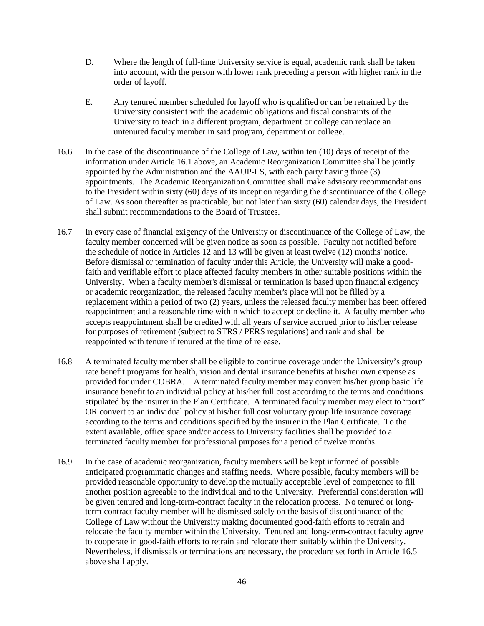- D. Where the length of full-time University service is equal, academic rank shall be taken into account, with the person with lower rank preceding a person with higher rank in the order of layoff.
- E. Any tenured member scheduled for layoff who is qualified or can be retrained by the University consistent with the academic obligations and fiscal constraints of the University to teach in a different program, department or college can replace an untenured faculty member in said program, department or college.
- 16.6 In the case of the discontinuance of the College of Law, within ten (10) days of receipt of the information under Article 16.1 above, an Academic Reorganization Committee shall be jointly appointed by the Administration and the AAUP-LS, with each party having three (3) appointments. The Academic Reorganization Committee shall make advisory recommendations to the President within sixty (60) days of its inception regarding the discontinuance of the College of Law. As soon thereafter as practicable, but not later than sixty (60) calendar days, the President shall submit recommendations to the Board of Trustees.
- 16.7 In every case of financial exigency of the University or discontinuance of the College of Law, the faculty member concerned will be given notice as soon as possible. Faculty not notified before the schedule of notice in Articles 12 and 13 will be given at least twelve (12) months' notice. Before dismissal or termination of faculty under this Article, the University will make a goodfaith and verifiable effort to place affected faculty members in other suitable positions within the University. When a faculty member's dismissal or termination is based upon financial exigency or academic reorganization, the released faculty member's place will not be filled by a replacement within a period of two (2) years, unless the released faculty member has been offered reappointment and a reasonable time within which to accept or decline it. A faculty member who accepts reappointment shall be credited with all years of service accrued prior to his/her release for purposes of retirement (subject to STRS / PERS regulations) and rank and shall be reappointed with tenure if tenured at the time of release.
- 16.8 A terminated faculty member shall be eligible to continue coverage under the University's group rate benefit programs for health, vision and dental insurance benefits at his/her own expense as provided for under COBRA. A terminated faculty member may convert his/her group basic life insurance benefit to an individual policy at his/her full cost according to the terms and conditions stipulated by the insurer in the Plan Certificate. A terminated faculty member may elect to "port" OR convert to an individual policy at his/her full cost voluntary group life insurance coverage according to the terms and conditions specified by the insurer in the Plan Certificate. To the extent available, office space and/or access to University facilities shall be provided to a terminated faculty member for professional purposes for a period of twelve months.
- 16.9 In the case of academic reorganization, faculty members will be kept informed of possible anticipated programmatic changes and staffing needs. Where possible, faculty members will be provided reasonable opportunity to develop the mutually acceptable level of competence to fill another position agreeable to the individual and to the University. Preferential consideration will be given tenured and long-term-contract faculty in the relocation process. No tenured or longterm-contract faculty member will be dismissed solely on the basis of discontinuance of the College of Law without the University making documented good-faith efforts to retrain and relocate the faculty member within the University. Tenured and long-term-contract faculty agree to cooperate in good-faith efforts to retrain and relocate them suitably within the University. Nevertheless, if dismissals or terminations are necessary, the procedure set forth in Article 16.5 above shall apply.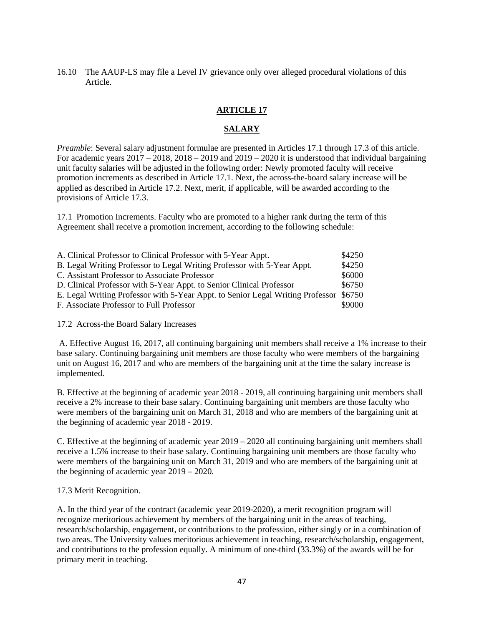16.10 The AAUP-LS may file a Level IV grievance only over alleged procedural violations of this Article.

### **ARTICLE 17**

#### **SALARY**

*Preamble*: Several salary adjustment formulae are presented in Articles 17.1 through 17.3 of this article. For academic years  $2017 - 2018$ ,  $2018 - 2019$  and  $2019 - 2020$  it is understood that individual bargaining unit faculty salaries will be adjusted in the following order: Newly promoted faculty will receive promotion increments as described in Article 17.1. Next, the across-the-board salary increase will be applied as described in Article 17.2. Next, merit, if applicable, will be awarded according to the provisions of Article 17.3.

17.1 Promotion Increments. Faculty who are promoted to a higher rank during the term of this Agreement shall receive a promotion increment, according to the following schedule:

| A. Clinical Professor to Clinical Professor with 5-Year Appt.                         | \$4250 |
|---------------------------------------------------------------------------------------|--------|
| B. Legal Writing Professor to Legal Writing Professor with 5-Year Appt.               | \$4250 |
| C. Assistant Professor to Associate Professor                                         | \$6000 |
| D. Clinical Professor with 5-Year Appt. to Senior Clinical Professor                  | \$6750 |
| E. Legal Writing Professor with 5-Year Appt. to Senior Legal Writing Professor \$6750 |        |
| F. Associate Professor to Full Professor                                              | \$9000 |

17.2 Across-the Board Salary Increases

A. Effective August 16, 2017, all continuing bargaining unit members shall receive a 1% increase to their base salary. Continuing bargaining unit members are those faculty who were members of the bargaining unit on August 16, 2017 and who are members of the bargaining unit at the time the salary increase is implemented.

B. Effective at the beginning of academic year 2018 - 2019, all continuing bargaining unit members shall receive a 2% increase to their base salary. Continuing bargaining unit members are those faculty who were members of the bargaining unit on March 31, 2018 and who are members of the bargaining unit at the beginning of academic year 2018 - 2019.

C. Effective at the beginning of academic year  $2019 - 2020$  all continuing bargaining unit members shall receive a 1.5% increase to their base salary. Continuing bargaining unit members are those faculty who were members of the bargaining unit on March 31, 2019 and who are members of the bargaining unit at the beginning of academic year 2019 – 2020.

#### 17.3 Merit Recognition.

A. In the third year of the contract (academic year 2019-2020), a merit recognition program will recognize meritorious achievement by members of the bargaining unit in the areas of teaching, research/scholarship, engagement, or contributions to the profession, either singly or in a combination of two areas. The University values meritorious achievement in teaching, research/scholarship, engagement, and contributions to the profession equally. A minimum of one-third (33.3%) of the awards will be for primary merit in teaching.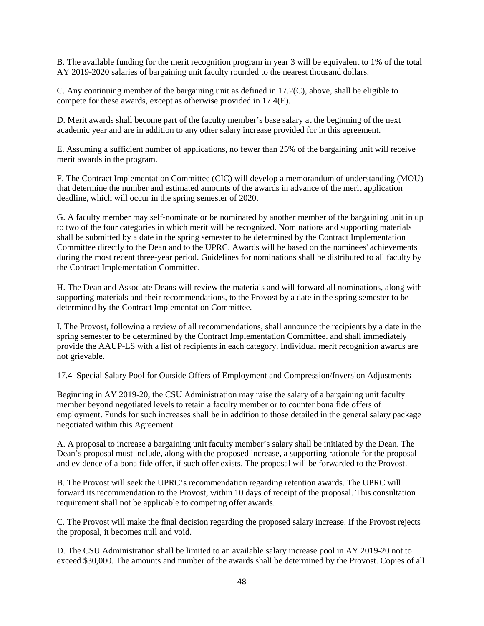B. The available funding for the merit recognition program in year 3 will be equivalent to 1% of the total AY 2019-2020 salaries of bargaining unit faculty rounded to the nearest thousand dollars.

C. Any continuing member of the bargaining unit as defined in 17.2(C), above, shall be eligible to compete for these awards, except as otherwise provided in 17.4(E).

D. Merit awards shall become part of the faculty member's base salary at the beginning of the next academic year and are in addition to any other salary increase provided for in this agreement.

E. Assuming a sufficient number of applications, no fewer than 25% of the bargaining unit will receive merit awards in the program.

F. The Contract Implementation Committee (CIC) will develop a memorandum of understanding (MOU) that determine the number and estimated amounts of the awards in advance of the merit application deadline, which will occur in the spring semester of 2020.

G. A faculty member may self-nominate or be nominated by another member of the bargaining unit in up to two of the four categories in which merit will be recognized. Nominations and supporting materials shall be submitted by a date in the spring semester to be determined by the Contract Implementation Committee directly to the Dean and to the UPRC. Awards will be based on the nominees' achievements during the most recent three-year period. Guidelines for nominations shall be distributed to all faculty by the Contract Implementation Committee.

H. The Dean and Associate Deans will review the materials and will forward all nominations, along with supporting materials and their recommendations, to the Provost by a date in the spring semester to be determined by the Contract Implementation Committee.

I. The Provost, following a review of all recommendations, shall announce the recipients by a date in the spring semester to be determined by the Contract Implementation Committee. and shall immediately provide the AAUP-LS with a list of recipients in each category. Individual merit recognition awards are not grievable.

17.4 Special Salary Pool for Outside Offers of Employment and Compression/Inversion Adjustments

Beginning in AY 2019-20, the CSU Administration may raise the salary of a bargaining unit faculty member beyond negotiated levels to retain a faculty member or to counter bona fide offers of employment. Funds for such increases shall be in addition to those detailed in the general salary package negotiated within this Agreement.

A. A proposal to increase a bargaining unit faculty member's salary shall be initiated by the Dean. The Dean's proposal must include, along with the proposed increase, a supporting rationale for the proposal and evidence of a bona fide offer, if such offer exists. The proposal will be forwarded to the Provost.

B. The Provost will seek the UPRC's recommendation regarding retention awards. The UPRC will forward its recommendation to the Provost, within 10 days of receipt of the proposal. This consultation requirement shall not be applicable to competing offer awards.

C. The Provost will make the final decision regarding the proposed salary increase. If the Provost rejects the proposal, it becomes null and void.

D. The CSU Administration shall be limited to an available salary increase pool in AY 2019-20 not to exceed \$30,000. The amounts and number of the awards shall be determined by the Provost. Copies of all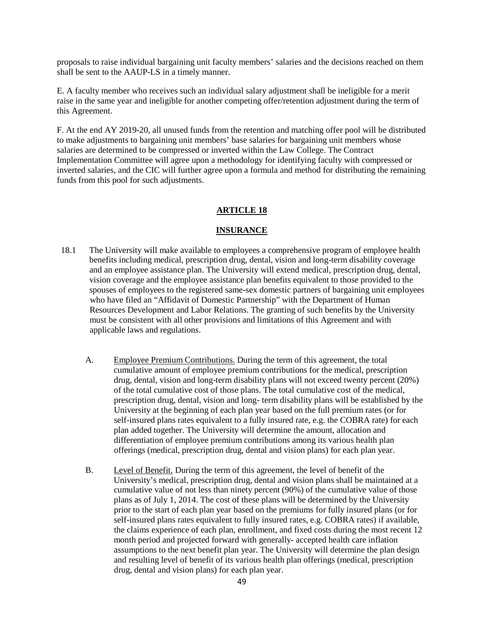proposals to raise individual bargaining unit faculty members' salaries and the decisions reached on them shall be sent to the AAUP-LS in a timely manner.

E. A faculty member who receives such an individual salary adjustment shall be ineligible for a merit raise in the same year and ineligible for another competing offer/retention adjustment during the term of this Agreement.

F. At the end AY 2019-20, all unused funds from the retention and matching offer pool will be distributed to make adjustments to bargaining unit members' base salaries for bargaining unit members whose salaries are determined to be compressed or inverted within the Law College. The Contract Implementation Committee will agree upon a methodology for identifying faculty with compressed or inverted salaries, and the CIC will further agree upon a formula and method for distributing the remaining funds from this pool for such adjustments.

### **ARTICLE 18**

#### **INSURANCE**

- 18.1 The University will make available to employees a comprehensive program of employee health benefits including medical, prescription drug, dental, vision and long-term disability coverage and an employee assistance plan. The University will extend medical, prescription drug, dental, vision coverage and the employee assistance plan benefits equivalent to those provided to the spouses of employees to the registered same-sex domestic partners of bargaining unit employees who have filed an "Affidavit of Domestic Partnership" with the Department of Human Resources Development and Labor Relations. The granting of such benefits by the University must be consistent with all other provisions and limitations of this Agreement and with applicable laws and regulations.
	- A. Employee Premium Contributions. During the term of this agreement, the total cumulative amount of employee premium contributions for the medical, prescription drug, dental, vision and long-term disability plans will not exceed twenty percent (20%) of the total cumulative cost of those plans. The total cumulative cost of the medical, prescription drug, dental, vision and long- term disability plans will be established by the University at the beginning of each plan year based on the full premium rates (or for self-insured plans rates equivalent to a fully insured rate, e.g. the COBRA rate) for each plan added together. The University will determine the amount, allocation and differentiation of employee premium contributions among its various health plan offerings (medical, prescription drug, dental and vision plans) for each plan year.
	- B. Level of Benefit. During the term of this agreement, the level of benefit of the University's medical, prescription drug, dental and vision plans shall be maintained at a cumulative value of not less than ninety percent (90%) of the cumulative value of those plans as of July 1, 2014. The cost of these plans will be determined by the University prior to the start of each plan year based on the premiums for fully insured plans (or for self-insured plans rates equivalent to fully insured rates, e.g. COBRA rates) if available, the claims experience of each plan, enrollment, and fixed costs during the most recent 12 month period and projected forward with generally- accepted health care inflation assumptions to the next benefit plan year. The University will determine the plan design and resulting level of benefit of its various health plan offerings (medical, prescription drug, dental and vision plans) for each plan year.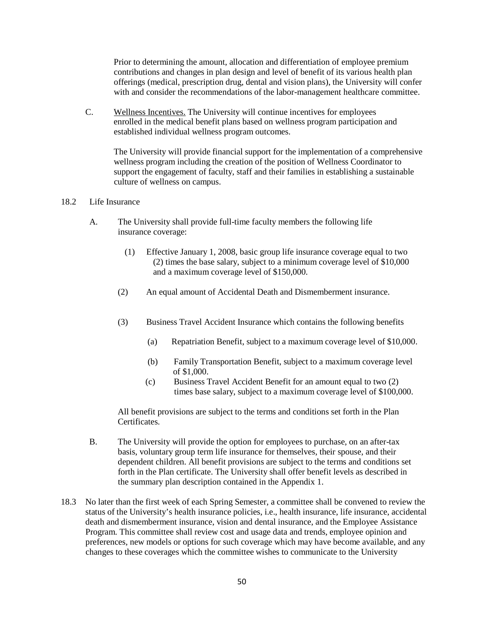Prior to determining the amount, allocation and differentiation of employee premium contributions and changes in plan design and level of benefit of its various health plan offerings (medical, prescription drug, dental and vision plans), the University will confer with and consider the recommendations of the labor-management healthcare committee.

C. Wellness Incentives. The University will continue incentives for employees enrolled in the medical benefit plans based on wellness program participation and established individual wellness program outcomes.

The University will provide financial support for the implementation of a comprehensive wellness program including the creation of the position of Wellness Coordinator to support the engagement of faculty, staff and their families in establishing a sustainable culture of wellness on campus.

#### 18.2 Life Insurance

- A. The University shall provide full-time faculty members the following life insurance coverage:
	- (1) Effective January 1, 2008, basic group life insurance coverage equal to two (2) times the base salary, subject to a minimum coverage level of \$10,000 and a maximum coverage level of \$150,000.
	- (2) An equal amount of Accidental Death and Dismemberment insurance.
	- (3) Business Travel Accident Insurance which contains the following benefits
		- (a) Repatriation Benefit, subject to a maximum coverage level of \$10,000.
		- (b) Family Transportation Benefit, subject to a maximum coverage level of \$1,000.
		- (c) Business Travel Accident Benefit for an amount equal to two (2) times base salary, subject to a maximum coverage level of \$100,000.

All benefit provisions are subject to the terms and conditions set forth in the Plan Certificates.

- B. The University will provide the option for employees to purchase, on an after-tax basis, voluntary group term life insurance for themselves, their spouse, and their dependent children. All benefit provisions are subject to the terms and conditions set forth in the Plan certificate. The University shall offer benefit levels as described in the summary plan description contained in the Appendix 1.
- 18.3 No later than the first week of each Spring Semester, a committee shall be convened to review the status of the University's health insurance policies, i.e., health insurance, life insurance, accidental death and dismemberment insurance, vision and dental insurance, and the Employee Assistance Program. This committee shall review cost and usage data and trends, employee opinion and preferences, new models or options for such coverage which may have become available, and any changes to these coverages which the committee wishes to communicate to the University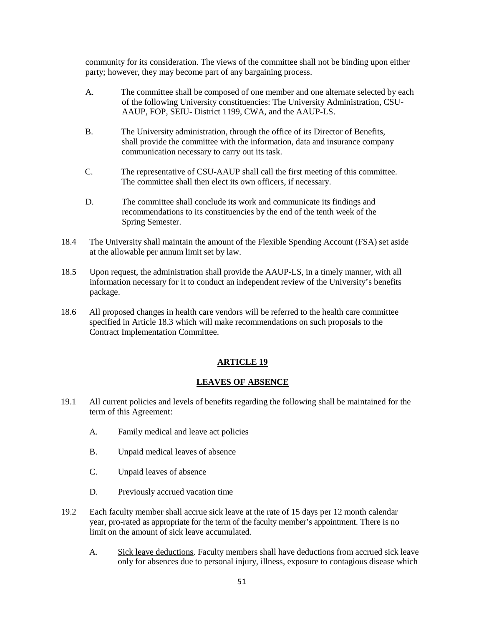community for its consideration. The views of the committee shall not be binding upon either party; however, they may become part of any bargaining process.

- A. The committee shall be composed of one member and one alternate selected by each of the following University constituencies: The University Administration, CSU-AAUP, FOP, SEIU- District 1199, CWA, and the AAUP-LS.
- B. The University administration, through the office of its Director of Benefits, shall provide the committee with the information, data and insurance company communication necessary to carry out its task.
- C. The representative of CSU-AAUP shall call the first meeting of this committee. The committee shall then elect its own officers, if necessary.
- D. The committee shall conclude its work and communicate its findings and recommendations to its constituencies by the end of the tenth week of the Spring Semester.
- 18.4 The University shall maintain the amount of the Flexible Spending Account (FSA) set aside at the allowable per annum limit set by law.
- 18.5 Upon request, the administration shall provide the AAUP-LS, in a timely manner, with all information necessary for it to conduct an independent review of the University's benefits package.
- 18.6 All proposed changes in health care vendors will be referred to the health care committee specified in Article 18.3 which will make recommendations on such proposals to the Contract Implementation Committee.

### **ARTICLE 19**

### **LEAVES OF ABSENCE**

- 19.1 All current policies and levels of benefits regarding the following shall be maintained for the term of this Agreement:
	- A. Family medical and leave act policies
	- B. Unpaid medical leaves of absence
	- C. Unpaid leaves of absence
	- D. Previously accrued vacation time
- 19.2 Each faculty member shall accrue sick leave at the rate of 15 days per 12 month calendar year, pro-rated as appropriate for the term of the faculty member's appointment. There is no limit on the amount of sick leave accumulated.
	- A. Sick leave deductions. Faculty members shall have deductions from accrued sick leave only for absences due to personal injury, illness, exposure to contagious disease which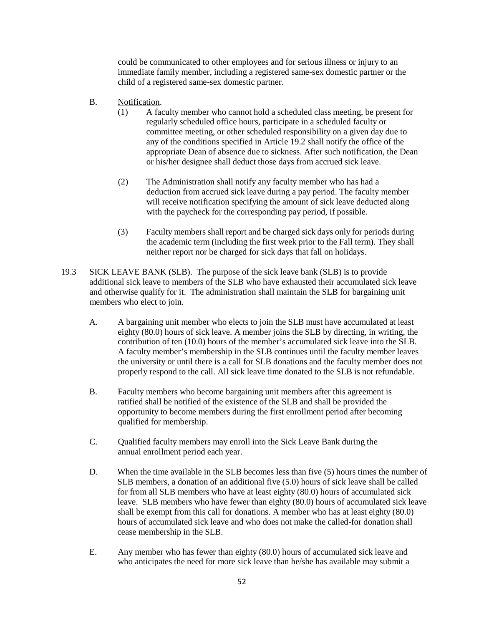could be communicated to other employees and for serious illness or injury to an immediate family member, including a registered same-sex domestic partner or the child of a registered same-sex domestic partner.

- B. Notification.
	- (1) A faculty member who cannot hold a scheduled class meeting, be present for regularly scheduled office hours, participate in a scheduled faculty or committee meeting, or other scheduled responsibility on a given day due to any of the conditions specified in Article 19.2 shall notify the office of the appropriate Dean of absence due to sickness. After such notification, the Dean or his/her designee shall deduct those days from accrued sick leave.
	- (2) The Administration shall notify any faculty member who has had a deduction from accrued sick leave during a pay period. The faculty member will receive notification specifying the amount of sick leave deducted along with the paycheck for the corresponding pay period, if possible.
	- (3) Faculty members shall report and be charged sick days only for periods during the academic term (including the first week prior to the Fall term). They shall neither report nor be charged for sick days that fall on holidays.
- 19.3 SICK LEAVE BANK (SLB). The purpose of the sick leave bank (SLB) is to provide additional sick leave to members of the SLB who have exhausted their accumulated sick leave and otherwise qualify for it. The administration shall maintain the SLB for bargaining unit members who elect to join.
	- A. A bargaining unit member who elects to join the SLB must have accumulated at least eighty (80.0) hours of sick leave. A member joins the SLB by directing, in writing, the contribution of ten (10.0) hours of the member's accumulated sick leave into the SLB. A faculty member's membership in the SLB continues until the faculty member leaves the university or until there is a call for SLB donations and the faculty member does not properly respond to the call. All sick leave time donated to the SLB is not refundable.
	- B. Faculty members who become bargaining unit members after this agreement is ratified shall be notified of the existence of the SLB and shall be provided the opportunity to become members during the first enrollment period after becoming qualified for membership.
	- C. Qualified faculty members may enroll into the Sick Leave Bank during the annual enrollment period each year.
	- D. When the time available in the SLB becomes less than five (5) hours times the number of SLB members, a donation of an additional five (5.0) hours of sick leave shall be called for from all SLB members who have at least eighty (80.0) hours of accumulated sick leave. SLB members who have fewer than eighty (80.0) hours of accumulated sick leave shall be exempt from this call for donations. A member who has at least eighty (80.0) hours of accumulated sick leave and who does not make the called-for donation shall cease membership in the SLB.
	- E. Any member who has fewer than eighty (80.0) hours of accumulated sick leave and who anticipates the need for more sick leave than he/she has available may submit a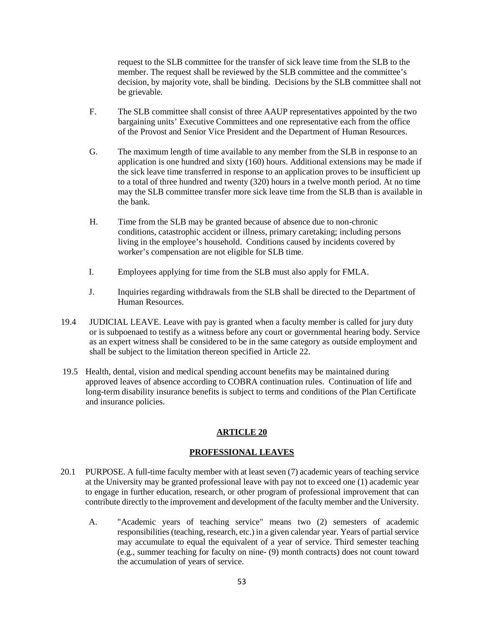request to the SLB committee for the transfer of sick leave time from the SLB to the member. The request shall be reviewed by the SLB committee and the committee's decision, by majority vote, shall be binding. Decisions by the SLB committee shall not be grievable.

- F. The SLB committee shall consist of three AAUP representatives appointed by the two bargaining units' Executive Committees and one representative each from the office of the Provost and Senior Vice President and the Department of Human Resources.
- G. The maximum length of time available to any member from the SLB in response to an application is one hundred and sixty (160) hours. Additional extensions may be made if the sick leave time transferred in response to an application proves to be insufficient up to a total of three hundred and twenty (320) hours in a twelve month period. At no time may the SLB committee transfer more sick leave time from the SLB than is available in the bank.
- H. Time from the SLB may be granted because of absence due to non-chronic conditions, catastrophic accident or illness, primary caretaking; including persons living in the employee's household. Conditions caused by incidents covered by worker's compensation are not eligible for SLB time.
- I. Employees applying for time from the SLB must also apply for FMLA.
- J. Inquiries regarding withdrawals from the SLB shall be directed to the Department of Human Resources.
- 19.4 JUDICIAL LEAVE. Leave with pay is granted when a faculty member is called for jury duty or is subpoenaed to testify as a witness before any court or governmental hearing body. Service as an expert witness shall be considered to be in the same category as outside employment and shall be subject to the limitation thereon specified in Article 22.
- 19.5 Health, dental, vision and medical spending account benefits may be maintained during approved leaves of absence according to COBRA continuation rules. Continuation of life and long-term disability insurance benefits is subject to terms and conditions of the Plan Certificate and insurance policies.

# **ARTICLE 20**

### **PROFESSIONAL LEAVES**

- 20.1 PURPOSE. A full-time faculty member with at least seven (7) academic years of teaching service at the University may be granted professional leave with pay not to exceed one (1) academic year to engage in further education, research, or other program of professional improvement that can contribute directly to the improvement and development of the faculty member and the University.
	- A. "Academic years of teaching service" means two (2) semesters of academic responsibilities (teaching, research, etc.) in a given calendar year. Years of partial service may accumulate to equal the equivalent of a year of service. Third semester teaching (e.g., summer teaching for faculty on nine- (9) month contracts) does not count toward the accumulation of years of service.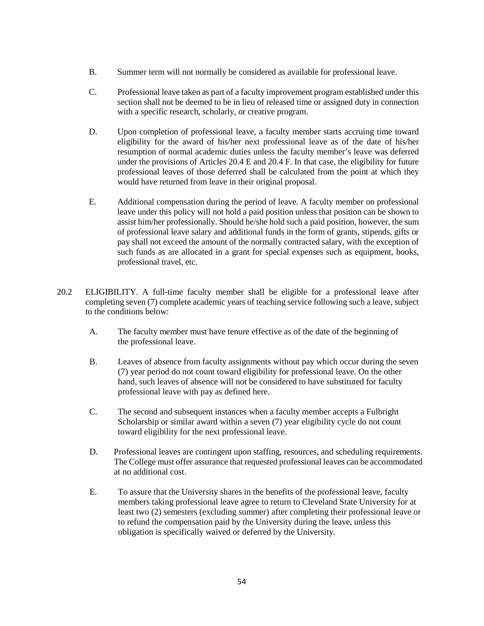- B. Summer term will not normally be considered as available for professional leave.
- C. Professional leave taken as part of a faculty improvement program established under this section shall not be deemed to be in lieu of released time or assigned duty in connection with a specific research, scholarly, or creative program.
- D. Upon completion of professional leave, a faculty member starts accruing time toward eligibility for the award of his/her next professional leave as of the date of his/her resumption of normal academic duties unless the faculty member's leave was deferred under the provisions of Articles 20.4 E and 20.4 F. In that case, the eligibility for future professional leaves of those deferred shall be calculated from the point at which they would have returned from leave in their original proposal.
- E. Additional compensation during the period of leave. A faculty member on professional leave under this policy will not hold a paid position unless that position can be shown to assist him/her professionally. Should he/she hold such a paid position, however, the sum of professional leave salary and additional funds in the form of grants, stipends, gifts or pay shall not exceed the amount of the normally contracted salary, with the exception of such funds as are allocated in a grant for special expenses such as equipment, books, professional travel, etc.
- 20.2 ELIGIBILITY. A full-time faculty member shall be eligible for a professional leave after completing seven (7) complete academic years of teaching service following such a leave, subject to the conditions below:
	- A. The faculty member must have tenure effective as of the date of the beginning of the professional leave.
	- B. Leaves of absence from faculty assignments without pay which occur during the seven (7) year period do not count toward eligibility for professional leave. On the other hand, such leaves of absence will not be considered to have substituted for faculty professional leave with pay as defined here.
	- C. The second and subsequent instances when a faculty member accepts a Fulbright Scholarship or similar award within a seven (7) year eligibility cycle do not count toward eligibility for the next professional leave.
	- D. Professional leaves are contingent upon staffing, resources, and scheduling requirements. The College must offer assurance that requested professional leaves can be accommodated at no additional cost.
	- E. To assure that the University shares in the benefits of the professional leave, faculty members taking professional leave agree to return to Cleveland State University for at least two (2) semesters (excluding summer) after completing their professional leave or to refund the compensation paid by the University during the leave, unless this obligation is specifically waived or deferred by the University.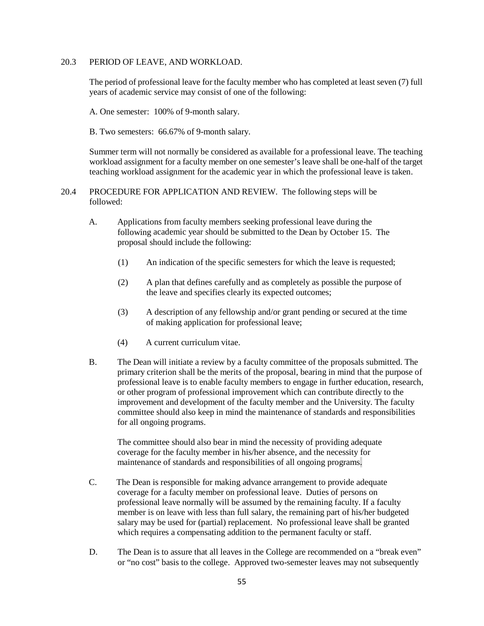#### 20.3 PERIOD OF LEAVE, AND WORKLOAD.

The period of professional leave for the faculty member who has completed at least seven (7) full years of academic service may consist of one of the following:

A. One semester: 100% of 9-month salary.

B. Two semesters: 66.67% of 9-month salary.

Summer term will not normally be considered as available for a professional leave. The teaching workload assignment for a faculty member on one semester's leave shall be one-half of the target teaching workload assignment for the academic year in which the professional leave is taken.

#### 20.4 PROCEDURE FOR APPLICATION AND REVIEW. The following steps will be followed:

- A. Applications from faculty members seeking professional leave during the following academic year should be submitted to the Dean by October 15. The proposal should include the following:
	- (1) An indication of the specific semesters for which the leave is requested;
	- (2) A plan that defines carefully and as completely as possible the purpose of the leave and specifies clearly its expected outcomes;
	- (3) A description of any fellowship and/or grant pending or secured at the time of making application for professional leave;
	- (4) A current curriculum vitae.
- B. The Dean will initiate a review by a faculty committee of the proposals submitted. The primary criterion shall be the merits of the proposal, bearing in mind that the purpose of professional leave is to enable faculty members to engage in further education, research, or other program of professional improvement which can contribute directly to the improvement and development of the faculty member and the University. The faculty committee should also keep in mind the maintenance of standards and responsibilities for all ongoing programs.

The committee should also bear in mind the necessity of providing adequate coverage for the faculty member in his/her absence, and the necessity for maintenance of standards and responsibilities of all ongoing programs.

- C. The Dean is responsible for making advance arrangement to provide adequate coverage for a faculty member on professional leave. Duties of persons on professional leave normally will be assumed by the remaining faculty. If a faculty member is on leave with less than full salary, the remaining part of his/her budgeted salary may be used for (partial) replacement. No professional leave shall be granted which requires a compensating addition to the permanent faculty or staff.
- D. The Dean is to assure that all leaves in the College are recommended on a "break even" or "no cost" basis to the college. Approved two-semester leaves may not subsequently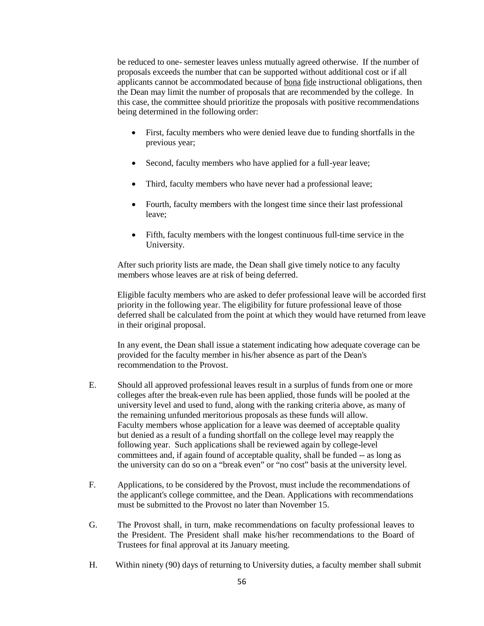be reduced to one- semester leaves unless mutually agreed otherwise. If the number of proposals exceeds the number that can be supported without additional cost or if all applicants cannot be accommodated because of <u>bona fide</u> instructional obligations, then the Dean may limit the number of proposals that are recommended by the college. In this case, the committee should prioritize the proposals with positive recommendations being determined in the following order:

- First, faculty members who were denied leave due to funding shortfalls in the previous year;
- Second, faculty members who have applied for a full-year leave;
- Third, faculty members who have never had a professional leave;
- Fourth, faculty members with the longest time since their last professional leave;
- Fifth, faculty members with the longest continuous full-time service in the University.

After such priority lists are made, the Dean shall give timely notice to any faculty members whose leaves are at risk of being deferred.

Eligible faculty members who are asked to defer professional leave will be accorded first priority in the following year. The eligibility for future professional leave of those deferred shall be calculated from the point at which they would have returned from leave in their original proposal.

In any event, the Dean shall issue a statement indicating how adequate coverage can be provided for the faculty member in his/her absence as part of the Dean's recommendation to the Provost.

- E. Should all approved professional leaves result in a surplus of funds from one or more colleges after the break-even rule has been applied, those funds will be pooled at the university level and used to fund, along with the ranking criteria above, as many of the remaining unfunded meritorious proposals as these funds will allow. Faculty members whose application for a leave was deemed of acceptable quality but denied as a result of a funding shortfall on the college level may reapply the following year. Such applications shall be reviewed again by college-level committees and, if again found of acceptable quality, shall be funded -- as long as the university can do so on a "break even" or "no cost" basis at the university level.
- F. Applications, to be considered by the Provost, must include the recommendations of the applicant's college committee, and the Dean. Applications with recommendations must be submitted to the Provost no later than November 15.
- G. The Provost shall, in turn, make recommendations on faculty professional leaves to the President. The President shall make his/her recommendations to the Board of Trustees for final approval at its January meeting.
- H. Within ninety (90) days of returning to University duties, a faculty member shall submit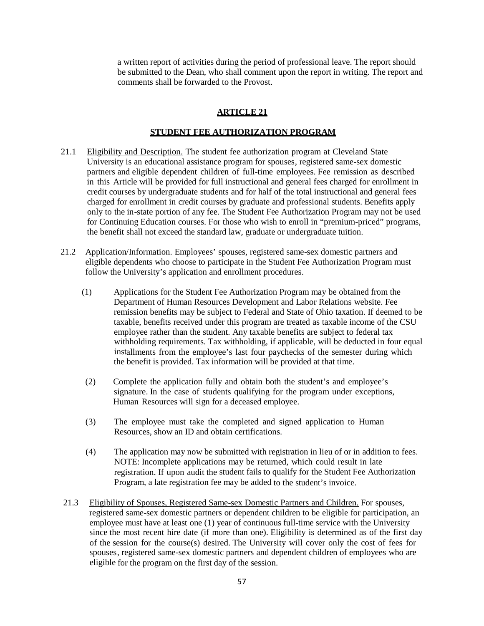a written report of activities during the period of professional leave. The report should be submitted to the Dean, who shall comment upon the report in writing. The report and comments shall be forwarded to the Provost.

### **ARTICLE 21**

### **STUDENT FEE AUTHORIZATION PROGRAM**

- 21.1 Eligibility and Description. The student fee authorization program at Cleveland State University is an educational assistance program for spouses, registered same-sex domestic partners and eligible dependent children of full-time employees. Fee remission as described in this Article will be provided for full instructional and general fees charged for enrollment in credit courses by undergraduate students and for half of the total instructional and general fees charged for enrollment in credit courses by graduate and professional students. Benefits apply only to the in-state portion of any fee. The Student Fee Authorization Program may not be used for Continuing Education courses. For those who wish to enroll in "premium-priced" programs, the benefit shall not exceed the standard law, graduate or undergraduate tuition.
- 21.2 Application/Information. Employees' spouses, registered same-sex domestic partners and eligible dependents who choose to participate in the Student Fee Authorization Program must follow the University's application and enrollment procedures.
	- (1) Applications for the Student Fee Authorization Program may be obtained from the Department of Human Resources Development and Labor Relations website. Fee remission benefits may be subject to Federal and State of Ohio taxation. If deemed to be taxable, benefits received under this program are treated as taxable income of the CSU employee rather than the student. Any taxable benefits are subject to federal tax withholding requirements. Tax withholding, if applicable, will be deducted in four equal installments from the employee's last four paychecks of the semester during which the benefit is provided. Tax information will be provided at that time.
	- (2) Complete the application fully and obtain both the student's and employee's signature. In the case of students qualifying for the program under exceptions, Human Resources will sign for a deceased employee.
	- (3) The employee must take the completed and signed application to Human Resources, show an ID and obtain certifications.
	- (4) The application may now be submitted with registration in lieu of or in addition to fees. NOTE: Incomplete applications may be returned, which could result in late registration. If upon audit the student fails to qualify for the Student Fee Authorization Program, a late registration fee may be added to the student's invoice.
- 21.3 Eligibility of Spouses, Registered Same-sex Domestic Partners and Children. For spouses, registered same-sex domestic partners or dependent children to be eligible for participation, an employee must have at least one (1) year of continuous full-time service with the University since the most recent hire date (if more than one). Eligibility is determined as of the first day of the session for the course(s) desired. The University will cover only the cost of fees for spouses, registered same-sex domestic partners and dependent children of employees who are eligible for the program on the first day of the session.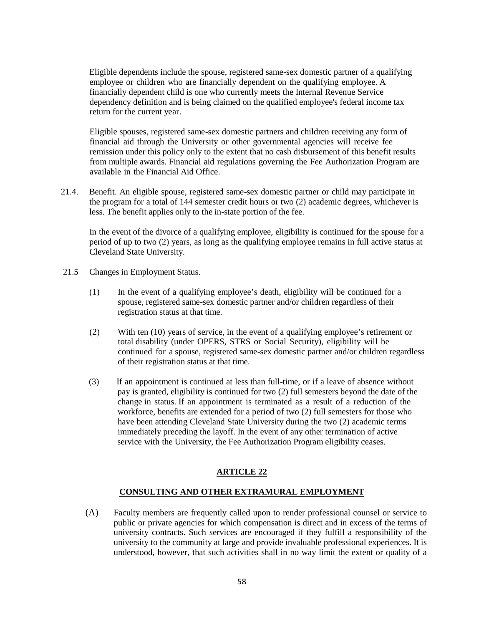Eligible dependents include the spouse, registered same-sex domestic partner of a qualifying employee or children who are financially dependent on the qualifying employee. A financially dependent child is one who currently meets the Internal Revenue Service dependency definition and is being claimed on the qualified employee's federal income tax return for the current year.

Eligible spouses, registered same-sex domestic partners and children receiving any form of financial aid through the University or other governmental agencies will receive fee remission under this policy only to the extent that no cash disbursement of this benefit results from multiple awards. Financial aid regulations governing the Fee Authorization Program are available in the Financial Aid Office.

21.4. Benefit. An eligible spouse, registered same-sex domestic partner or child may participate in the program for a total of 144 semester credit hours or two (2) academic degrees, whichever is less. The benefit applies only to the in-state portion of the fee.

In the event of the divorce of a qualifying employee, eligibility is continued for the spouse for a period of up to two (2) years, as long as the qualifying employee remains in full active status at Cleveland State University.

### 21.5 Changes in Employment Status.

- (1) In the event of a qualifying employee's death, eligibility will be continued for a spouse, registered same-sex domestic partner and/or children regardless of their registration status at that time.
- (2) With ten (10) years of service, in the event of a qualifying employee's retirement or total disability (under OPERS, STRS or Social Security), eligibility will be continued for a spouse, registered same-sex domestic partner and/or children regardless of their registration status at that time.
- (3) If an appointment is continued at less than full-time, or if a leave of absence without pay is granted, eligibility is continued for two (2) full semesters beyond the date of the change in status. If an appointment is terminated as a result of a reduction of the workforce, benefits are extended for a period of two (2) full semesters for those who have been attending Cleveland State University during the two (2) academic terms immediately preceding the layoff. In the event of any other termination of active service with the University, the Fee Authorization Program eligibility ceases.

# **ARTICLE 22**

### **CONSULTING AND OTHER EXTRAMURAL EMPLOYMENT**

(A) Faculty members are frequently called upon to render professional counsel or service to public or private agencies for which compensation is direct and in excess of the terms of university contracts. Such services are encouraged if they fulfill a responsibility of the university to the community at large and provide invaluable professional experiences. It is understood, however, that such activities shall in no way limit the extent or quality of a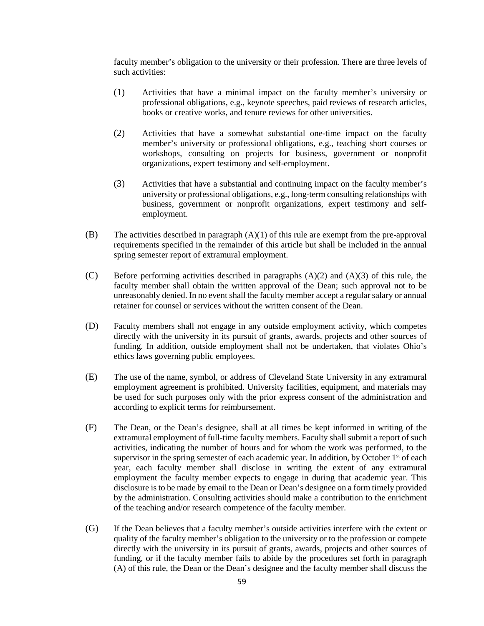faculty member's obligation to the university or their profession. There are three levels of such activities:

- (1) Activities that have a minimal impact on the faculty member's university or professional obligations, e.g., keynote speeches, paid reviews of research articles, books or creative works, and tenure reviews for other universities.
- (2) Activities that have a somewhat substantial one-time impact on the faculty member's university or professional obligations, e.g., teaching short courses or workshops, consulting on projects for business, government or nonprofit organizations, expert testimony and self-employment.
- (3) Activities that have a substantial and continuing impact on the faculty member's university or professional obligations, e.g., long-term consulting relationships with business, government or nonprofit organizations, expert testimony and selfemployment.
- (B) The activities described in paragraph (A)(1) of this rule are exempt from the pre-approval requirements specified in the remainder of this article but shall be included in the annual spring semester report of extramural employment.
- (C) Before performing activities described in paragraphs (A)(2) and (A)(3) of this rule, the faculty member shall obtain the written approval of the Dean; such approval not to be unreasonably denied. In no event shall the faculty member accept a regular salary or annual retainer for counsel or services without the written consent of the Dean.
- (D) Faculty members shall not engage in any outside employment activity, which competes directly with the university in its pursuit of grants, awards, projects and other sources of funding. In addition, outside employment shall not be undertaken, that violates Ohio's ethics laws governing public employees.
- (E) The use of the name, symbol, or address of Cleveland State University in any extramural employment agreement is prohibited. University facilities, equipment, and materials may be used for such purposes only with the prior express consent of the administration and according to explicit terms for reimbursement.
- (F) The Dean, or the Dean's designee, shall at all times be kept informed in writing of the extramural employment of full-time faculty members. Faculty shall submit a report of such activities, indicating the number of hours and for whom the work was performed, to the supervisor in the spring semester of each academic year. In addition, by October  $1<sup>st</sup>$  of each year, each faculty member shall disclose in writing the extent of any extramural employment the faculty member expects to engage in during that academic year. This disclosure is to be made by email to the Dean or Dean's designee on a form timely provided by the administration. Consulting activities should make a contribution to the enrichment of the teaching and/or research competence of the faculty member.
- (G) If the Dean believes that a faculty member's outside activities interfere with the extent or quality of the faculty member's obligation to the university or to the profession or compete directly with the university in its pursuit of grants, awards, projects and other sources of funding, or if the faculty member fails to abide by the procedures set forth in paragraph (A) of this rule, the Dean or the Dean's designee and the faculty member shall discuss the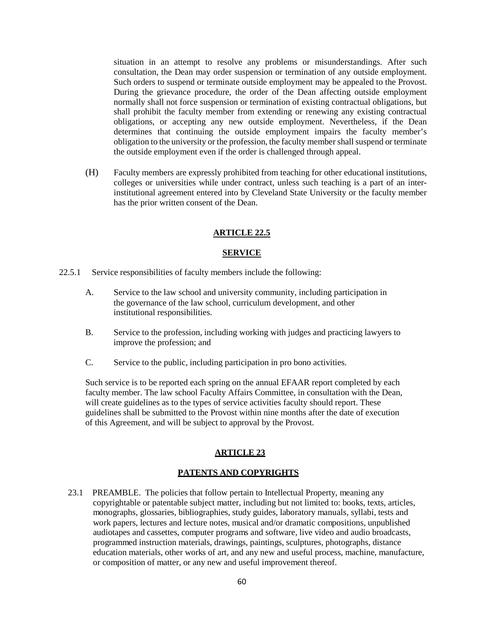situation in an attempt to resolve any problems or misunderstandings. After such consultation, the Dean may order suspension or termination of any outside employment. Such orders to suspend or terminate outside employment may be appealed to the Provost. During the grievance procedure, the order of the Dean affecting outside employment normally shall not force suspension or termination of existing contractual obligations, but shall prohibit the faculty member from extending or renewing any existing contractual obligations, or accepting any new outside employment. Nevertheless, if the Dean determines that continuing the outside employment impairs the faculty member's obligation to the university or the profession, the faculty member shall suspend or terminate the outside employment even if the order is challenged through appeal.

(H) Faculty members are expressly prohibited from teaching for other educational institutions, colleges or universities while under contract, unless such teaching is a part of an interinstitutional agreement entered into by Cleveland State University or the faculty member has the prior written consent of the Dean.

### **ARTICLE 22.5**

### **SERVICE**

- 22.5.1 Service responsibilities of faculty members include the following:
	- A. Service to the law school and university community, including participation in the governance of the law school, curriculum development, and other institutional responsibilities.
	- B. Service to the profession, including working with judges and practicing lawyers to improve the profession; and
	- C. Service to the public, including participation in pro bono activities.

Such service is to be reported each spring on the annual EFAAR report completed by each faculty member. The law school Faculty Affairs Committee, in consultation with the Dean, will create guidelines as to the types of service activities faculty should report. These guidelines shall be submitted to the Provost within nine months after the date of execution of this Agreement, and will be subject to approval by the Provost.

### **ARTICLE 23**

### **PATENTS AND COPYRIGHTS**

23.1 PREAMBLE. The policies that follow pertain to Intellectual Property, meaning any copyrightable or patentable subject matter, including but not limited to: books, texts, articles, monographs, glossaries, bibliographies, study guides, laboratory manuals, syllabi, tests and work papers, lectures and lecture notes, musical and/or dramatic compositions, unpublished audiotapes and cassettes, computer programs and software, live video and audio broadcasts, programmed instruction materials, drawings, paintings, sculptures, photographs, distance education materials, other works of art, and any new and useful process, machine, manufacture, or composition of matter, or any new and useful improvement thereof.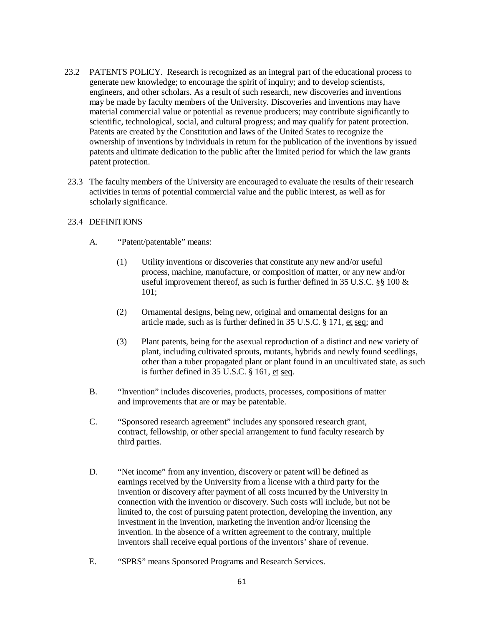- 23.2 PATENTS POLICY. Research is recognized as an integral part of the educational process to generate new knowledge; to encourage the spirit of inquiry; and to develop scientists, engineers, and other scholars. As a result of such research, new discoveries and inventions may be made by faculty members of the University. Discoveries and inventions may have material commercial value or potential as revenue producers; may contribute significantly to scientific, technological, social, and cultural progress; and may qualify for patent protection. Patents are created by the Constitution and laws of the United States to recognize the ownership of inventions by individuals in return for the publication of the inventions by issued patents and ultimate dedication to the public after the limited period for which the law grants patent protection.
- 23.3 The faculty members of the University are encouraged to evaluate the results of their research activities in terms of potential commercial value and the public interest, as well as for scholarly significance.

### 23.4 DEFINITIONS

- A. "Patent/patentable" means:
	- (1) Utility inventions or discoveries that constitute any new and/or useful process, machine, manufacture, or composition of matter, or any new and/or useful improvement thereof, as such is further defined in  $35$  U.S.C. §§ 100  $\&$ 101;
	- (2) Ornamental designs, being new, original and ornamental designs for an article made, such as is further defined in 35 U.S.C. § 171, et seq; and
	- (3) Plant patents, being for the asexual reproduction of a distinct and new variety of plant, including cultivated sprouts, mutants, hybrids and newly found seedlings, other than a tuber propagated plant or plant found in an uncultivated state, as such is further defined in 35 U.S.C. § 161, et seq.
- B. "Invention" includes discoveries, products, processes, compositions of matter and improvements that are or may be patentable.
- C. "Sponsored research agreement" includes any sponsored research grant, contract, fellowship, or other special arrangement to fund faculty research by third parties.
- D. "Net income" from any invention, discovery or patent will be defined as earnings received by the University from a license with a third party for the invention or discovery after payment of all costs incurred by the University in connection with the invention or discovery. Such costs will include, but not be limited to, the cost of pursuing patent protection, developing the invention, any investment in the invention, marketing the invention and/or licensing the invention. In the absence of a written agreement to the contrary, multiple inventors shall receive equal portions of the inventors' share of revenue.
- E. "SPRS" means Sponsored Programs and Research Services.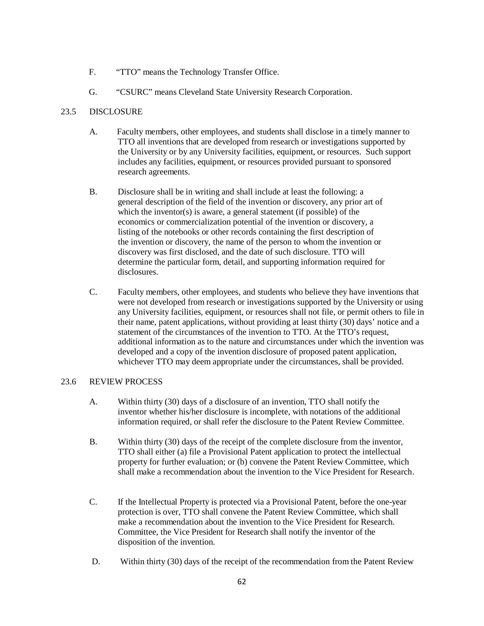- F. "TTO" means the Technology Transfer Office.
- G. "CSURC" means Cleveland State University Research Corporation.

### 23.5 DISCLOSURE

- A. Faculty members, other employees, and students shall disclose in a timely manner to TTO all inventions that are developed from research or investigations supported by the University or by any University facilities, equipment, or resources. Such support includes any facilities, equipment, or resources provided pursuant to sponsored research agreements.
- B. Disclosure shall be in writing and shall include at least the following: a general description of the field of the invention or discovery, any prior art of which the inventor(s) is aware, a general statement (if possible) of the economics or commercialization potential of the invention or discovery, a listing of the notebooks or other records containing the first description of the invention or discovery, the name of the person to whom the invention or discovery was first disclosed, and the date of such disclosure. TTO will determine the particular form, detail, and supporting information required for disclosures.
- C. Faculty members, other employees, and students who believe they have inventions that were not developed from research or investigations supported by the University or using any University facilities, equipment, or resources shall not file, or permit others to file in their name, patent applications, without providing at least thirty (30) days' notice and a statement of the circumstances of the invention to TTO. At the TTO's request, additional information as to the nature and circumstances under which the invention was developed and a copy of the invention disclosure of proposed patent application, whichever TTO may deem appropriate under the circumstances, shall be provided.

### 23.6 REVIEW PROCESS

- A. Within thirty (30) days of a disclosure of an invention, TTO shall notify the inventor whether his/her disclosure is incomplete, with notations of the additional information required, or shall refer the disclosure to the Patent Review Committee.
- B. Within thirty (30) days of the receipt of the complete disclosure from the inventor, TTO shall either (a) file a Provisional Patent application to protect the intellectual property for further evaluation; or (b) convene the Patent Review Committee, which shall make a recommendation about the invention to the Vice President for Research.
- C. If the Intellectual Property is protected via a Provisional Patent, before the one-year protection is over, TTO shall convene the Patent Review Committee, which shall make a recommendation about the invention to the Vice President for Research. Committee, the Vice President for Research shall notify the inventor of the disposition of the invention.
- D. Within thirty (30) days of the receipt of the recommendation from the Patent Review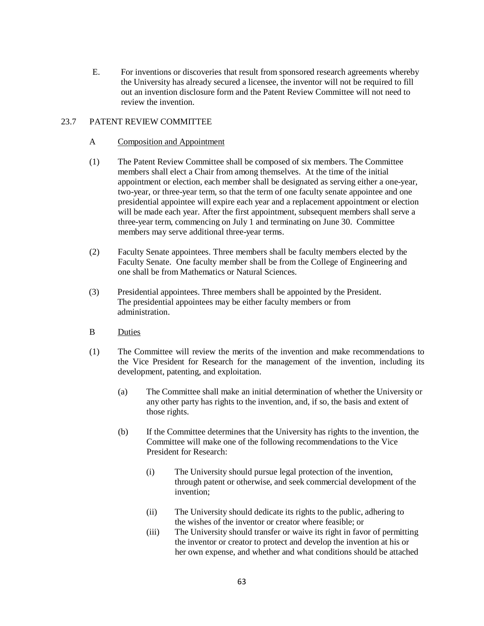E. For inventions or discoveries that result from sponsored research agreements whereby the University has already secured a licensee, the inventor will not be required to fill out an invention disclosure form and the Patent Review Committee will not need to review the invention.

### 23.7 PATENT REVIEW COMMITTEE

- A Composition and Appointment
- (1) The Patent Review Committee shall be composed of six members. The Committee members shall elect a Chair from among themselves. At the time of the initial appointment or election, each member shall be designated as serving either a one-year, two-year, or three-year term, so that the term of one faculty senate appointee and one presidential appointee will expire each year and a replacement appointment or election will be made each year. After the first appointment, subsequent members shall serve a three-year term, commencing on July 1 and terminating on June 30. Committee members may serve additional three-year terms.
- (2) Faculty Senate appointees. Three members shall be faculty members elected by the Faculty Senate. One faculty member shall be from the College of Engineering and one shall be from Mathematics or Natural Sciences.
- (3) Presidential appointees. Three members shall be appointed by the President. The presidential appointees may be either faculty members or from administration.
- B Duties
- (1) The Committee will review the merits of the invention and make recommendations to the Vice President for Research for the management of the invention, including its development, patenting, and exploitation.
	- (a) The Committee shall make an initial determination of whether the University or any other party has rights to the invention, and, if so, the basis and extent of those rights.
	- (b) If the Committee determines that the University has rights to the invention, the Committee will make one of the following recommendations to the Vice President for Research:
		- (i) The University should pursue legal protection of the invention, through patent or otherwise, and seek commercial development of the invention;
		- (ii) The University should dedicate its rights to the public, adhering to the wishes of the inventor or creator where feasible; or
		- (iii) The University should transfer or waive its right in favor of permitting the inventor or creator to protect and develop the invention at his or her own expense, and whether and what conditions should be attached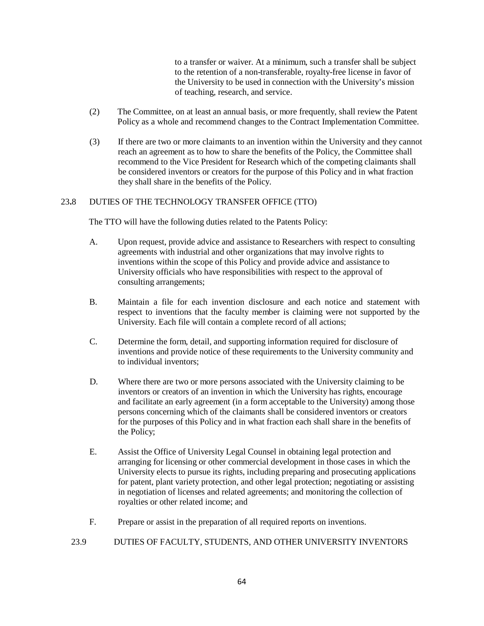to a transfer or waiver. At a minimum, such a transfer shall be subject to the retention of a non-transferable, royalty-free license in favor of the University to be used in connection with the University's mission of teaching, research, and service.

- (2) The Committee, on at least an annual basis, or more frequently, shall review the Patent Policy as a whole and recommend changes to the Contract Implementation Committee.
- (3) If there are two or more claimants to an invention within the University and they cannot reach an agreement as to how to share the benefits of the Policy, the Committee shall recommend to the Vice President for Research which of the competing claimants shall be considered inventors or creators for the purpose of this Policy and in what fraction they shall share in the benefits of the Policy.

### 23**.**8 DUTIES OF THE TECHNOLOGY TRANSFER OFFICE (TTO)

The TTO will have the following duties related to the Patents Policy:

- A. Upon request, provide advice and assistance to Researchers with respect to consulting agreements with industrial and other organizations that may involve rights to inventions within the scope of this Policy and provide advice and assistance to University officials who have responsibilities with respect to the approval of consulting arrangements;
- B. Maintain a file for each invention disclosure and each notice and statement with respect to inventions that the faculty member is claiming were not supported by the University. Each file will contain a complete record of all actions;
- C. Determine the form, detail, and supporting information required for disclosure of inventions and provide notice of these requirements to the University community and to individual inventors;
- D. Where there are two or more persons associated with the University claiming to be inventors or creators of an invention in which the University has rights, encourage and facilitate an early agreement (in a form acceptable to the University) among those persons concerning which of the claimants shall be considered inventors or creators for the purposes of this Policy and in what fraction each shall share in the benefits of the Policy;
- E. Assist the Office of University Legal Counsel in obtaining legal protection and arranging for licensing or other commercial development in those cases in which the University elects to pursue its rights, including preparing and prosecuting applications for patent, plant variety protection, and other legal protection; negotiating or assisting in negotiation of licenses and related agreements; and monitoring the collection of royalties or other related income; and
- F. Prepare or assist in the preparation of all required reports on inventions.
- 23.9 DUTIES OF FACULTY, STUDENTS, AND OTHER UNIVERSITY INVENTORS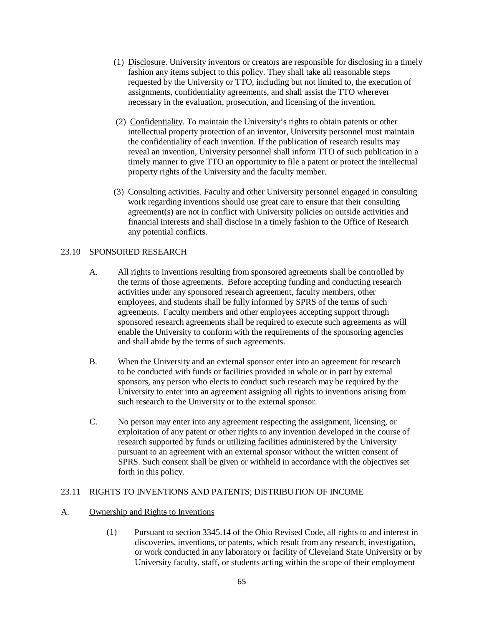- (1) Disclosure. University inventors or creators are responsible for disclosing in a timely fashion any items subject to this policy. They shall take all reasonable steps requested by the University or TTO, including but not limited to, the execution of assignments, confidentiality agreements, and shall assist the TTO wherever necessary in the evaluation, prosecution, and licensing of the invention.
- (2) Confidentiality. To maintain the University's rights to obtain patents or other intellectual property protection of an inventor, University personnel must maintain the confidentiality of each invention. If the publication of research results may reveal an invention, University personnel shall inform TTO of such publication in a timely manner to give TTO an opportunity to file a patent or protect the intellectual property rights of the University and the faculty member.
- (3) Consulting activities. Faculty and other University personnel engaged in consulting work regarding inventions should use great care to ensure that their consulting agreement(s) are not in conflict with University policies on outside activities and financial interests and shall disclose in a timely fashion to the Office of Research any potential conflicts.

### 23.10 SPONSORED RESEARCH

- A. All rights to inventions resulting from sponsored agreements shall be controlled by the terms of those agreements. Before accepting funding and conducting research activities under any sponsored research agreement, faculty members, other employees, and students shall be fully informed by SPRS of the terms of such agreements. Faculty members and other employees accepting support through sponsored research agreements shall be required to execute such agreements as will enable the University to conform with the requirements of the sponsoring agencies and shall abide by the terms of such agreements.
- B. When the University and an external sponsor enter into an agreement for research to be conducted with funds or facilities provided in whole or in part by external sponsors, any person who elects to conduct such research may be required by the University to enter into an agreement assigning all rights to inventions arising from such research to the University or to the external sponsor.
- C. No person may enter into any agreement respecting the assignment, licensing, or exploitation of any patent or other rights to any invention developed in the course of research supported by funds or utilizing facilities administered by the University pursuant to an agreement with an external sponsor without the written consent of SPRS. Such consent shall be given or withheld in accordance with the objectives set forth in this policy.

### 23.11 RIGHTS TO INVENTIONS AND PATENTS; DISTRIBUTION OF INCOME

### A. Ownership and Rights to Inventions

(1) Pursuant to section 3345.14 of the Ohio Revised Code, all rights to and interest in discoveries, inventions, or patents, which result from any research, investigation, or work conducted in any laboratory or facility of Cleveland State University or by University faculty, staff, or students acting within the scope of their employment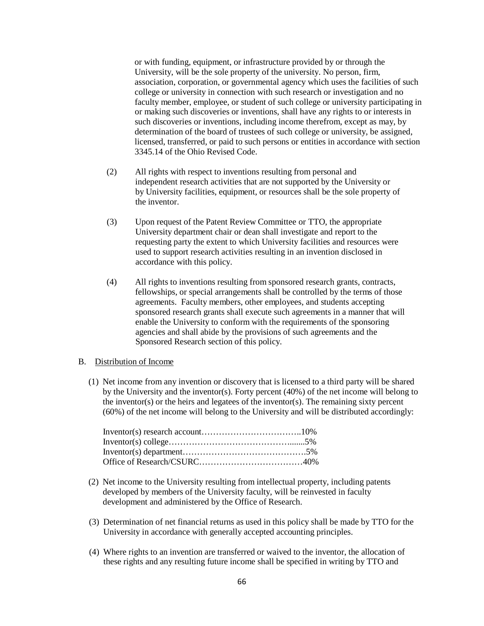or with funding, equipment, or infrastructure provided by or through the University, will be the sole property of the university. No person, firm, association, corporation, or governmental agency which uses the facilities of such college or university in connection with such research or investigation and no faculty member, employee, or student of such college or university participating in or making such discoveries or inventions, shall have any rights to or interests in such discoveries or inventions, including income therefrom, except as may, by determination of the board of trustees of such college or university, be assigned, licensed, transferred, or paid to such persons or entities in accordance with section 3345.14 of the Ohio Revised Code.

- (2) All rights with respect to inventions resulting from personal and independent research activities that are not supported by the University or by University facilities, equipment, or resources shall be the sole property of the inventor.
- (3) Upon request of the Patent Review Committee or TTO, the appropriate University department chair or dean shall investigate and report to the requesting party the extent to which University facilities and resources were used to support research activities resulting in an invention disclosed in accordance with this policy.
- (4) All rights to inventions resulting from sponsored research grants, contracts, fellowships, or special arrangements shall be controlled by the terms of those agreements. Faculty members, other employees, and students accepting sponsored research grants shall execute such agreements in a manner that will enable the University to conform with the requirements of the sponsoring agencies and shall abide by the provisions of such agreements and the Sponsored Research section of this policy.

#### B. Distribution of Income

(1) Net income from any invention or discovery that is licensed to a third party will be shared by the University and the inventor(s). Forty percent (40%) of the net income will belong to the inventor(s) or the heirs and legatees of the inventor(s). The remaining sixty percent (60%) of the net income will belong to the University and will be distributed accordingly:

- (2) Net income to the University resulting from intellectual property, including patents developed by members of the University faculty, will be reinvested in faculty development and administered by the Office of Research.
- (3) Determination of net financial returns as used in this policy shall be made by TTO for the University in accordance with generally accepted accounting principles.
- (4) Where rights to an invention are transferred or waived to the inventor, the allocation of these rights and any resulting future income shall be specified in writing by TTO and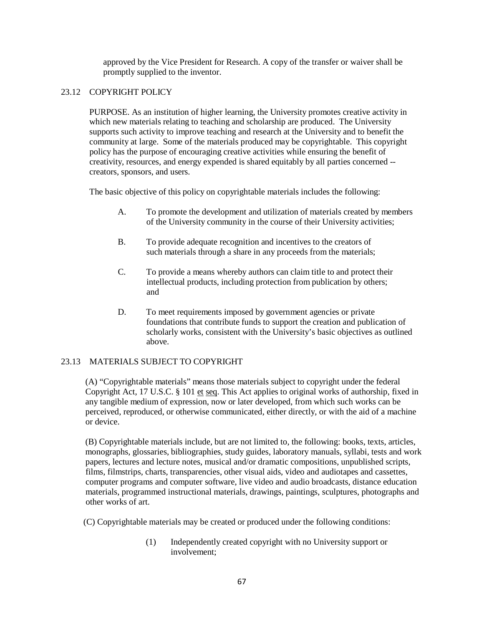approved by the Vice President for Research. A copy of the transfer or waiver shall be promptly supplied to the inventor.

#### 23.12 COPYRIGHT POLICY

PURPOSE. As an institution of higher learning, the University promotes creative activity in which new materials relating to teaching and scholarship are produced. The University supports such activity to improve teaching and research at the University and to benefit the community at large. Some of the materials produced may be copyrightable. This copyright policy has the purpose of encouraging creative activities while ensuring the benefit of creativity, resources, and energy expended is shared equitably by all parties concerned - creators, sponsors, and users.

The basic objective of this policy on copyrightable materials includes the following:

- A. To promote the development and utilization of materials created by members of the University community in the course of their University activities;
- B. To provide adequate recognition and incentives to the creators of such materials through a share in any proceeds from the materials;
- C. To provide a means whereby authors can claim title to and protect their intellectual products, including protection from publication by others; and
- D. To meet requirements imposed by government agencies or private foundations that contribute funds to support the creation and publication of scholarly works, consistent with the University's basic objectives as outlined above.

### 23.13 MATERIALS SUBJECT TO COPYRIGHT

(A) "Copyrightable materials" means those materials subject to copyright under the federal Copyright Act, 17 U.S.C. § 101 et seq. This Act applies to original works of authorship, fixed in any tangible medium of expression, now or later developed, from which such works can be perceived, reproduced, or otherwise communicated, either directly, or with the aid of a machine or device.

(B) Copyrightable materials include, but are not limited to, the following: books, texts, articles, monographs, glossaries, bibliographies, study guides, laboratory manuals, syllabi, tests and work papers, lectures and lecture notes, musical and/or dramatic compositions, unpublished scripts, films, filmstrips, charts, transparencies, other visual aids, video and audiotapes and cassettes, computer programs and computer software, live video and audio broadcasts, distance education materials, programmed instructional materials, drawings, paintings, sculptures, photographs and other works of art.

(C) Copyrightable materials may be created or produced under the following conditions:

(1) Independently created copyright with no University support or involvement;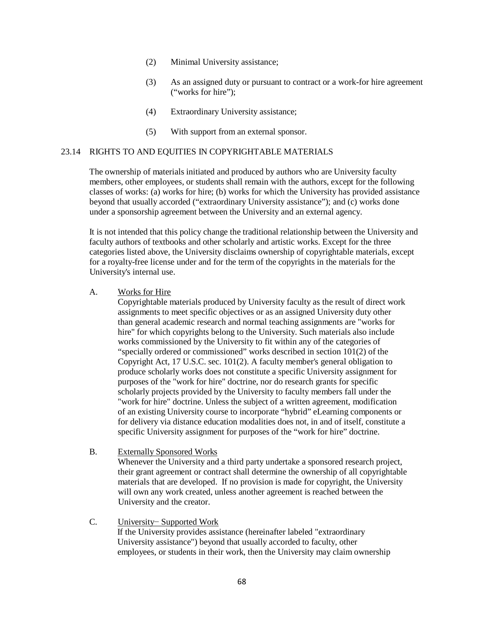- (2) Minimal University assistance;
- (3) As an assigned duty or pursuant to contract or a work-for hire agreement ("works for hire");
- (4) Extraordinary University assistance;
- (5) With support from an external sponsor.

#### 23.14 RIGHTS TO AND EQUITIES IN COPYRIGHTABLE MATERIALS

The ownership of materials initiated and produced by authors who are University faculty members, other employees, or students shall remain with the authors, except for the following classes of works: (a) works for hire; (b) works for which the University has provided assistance beyond that usually accorded ("extraordinary University assistance"); and (c) works done under a sponsorship agreement between the University and an external agency.

It is not intended that this policy change the traditional relationship between the University and faculty authors of textbooks and other scholarly and artistic works. Except for the three categories listed above, the University disclaims ownership of copyrightable materials, except for a royalty-free license under and for the term of the copyrights in the materials for the University's internal use.

#### A. Works for Hire

Copyrightable materials produced by University faculty as the result of direct work assignments to meet specific objectives or as an assigned University duty other than general academic research and normal teaching assignments are "works for hire" for which copyrights belong to the University. Such materials also include works commissioned by the University to fit within any of the categories of "specially ordered or commissioned" works described in section 101(2) of the Copyright Act, 17 U.S.C. sec. 101(2). A faculty member's general obligation to produce scholarly works does not constitute a specific University assignment for purposes of the "work for hire" doctrine, nor do research grants for specific scholarly projects provided by the University to faculty members fall under the "work for hire" doctrine. Unless the subject of a written agreement, modification of an existing University course to incorporate "hybrid" eLearning components or for delivery via distance education modalities does not, in and of itself, constitute a specific University assignment for purposes of the "work for hire" doctrine.

B. Externally Sponsored Works

Whenever the University and a third party undertake a sponsored research project, their grant agreement or contract shall determine the ownership of all copyrightable materials that are developed. If no provision is made for copyright, the University will own any work created, unless another agreement is reached between the University and the creator.

C. University− Supported Work If the University provides assistance (hereinafter labeled "extraordinary University assistance") beyond that usually accorded to faculty, other employees, or students in their work, then the University may claim ownership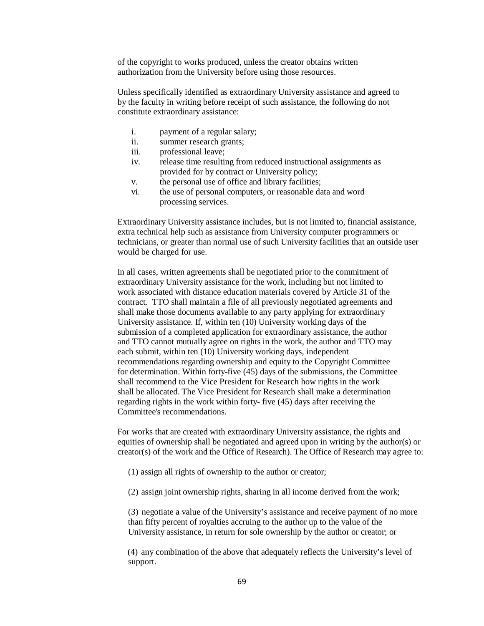of the copyright to works produced, unless the creator obtains written authorization from the University before using those resources.

Unless specifically identified as extraordinary University assistance and agreed to by the faculty in writing before receipt of such assistance, the following do not constitute extraordinary assistance:

- i. payment of a regular salary;
- ii. summer research grants;
- iii. professional leave;
- iv. release time resulting from reduced instructional assignments as provided for by contract or University policy;
- v. the personal use of office and library facilities;
- vi. the use of personal computers, or reasonable data and word processing services.

Extraordinary University assistance includes, but is not limited to, financial assistance, extra technical help such as assistance from University computer programmers or technicians, or greater than normal use of such University facilities that an outside user would be charged for use.

In all cases, written agreements shall be negotiated prior to the commitment of extraordinary University assistance for the work, including but not limited to work associated with distance education materials covered by Article 31 of the contract. TTO shall maintain a file of all previously negotiated agreements and shall make those documents available to any party applying for extraordinary University assistance. If, within ten (10) University working days of the submission of a completed application for extraordinary assistance, the author and TTO cannot mutually agree on rights in the work, the author and TTO may each submit, within ten (10) University working days, independent recommendations regarding ownership and equity to the Copyright Committee for determination. Within forty-five (45) days of the submissions, the Committee shall recommend to the Vice President for Research how rights in the work shall be allocated. The Vice President for Research shall make a determination regarding rights in the work within forty- five (45) days after receiving the Committee's recommendations.

For works that are created with extraordinary University assistance, the rights and equities of ownership shall be negotiated and agreed upon in writing by the author(s) or creator(s) of the work and the Office of Research). The Office of Research may agree to:

- (1) assign all rights of ownership to the author or creator;
- (2) assign joint ownership rights, sharing in all income derived from the work;

(3) negotiate a value of the University's assistance and receive payment of no more than fifty percent of royalties accruing to the author up to the value of the University assistance, in return for sole ownership by the author or creator; or

(4) any combination of the above that adequately reflects the University's level of support.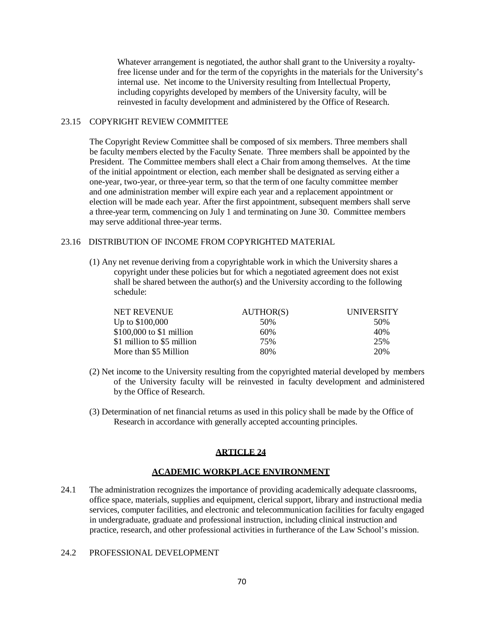Whatever arrangement is negotiated, the author shall grant to the University a royaltyfree license under and for the term of the copyrights in the materials for the University's internal use. Net income to the University resulting from Intellectual Property, including copyrights developed by members of the University faculty, will be reinvested in faculty development and administered by the Office of Research.

### 23.15 COPYRIGHT REVIEW COMMITTEE

The Copyright Review Committee shall be composed of six members. Three members shall be faculty members elected by the Faculty Senate. Three members shall be appointed by the President. The Committee members shall elect a Chair from among themselves. At the time of the initial appointment or election, each member shall be designated as serving either a one-year, two-year, or three-year term, so that the term of one faculty committee member and one administration member will expire each year and a replacement appointment or election will be made each year. After the first appointment, subsequent members shall serve a three-year term, commencing on July 1 and terminating on June 30. Committee members may serve additional three-year terms.

#### 23.16 DISTRIBUTION OF INCOME FROM COPYRIGHTED MATERIAL

(1) Any net revenue deriving from a copyrightable work in which the University shares a copyright under these policies but for which a negotiated agreement does not exist shall be shared between the author(s) and the University according to the following schedule:

| <b>NET REVENUE</b>         | AUTHOR(S) | <b>UNIVERSITY</b> |
|----------------------------|-----------|-------------------|
| Up to $$100,000$           | 50%       | .50%              |
| $$100,000$ to $$1$ million | 60%       | 40%               |
| \$1 million to \$5 million | 75%       | 25%               |
| More than \$5 Million      | 80%       | 20%               |

- (2) Net income to the University resulting from the copyrighted material developed by members of the University faculty will be reinvested in faculty development and administered by the Office of Research.
- (3) Determination of net financial returns as used in this policy shall be made by the Office of Research in accordance with generally accepted accounting principles.

# **ARTICLE 24**

# **ACADEMIC WORKPLACE ENVIRONMENT**

24.1 The administration recognizes the importance of providing academically adequate classrooms, office space, materials, supplies and equipment, clerical support, library and instructional media services, computer facilities, and electronic and telecommunication facilities for faculty engaged in undergraduate, graduate and professional instruction, including clinical instruction and practice, research, and other professional activities in furtherance of the Law School's mission.

### 24.2 PROFESSIONAL DEVELOPMENT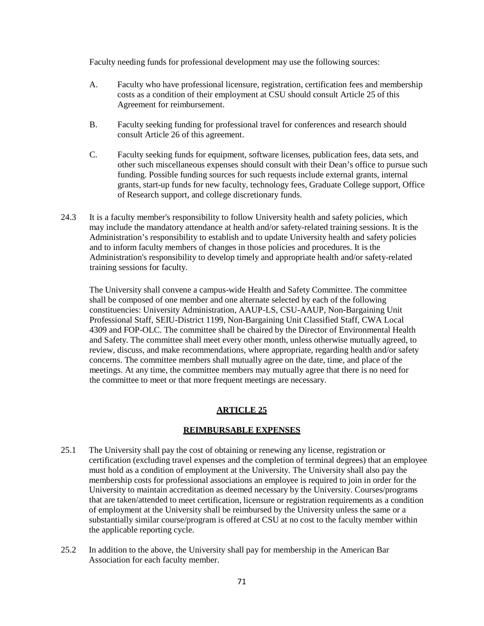Faculty needing funds for professional development may use the following sources:

- A. Faculty who have professional licensure, registration, certification fees and membership costs as a condition of their employment at CSU should consult Article 25 of this Agreement for reimbursement.
- B. Faculty seeking funding for professional travel for conferences and research should consult Article 26 of this agreement.
- C. Faculty seeking funds for equipment, software licenses, publication fees, data sets, and other such miscellaneous expenses should consult with their Dean's office to pursue such funding. Possible funding sources for such requests include external grants, internal grants, start-up funds for new faculty, technology fees, Graduate College support, Office of Research support, and college discretionary funds.
- 24.3 It is a faculty member's responsibility to follow University health and safety policies, which may include the mandatory attendance at health and/or safety-related training sessions. It is the Administration's responsibility to establish and to update University health and safety policies and to inform faculty members of changes in those policies and procedures. It is the Administration's responsibility to develop timely and appropriate health and/or safety-related training sessions for faculty.

The University shall convene a campus-wide Health and Safety Committee. The committee shall be composed of one member and one alternate selected by each of the following constituencies: University Administration, AAUP-LS, CSU-AAUP, Non-Bargaining Unit Professional Staff, SEIU-District 1199, Non-Bargaining Unit Classified Staff, CWA Local 4309 and FOP-OLC. The committee shall be chaired by the Director of Environmental Health and Safety. The committee shall meet every other month, unless otherwise mutually agreed, to review, discuss, and make recommendations, where appropriate, regarding health and/or safety concerns. The committee members shall mutually agree on the date, time, and place of the meetings. At any time, the committee members may mutually agree that there is no need for the committee to meet or that more frequent meetings are necessary.

# **ARTICLE 25**

### **REIMBURSABLE EXPENSES**

- 25.1 The University shall pay the cost of obtaining or renewing any license, registration or certification (excluding travel expenses and the completion of terminal degrees) that an employee must hold as a condition of employment at the University. The University shall also pay the membership costs for professional associations an employee is required to join in order for the University to maintain accreditation as deemed necessary by the University. Courses/programs that are taken/attended to meet certification, licensure or registration requirements as a condition of employment at the University shall be reimbursed by the University unless the same or a substantially similar course/program is offered at CSU at no cost to the faculty member within the applicable reporting cycle.
- 25.2 In addition to the above, the University shall pay for membership in the American Bar Association for each faculty member.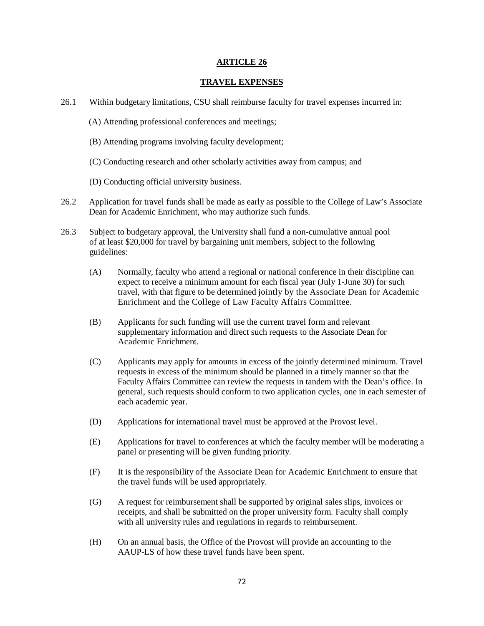#### **ARTICLE 26**

#### **TRAVEL EXPENSES**

- 26.1 Within budgetary limitations, CSU shall reimburse faculty for travel expenses incurred in:
	- (A) Attending professional conferences and meetings;
	- (B) Attending programs involving faculty development;
	- (C) Conducting research and other scholarly activities away from campus; and
	- (D) Conducting official university business.
- 26.2 Application for travel funds shall be made as early as possible to the College of Law's Associate Dean for Academic Enrichment, who may authorize such funds.
- 26.3 Subject to budgetary approval, the University shall fund a non-cumulative annual pool of at least \$20,000 for travel by bargaining unit members, subject to the following guidelines:
	- (A) Normally, faculty who attend a regional or national conference in their discipline can expect to receive a minimum amount for each fiscal year (July 1-June 30) for such travel, with that figure to be determined jointly by the Associate Dean for Academic Enrichment and the College of Law Faculty Affairs Committee.
	- (B) Applicants for such funding will use the current travel form and relevant supplementary information and direct such requests to the Associate Dean for Academic Enrichment.
	- (C) Applicants may apply for amounts in excess of the jointly determined minimum. Travel requests in excess of the minimum should be planned in a timely manner so that the Faculty Affairs Committee can review the requests in tandem with the Dean's office. In general, such requests should conform to two application cycles, one in each semester of each academic year.
	- (D) Applications for international travel must be approved at the Provost level.
	- (E) Applications for travel to conferences at which the faculty member will be moderating a panel or presenting will be given funding priority.
	- (F) It is the responsibility of the Associate Dean for Academic Enrichment to ensure that the travel funds will be used appropriately.
	- (G) A request for reimbursement shall be supported by original sales slips, invoices or receipts, and shall be submitted on the proper university form. Faculty shall comply with all university rules and regulations in regards to reimbursement.
	- (H) On an annual basis, the Office of the Provost will provide an accounting to the AAUP-LS of how these travel funds have been spent.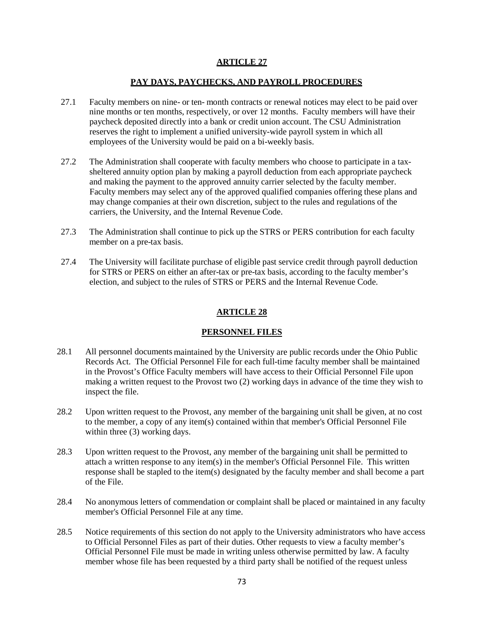### **ARTICLE 27**

### **PAY DAYS, PAYCHECKS, AND PAYROLL PROCEDURES**

- 27.1 Faculty members on nine- or ten- month contracts or renewal notices may elect to be paid over nine months or ten months, respectively, or over 12 months. Faculty members will have their paycheck deposited directly into a bank or credit union account. The CSU Administration reserves the right to implement a unified university-wide payroll system in which all employees of the University would be paid on a bi-weekly basis.
- 27.2 The Administration shall cooperate with faculty members who choose to participate in a taxsheltered annuity option plan by making a payroll deduction from each appropriate paycheck and making the payment to the approved annuity carrier selected by the faculty member. Faculty members may select any of the approved qualified companies offering these plans and may change companies at their own discretion, subject to the rules and regulations of the carriers, the University, and the Internal Revenue Code.
- 27.3 The Administration shall continue to pick up the STRS or PERS contribution for each faculty member on a pre-tax basis.
- 27.4 The University will facilitate purchase of eligible past service credit through payroll deduction for STRS or PERS on either an after-tax or pre-tax basis, according to the faculty member's election, and subject to the rules of STRS or PERS and the Internal Revenue Code.

### **ARTICLE 28**

### **PERSONNEL FILES**

- 28.1 All personnel documents maintained by the University are public records under the Ohio Public Records Act. The Official Personnel File for each full-time faculty member shall be maintained in the Provost's Office Faculty members will have access to their Official Personnel File upon making a written request to the Provost two (2) working days in advance of the time they wish to inspect the file.
- 28.2 Upon written request to the Provost, any member of the bargaining unit shall be given, at no cost to the member, a copy of any item(s) contained within that member's Official Personnel File within three (3) working days.
- 28.3 Upon written request to the Provost, any member of the bargaining unit shall be permitted to attach a written response to any item(s) in the member's Official Personnel File. This written response shall be stapled to the item(s) designated by the faculty member and shall become a part of the File.
- 28.4 No anonymous letters of commendation or complaint shall be placed or maintained in any faculty member's Official Personnel File at any time.
- 28.5 Notice requirements of this section do not apply to the University administrators who have access to Official Personnel Files as part of their duties. Other requests to view a faculty member's Official Personnel File must be made in writing unless otherwise permitted by law. A faculty member whose file has been requested by a third party shall be notified of the request unless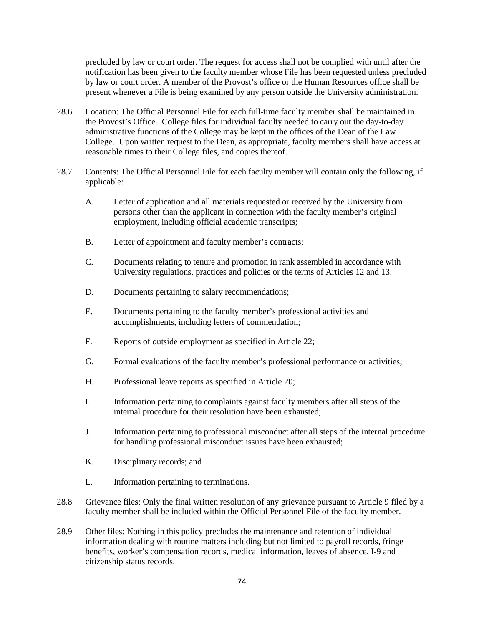precluded by law or court order. The request for access shall not be complied with until after the notification has been given to the faculty member whose File has been requested unless precluded by law or court order. A member of the Provost's office or the Human Resources office shall be present whenever a File is being examined by any person outside the University administration.

- 28.6 Location: The Official Personnel File for each full-time faculty member shall be maintained in the Provost's Office. College files for individual faculty needed to carry out the day-to-day administrative functions of the College may be kept in the offices of the Dean of the Law College. Upon written request to the Dean, as appropriate, faculty members shall have access at reasonable times to their College files, and copies thereof.
- 28.7 Contents: The Official Personnel File for each faculty member will contain only the following, if applicable:
	- A. Letter of application and all materials requested or received by the University from persons other than the applicant in connection with the faculty member's original employment, including official academic transcripts;
	- B. Letter of appointment and faculty member's contracts;
	- C. Documents relating to tenure and promotion in rank assembled in accordance with University regulations, practices and policies or the terms of Articles 12 and 13.
	- D. Documents pertaining to salary recommendations;
	- E. Documents pertaining to the faculty member's professional activities and accomplishments, including letters of commendation;
	- F. Reports of outside employment as specified in Article 22;
	- G. Formal evaluations of the faculty member's professional performance or activities;
	- H. Professional leave reports as specified in Article 20;
	- I. Information pertaining to complaints against faculty members after all steps of the internal procedure for their resolution have been exhausted;
	- J. Information pertaining to professional misconduct after all steps of the internal procedure for handling professional misconduct issues have been exhausted;
	- K. Disciplinary records; and
	- L. Information pertaining to terminations.
- 28.8 Grievance files: Only the final written resolution of any grievance pursuant to Article 9 filed by a faculty member shall be included within the Official Personnel File of the faculty member.
- 28.9 Other files: Nothing in this policy precludes the maintenance and retention of individual information dealing with routine matters including but not limited to payroll records, fringe benefits, worker's compensation records, medical information, leaves of absence, I-9 and citizenship status records.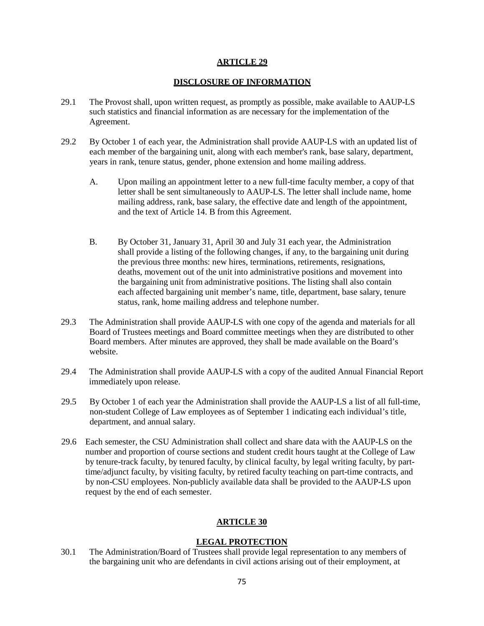#### **ARTICLE 29**

### **DISCLOSURE OF INFORMATION**

- 29.1 The Provost shall, upon written request, as promptly as possible, make available to AAUP-LS such statistics and financial information as are necessary for the implementation of the Agreement.
- 29.2 By October 1 of each year, the Administration shall provide AAUP-LS with an updated list of each member of the bargaining unit, along with each member's rank, base salary, department, years in rank, tenure status, gender, phone extension and home mailing address.
	- A. Upon mailing an appointment letter to a new full-time faculty member, a copy of that letter shall be sent simultaneously to AAUP-LS. The letter shall include name, home mailing address, rank, base salary, the effective date and length of the appointment, and the text of Article 14. B from this Agreement.
	- B. By October 31, January 31, April 30 and July 31 each year, the Administration shall provide a listing of the following changes, if any, to the bargaining unit during the previous three months: new hires, terminations, retirements, resignations, deaths, movement out of the unit into administrative positions and movement into the bargaining unit from administrative positions. The listing shall also contain each affected bargaining unit member's name, title, department, base salary, tenure status, rank, home mailing address and telephone number.
- 29.3 The Administration shall provide AAUP-LS with one copy of the agenda and materials for all Board of Trustees meetings and Board committee meetings when they are distributed to other Board members. After minutes are approved, they shall be made available on the Board's website.
- 29.4 The Administration shall provide AAUP-LS with a copy of the audited Annual Financial Report immediately upon release.
- 29.5 By October 1 of each year the Administration shall provide the AAUP-LS a list of all full-time, non-student College of Law employees as of September 1 indicating each individual's title, department, and annual salary.
- 29.6 Each semester, the CSU Administration shall collect and share data with the AAUP-LS on the number and proportion of course sections and student credit hours taught at the College of Law by tenure-track faculty, by tenured faculty, by clinical faculty, by legal writing faculty, by parttime/adjunct faculty, by visiting faculty, by retired faculty teaching on part-time contracts, and by non-CSU employees. Non-publicly available data shall be provided to the AAUP-LS upon request by the end of each semester.

# **ARTICLE 30**

# **LEGAL PROTECTION**

30.1 The Administration/Board of Trustees shall provide legal representation to any members of the bargaining unit who are defendants in civil actions arising out of their employment, at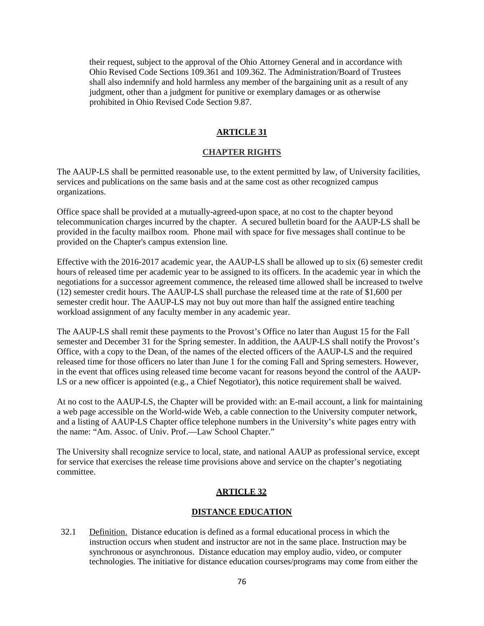their request, subject to the approval of the Ohio Attorney General and in accordance with Ohio Revised Code Sections 109.361 and 109.362. The Administration/Board of Trustees shall also indemnify and hold harmless any member of the bargaining unit as a result of any judgment, other than a judgment for punitive or exemplary damages or as otherwise prohibited in Ohio Revised Code Section 9.87.

# **ARTICLE 31**

### **CHAPTER RIGHTS**

The AAUP-LS shall be permitted reasonable use, to the extent permitted by law, of University facilities, services and publications on the same basis and at the same cost as other recognized campus organizations.

Office space shall be provided at a mutually-agreed-upon space, at no cost to the chapter beyond telecommunication charges incurred by the chapter. A secured bulletin board for the AAUP-LS shall be provided in the faculty mailbox room. Phone mail with space for five messages shall continue to be provided on the Chapter's campus extension line.

Effective with the 2016-2017 academic year, the AAUP-LS shall be allowed up to six (6) semester credit hours of released time per academic year to be assigned to its officers. In the academic year in which the negotiations for a successor agreement commence, the released time allowed shall be increased to twelve (12) semester credit hours. The AAUP-LS shall purchase the released time at the rate of \$1,600 per semester credit hour. The AAUP-LS may not buy out more than half the assigned entire teaching workload assignment of any faculty member in any academic year.

The AAUP-LS shall remit these payments to the Provost's Office no later than August 15 for the Fall semester and December 31 for the Spring semester. In addition, the AAUP-LS shall notify the Provost's Office, with a copy to the Dean, of the names of the elected officers of the AAUP-LS and the required released time for those officers no later than June 1 for the coming Fall and Spring semesters. However, in the event that offices using released time become vacant for reasons beyond the control of the AAUP-LS or a new officer is appointed (e.g., a Chief Negotiator), this notice requirement shall be waived.

At no cost to the AAUP-LS, the Chapter will be provided with: an E-mail account, a link for maintaining a web page accessible on the World-wide Web, a cable connection to the University computer network, and a listing of AAUP-LS Chapter office telephone numbers in the University's white pages entry with the name: "Am. Assoc. of Univ. Prof.—Law School Chapter."

The University shall recognize service to local, state, and national AAUP as professional service, except for service that exercises the release time provisions above and service on the chapter's negotiating committee.

#### **ARTICLE 32**

#### **DISTANCE EDUCATION**

32.1 Definition. Distance education is defined as a formal educational process in which the instruction occurs when student and instructor are not in the same place. Instruction may be synchronous or asynchronous. Distance education may employ audio, video, or computer technologies. The initiative for distance education courses/programs may come from either the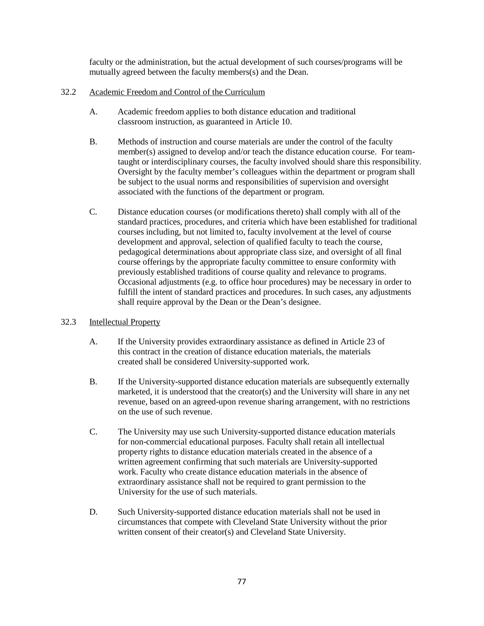faculty or the administration, but the actual development of such courses/programs will be mutually agreed between the faculty members(s) and the Dean.

### 32.2 Academic Freedom and Control of the Curriculum

- A. Academic freedom applies to both distance education and traditional classroom instruction, as guaranteed in Article 10.
- B. Methods of instruction and course materials are under the control of the faculty member(s) assigned to develop and/or teach the distance education course. For teamtaught or interdisciplinary courses, the faculty involved should share this responsibility. Oversight by the faculty member's colleagues within the department or program shall be subject to the usual norms and responsibilities of supervision and oversight associated with the functions of the department or program.
- C. Distance education courses (or modifications thereto) shall comply with all of the standard practices, procedures, and criteria which have been established for traditional courses including, but not limited to, faculty involvement at the level of course development and approval, selection of qualified faculty to teach the course, pedagogical determinations about appropriate class size, and oversight of all final course offerings by the appropriate faculty committee to ensure conformity with previously established traditions of course quality and relevance to programs. Occasional adjustments (e.g. to office hour procedures) may be necessary in order to fulfill the intent of standard practices and procedures. In such cases, any adjustments shall require approval by the Dean or the Dean's designee.

### 32.3 Intellectual Property

- A. If the University provides extraordinary assistance as defined in Article 23 of this contract in the creation of distance education materials, the materials created shall be considered University-supported work.
- B. If the University-supported distance education materials are subsequently externally marketed, it is understood that the creator(s) and the University will share in any net revenue, based on an agreed-upon revenue sharing arrangement, with no restrictions on the use of such revenue.
- C. The University may use such University-supported distance education materials for non-commercial educational purposes. Faculty shall retain all intellectual property rights to distance education materials created in the absence of a written agreement confirming that such materials are University-supported work. Faculty who create distance education materials in the absence of extraordinary assistance shall not be required to grant permission to the University for the use of such materials.
- D. Such University-supported distance education materials shall not be used in circumstances that compete with Cleveland State University without the prior written consent of their creator(s) and Cleveland State University.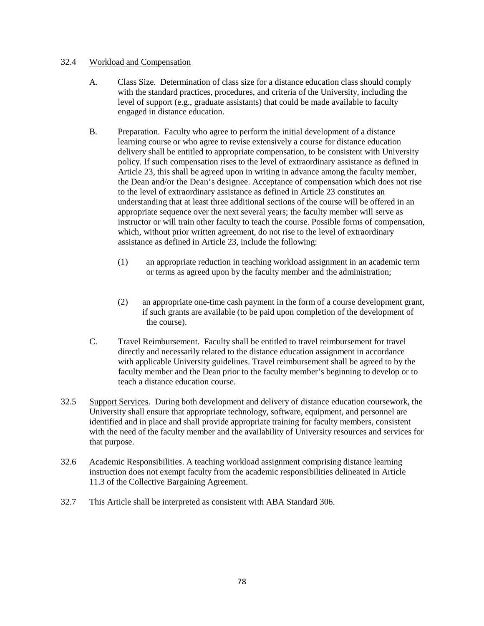### 32.4 Workload and Compensation

- A. Class Size. Determination of class size for a distance education class should comply with the standard practices, procedures, and criteria of the University, including the level of support (e.g., graduate assistants) that could be made available to faculty engaged in distance education.
- B. Preparation. Faculty who agree to perform the initial development of a distance learning course or who agree to revise extensively a course for distance education delivery shall be entitled to appropriate compensation, to be consistent with University policy. If such compensation rises to the level of extraordinary assistance as defined in Article 23, this shall be agreed upon in writing in advance among the faculty member, the Dean and/or the Dean's designee. Acceptance of compensation which does not rise to the level of extraordinary assistance as defined in Article 23 constitutes an understanding that at least three additional sections of the course will be offered in an appropriate sequence over the next several years; the faculty member will serve as instructor or will train other faculty to teach the course. Possible forms of compensation, which, without prior written agreement, do not rise to the level of extraordinary assistance as defined in Article 23, include the following:
	- (1) an appropriate reduction in teaching workload assignment in an academic term or terms as agreed upon by the faculty member and the administration;
	- (2) an appropriate one-time cash payment in the form of a course development grant, if such grants are available (to be paid upon completion of the development of the course).
- C. Travel Reimbursement. Faculty shall be entitled to travel reimbursement for travel directly and necessarily related to the distance education assignment in accordance with applicable University guidelines. Travel reimbursement shall be agreed to by the faculty member and the Dean prior to the faculty member's beginning to develop or to teach a distance education course.
- 32.5 Support Services. During both development and delivery of distance education coursework, the University shall ensure that appropriate technology, software, equipment, and personnel are identified and in place and shall provide appropriate training for faculty members, consistent with the need of the faculty member and the availability of University resources and services for that purpose.
- 32.6 Academic Responsibilities. A teaching workload assignment comprising distance learning instruction does not exempt faculty from the academic responsibilities delineated in Article 11.3 of the Collective Bargaining Agreement.
- 32.7 This Article shall be interpreted as consistent with ABA Standard 306.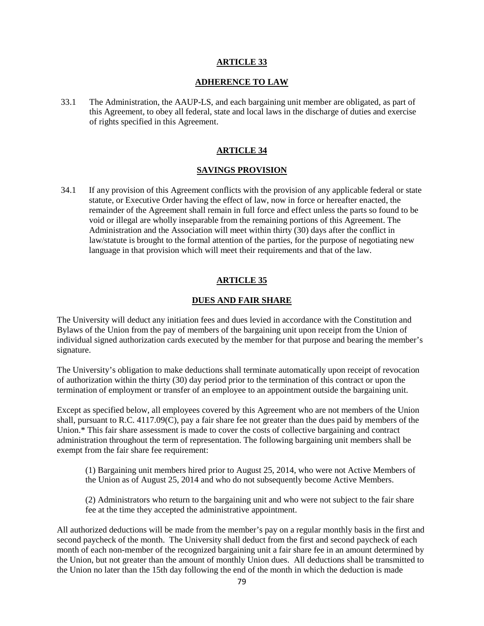### **ARTICLE 33**

### **ADHERENCE TO LAW**

33.1 The Administration, the AAUP-LS, and each bargaining unit member are obligated, as part of this Agreement, to obey all federal, state and local laws in the discharge of duties and exercise of rights specified in this Agreement.

### **ARTICLE 34**

#### **SAVINGS PROVISION**

34.1 If any provision of this Agreement conflicts with the provision of any applicable federal or state statute, or Executive Order having the effect of law, now in force or hereafter enacted, the remainder of the Agreement shall remain in full force and effect unless the parts so found to be void or illegal are wholly inseparable from the remaining portions of this Agreement. The Administration and the Association will meet within thirty (30) days after the conflict in law/statute is brought to the formal attention of the parties, for the purpose of negotiating new language in that provision which will meet their requirements and that of the law.

### **ARTICLE 35**

### **DUES AND FAIR SHARE**

The University will deduct any initiation fees and dues levied in accordance with the Constitution and Bylaws of the Union from the pay of members of the bargaining unit upon receipt from the Union of individual signed authorization cards executed by the member for that purpose and bearing the member's signature.

The University's obligation to make deductions shall terminate automatically upon receipt of revocation of authorization within the thirty (30) day period prior to the termination of this contract or upon the termination of employment or transfer of an employee to an appointment outside the bargaining unit.

Except as specified below, all employees covered by this Agreement who are not members of the Union shall, pursuant to R.C. 4117.09(C), pay a fair share fee not greater than the dues paid by members of the Union.\* This fair share assessment is made to cover the costs of collective bargaining and contract administration throughout the term of representation. The following bargaining unit members shall be exempt from the fair share fee requirement:

(1) Bargaining unit members hired prior to August 25, 2014, who were not Active Members of the Union as of August 25, 2014 and who do not subsequently become Active Members.

(2) Administrators who return to the bargaining unit and who were not subject to the fair share fee at the time they accepted the administrative appointment.

All authorized deductions will be made from the member's pay on a regular monthly basis in the first and second paycheck of the month. The University shall deduct from the first and second paycheck of each month of each non-member of the recognized bargaining unit a fair share fee in an amount determined by the Union, but not greater than the amount of monthly Union dues. All deductions shall be transmitted to the Union no later than the 15th day following the end of the month in which the deduction is made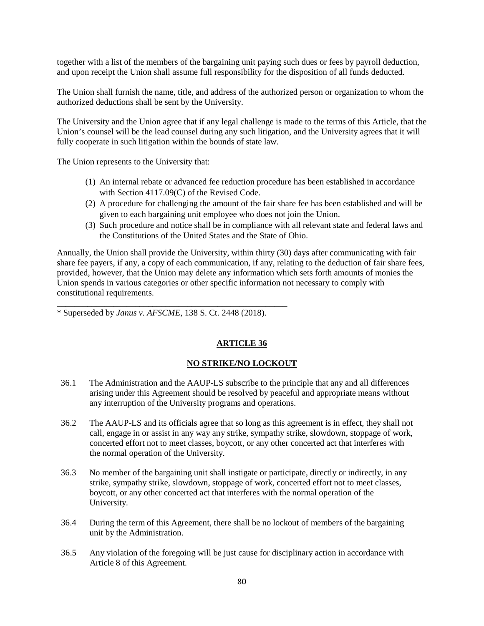together with a list of the members of the bargaining unit paying such dues or fees by payroll deduction, and upon receipt the Union shall assume full responsibility for the disposition of all funds deducted.

The Union shall furnish the name, title, and address of the authorized person or organization to whom the authorized deductions shall be sent by the University.

The University and the Union agree that if any legal challenge is made to the terms of this Article, that the Union's counsel will be the lead counsel during any such litigation, and the University agrees that it will fully cooperate in such litigation within the bounds of state law.

The Union represents to the University that:

- (1) An internal rebate or advanced fee reduction procedure has been established in accordance with Section 4117.09(C) of the Revised Code.
- (2) A procedure for challenging the amount of the fair share fee has been established and will be given to each bargaining unit employee who does not join the Union.
- (3) Such procedure and notice shall be in compliance with all relevant state and federal laws and the Constitutions of the United States and the State of Ohio.

Annually, the Union shall provide the University, within thirty (30) days after communicating with fair share fee payers, if any, a copy of each communication, if any, relating to the deduction of fair share fees, provided, however, that the Union may delete any information which sets forth amounts of monies the Union spends in various categories or other specific information not necessary to comply with constitutional requirements.

\* Superseded by *Janus v. AFSCME*, 138 S. Ct. 2448 (2018).

\_\_\_\_\_\_\_\_\_\_\_\_\_\_\_\_\_\_\_\_\_\_\_\_\_\_\_\_\_\_\_\_\_\_\_\_\_\_\_\_\_\_\_\_\_\_\_\_\_\_\_\_\_

# **ARTICLE 36**

# **NO STRIKE/NO LOCKOUT**

- 36.1 The Administration and the AAUP-LS subscribe to the principle that any and all differences arising under this Agreement should be resolved by peaceful and appropriate means without any interruption of the University programs and operations.
- 36.2 The AAUP-LS and its officials agree that so long as this agreement is in effect, they shall not call, engage in or assist in any way any strike, sympathy strike, slowdown, stoppage of work, concerted effort not to meet classes, boycott, or any other concerted act that interferes with the normal operation of the University.
- 36.3 No member of the bargaining unit shall instigate or participate, directly or indirectly, in any strike, sympathy strike, slowdown, stoppage of work, concerted effort not to meet classes, boycott, or any other concerted act that interferes with the normal operation of the University.
- 36.4 During the term of this Agreement, there shall be no lockout of members of the bargaining unit by the Administration.
- 36.5 Any violation of the foregoing will be just cause for disciplinary action in accordance with Article 8 of this Agreement.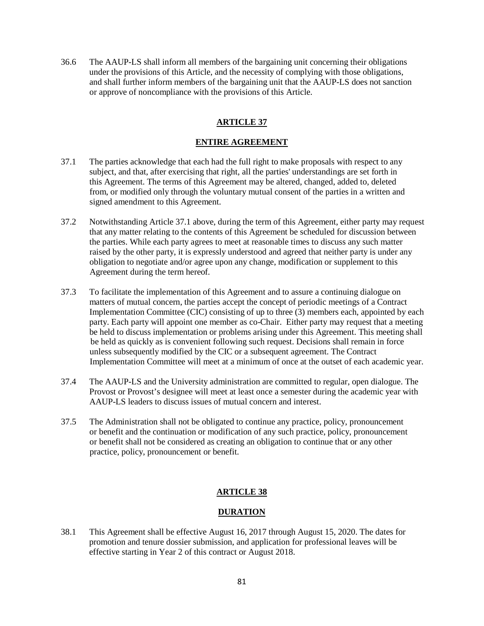36.6 The AAUP-LS shall inform all members of the bargaining unit concerning their obligations under the provisions of this Article, and the necessity of complying with those obligations, and shall further inform members of the bargaining unit that the AAUP-LS does not sanction or approve of noncompliance with the provisions of this Article.

# **ARTICLE 37**

### **ENTIRE AGREEMENT**

- 37.1 The parties acknowledge that each had the full right to make proposals with respect to any subject, and that, after exercising that right, all the parties' understandings are set forth in this Agreement. The terms of this Agreement may be altered, changed, added to, deleted from, or modified only through the voluntary mutual consent of the parties in a written and signed amendment to this Agreement.
- 37.2 Notwithstanding Article 37.1 above, during the term of this Agreement, either party may request that any matter relating to the contents of this Agreement be scheduled for discussion between the parties. While each party agrees to meet at reasonable times to discuss any such matter raised by the other party, it is expressly understood and agreed that neither party is under any obligation to negotiate and/or agree upon any change, modification or supplement to this Agreement during the term hereof.
- 37.3 To facilitate the implementation of this Agreement and to assure a continuing dialogue on matters of mutual concern, the parties accept the concept of periodic meetings of a Contract Implementation Committee (CIC) consisting of up to three (3) members each, appointed by each party. Each party will appoint one member as co-Chair. Either party may request that a meeting be held to discuss implementation or problems arising under this Agreement. This meeting shall be held as quickly as is convenient following such request. Decisions shall remain in force unless subsequently modified by the CIC or a subsequent agreement. The Contract Implementation Committee will meet at a minimum of once at the outset of each academic year.
- 37.4 The AAUP-LS and the University administration are committed to regular, open dialogue. The Provost or Provost's designee will meet at least once a semester during the academic year with AAUP-LS leaders to discuss issues of mutual concern and interest.
- 37.5 The Administration shall not be obligated to continue any practice, policy, pronouncement or benefit and the continuation or modification of any such practice, policy, pronouncement or benefit shall not be considered as creating an obligation to continue that or any other practice, policy, pronouncement or benefit.

### **ARTICLE 38**

### **DURATION**

38.1 This Agreement shall be effective August 16, 2017 through August 15, 2020. The dates for promotion and tenure dossier submission, and application for professional leaves will be effective starting in Year 2 of this contract or August 2018.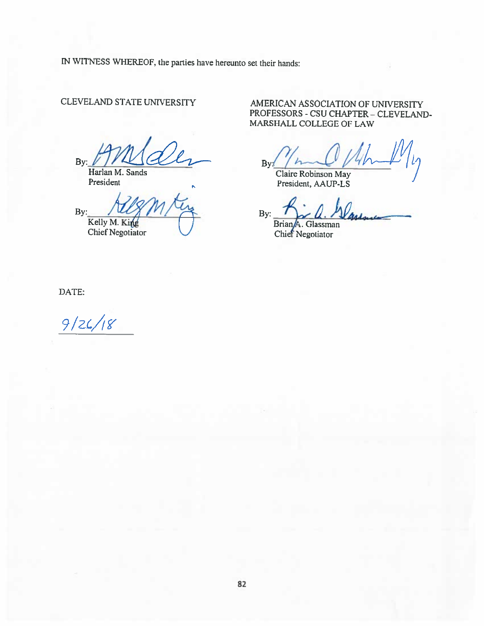IN WITNESS WHEREOF, the parties have hereunto set their hands:

# **CLEVELAND STATE UNIVERSITY**

By:

Harlan M. Sands President

By: Kelly M. King

**Chief Negotiator** 

AMERICAN ASSOCIATION OF UNIVERSITY PROFESSORS - CSU CHAPTER - CLEVELAND-MARSHALL COLLEGE OF LAW

 $Bv:$ 

Claire Robinson May President, AAUP-LS

By: Brian<sub>A</sub>. Glassman

Chief Negotiator

DATE:

 $9/26/18$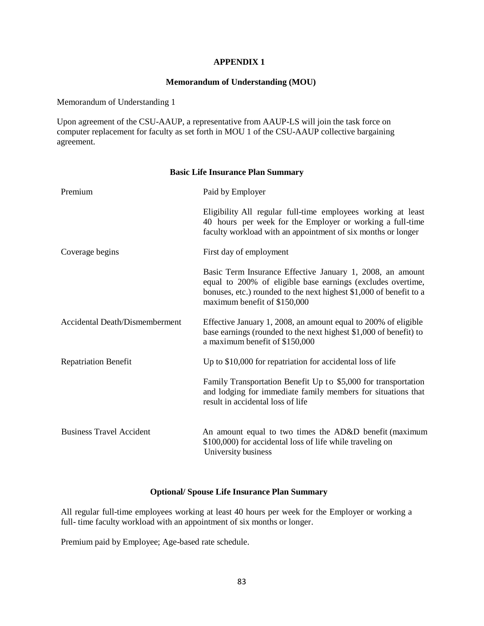## **APPENDIX 1**

### **Memorandum of Understanding (MOU)**

Memorandum of Understanding 1

Upon agreement of the CSU-AAUP, a representative from AAUP-LS will join the task force on computer replacement for faculty as set forth in MOU 1 of the CSU-AAUP collective bargaining agreement.

| Premium                         | Paid by Employer                                                                                                                                                                                                               |
|---------------------------------|--------------------------------------------------------------------------------------------------------------------------------------------------------------------------------------------------------------------------------|
|                                 | Eligibility All regular full-time employees working at least<br>40 hours per week for the Employer or working a full-time<br>faculty workload with an appointment of six months or longer                                      |
| Coverage begins                 | First day of employment                                                                                                                                                                                                        |
|                                 | Basic Term Insurance Effective January 1, 2008, an amount<br>equal to 200% of eligible base earnings (excludes overtime,<br>bonuses, etc.) rounded to the next highest \$1,000 of benefit to a<br>maximum benefit of \$150,000 |
| Accidental Death/Dismemberment  | Effective January 1, 2008, an amount equal to 200% of eligible<br>base earnings (rounded to the next highest \$1,000 of benefit) to<br>a maximum benefit of \$150,000                                                          |
| <b>Repatriation Benefit</b>     | Up to \$10,000 for repatriation for accidental loss of life                                                                                                                                                                    |
|                                 | Family Transportation Benefit Up to \$5,000 for transportation<br>and lodging for immediate family members for situations that<br>result in accidental loss of life                                                            |
| <b>Business Travel Accident</b> | An amount equal to two times the AD&D benefit (maximum<br>\$100,000) for accidental loss of life while traveling on<br>University business                                                                                     |

### **Basic Life Insurance Plan Summary**

# **Optional/ Spouse Life Insurance Plan Summary**

All regular full-time employees working at least 40 hours per week for the Employer or working a full- time faculty workload with an appointment of six months or longer.

Premium paid by Employee; Age-based rate schedule.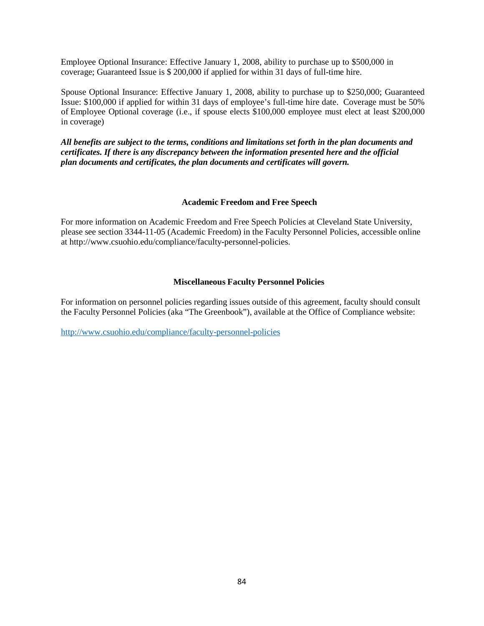Employee Optional Insurance: Effective January 1, 2008, ability to purchase up to \$500,000 in coverage; Guaranteed Issue is \$ 200,000 if applied for within 31 days of full-time hire.

Spouse Optional Insurance: Effective January 1, 2008, ability to purchase up to \$250,000; Guaranteed Issue: \$100,000 if applied for within 31 days of employee's full-time hire date. Coverage must be 50% of Employee Optional coverage (i.e., if spouse elects \$100,000 employee must elect at least \$200,000 in coverage)

*All benefits are subject to the terms, conditions and limitations set forth in the plan documents and certificates. If there is any discrepancy between the information presented here and the official plan documents and certificates, the plan documents and certificates will govern.*

### **Academic Freedom and Free Speech**

For more information on Academic Freedom and Free Speech Policies at Cleveland State University, please see section 3344-11-05 (Academic Freedom) in the Faculty Personnel Policies, accessible online at http://www.csuohio.edu/compliance/faculty-personnel-policies.

### **Miscellaneous Faculty Personnel Policies**

For information on personnel policies regarding issues outside of this agreement, faculty should consult the Faculty Personnel Policies (aka "The Greenbook"), available at the Office of Compliance website:

<http://www.csuohio.edu/compliance/faculty-personnel-policies>